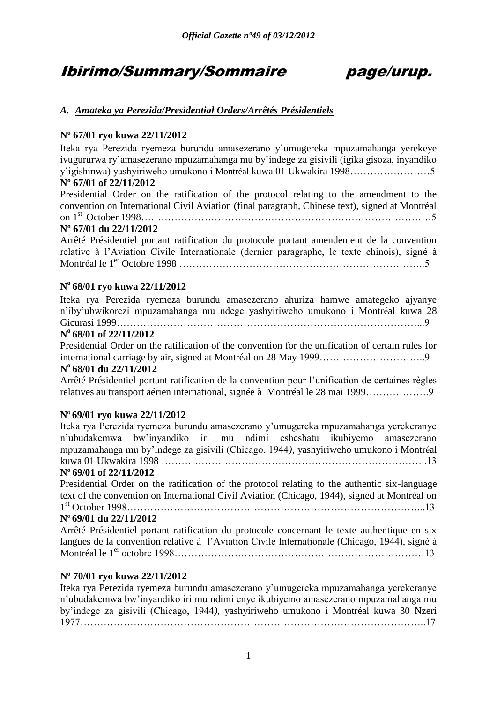# Ibirimo/Summary/Sommaire page/urup.

### *A. Amateka ya Perezida/Presidential Orders/Arrêtés Présidentiels*

#### **Nº 67/01 ryo kuwa 22/11/2012**

Iteka rya Perezida ryemeza burundu amasezerano y'umugereka mpuzamahanga yerekeye ivugururwa ry'amasezerano mpuzamahanga mu by'indege za gisivili (igika gisoza, inyandiko y'igishinwa) yashyiriweho umukono i Montréal kuwa 01 Ukwakira 1998……………………5 **Nº 67/01 of 22/11/2012**

Presidential Order on the ratification of the protocol relating to the amendment to the convention on International Civil Aviation (final paragraph, Chinese text), signed at Montréal on 1st October 1998……………………………………………………………………………5

#### **Nº 67/01 du 22/11/2012**

Arrêté Présidentiel portant ratification du protocole portant amendement de la convention relative à l'Aviation Civile Internationale (dernier paragraphe, le texte chinois), signé à Montréal le 1er Octobre 1998 ………………………………………………………………..5

#### **N <sup>o</sup>68/01 ryo kuwa 22/11/2012**

Iteka rya Perezida ryemeza burundu amasezerano ahuriza hamwe amategeko ajyanye n'iby'ubwikorezi mpuzamahanga mu ndege yashyiriweho umukono i Montréal kuwa 28 Gicurasi 1999………………………………………………………………………………...9

#### **N <sup>o</sup>68/01 of 22/11/2012**

Presidential Order on the ratification of the convention for the unification of certain rules for international carriage by air, signed at Montréal on 28 May 1999…………………………..9

## **N <sup>o</sup>68/01 du 22/11/2012**

Arrêté Présidentiel portant ratification de la convention pour l'unification de certaines règles relatives au transport aérien international, signée à Montréal le 28 mai 1999……………….9

#### **N**º **69/01 ryo kuwa 22/11/2012**

Iteka rya Perezida ryemeza burundu amasezerano y'umugereka mpuzamahanga yerekeranye n'ubudakemwa bw'inyandiko iri mu ndimi esheshatu ikubiyemo amasezerano mpuzamahanga mu by'indege za gisivili (Chicago, 1944*),* yashyiriweho umukono i Montréal kuwa 01 Ukwakira 1998 ……………………………………………………………………..13

#### **Nº 69/01 of 22/11/2012**

Presidential Order on the ratification of the protocol relating to the authentic six-language text of the convention on International Civil Aviation (Chicago, 1944), signed at Montréal on 1 st October 1998……………………………………………………………………………...13

#### **N**º **69/01 du 22/11/2012**

Arrêté Présidentiel portant ratification du protocole concernant le texte authentique en six langues de la convention relative à l'Aviation Civile Internationale (Chicago, 1944), signé à Montréal le 1er octobre 1998…………………………………………………………………13

#### **Nº 70/01 ryo kuwa 22/11/2012**

Iteka rya Perezida ryemeza burundu amasezerano y'umugereka mpuzamahanga yerekeranye n'ubudakemwa bw'inyandiko iri mu ndimi enye ikubiyemo amasezerano mpuzamahanga mu by'indege za gisivili (Chicago, 1944*),* yashyiriweho umukono i Montréal kuwa 30 Nzeri 1977…………………………………………………………………………………………..17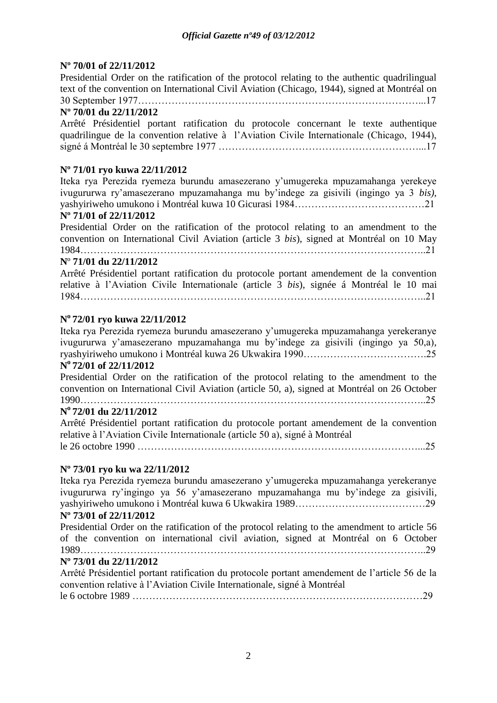#### **Nº 70/01 of 22/11/2012**

Presidential Order on the ratification of the protocol relating to the authentic quadrilingual text of the convention on International Civil Aviation (Chicago, 1944), signed at Montréal on 30 September 1977…………………………………………………………………………...17

#### **Nº 70/01 du 22/11/2012**

Arrêté Présidentiel portant ratification du protocole concernant le texte authentique quadrilingue de la convention relative à l'Aviation Civile Internationale (Chicago, 1944), signé á Montréal le 30 septembre 1977 ……………………………………………………...17

#### **Nº 71/01 ryo kuwa 22/11/2012**

Iteka rya Perezida ryemeza burundu amasezerano y'umugereka mpuzamahanga yerekeye ivugururwa ry'amasezerano mpuzamahanga mu by'indege za gisivili (ingingo ya 3 *bis),* yashyiriweho umukono i Montréal kuwa 10 Gicurasi 1984…………………………………21

#### **Nº 71/01 of 22/11/2012**

Presidential Order on the ratification of the protocol relating to an amendment to the convention on International Civil Aviation (article 3 *bis*), signed at Montréal on 10 May 1984…………………………………………………………………………………………..21

#### **N**º **71/01 du 22/11/2012**

Arrêté Présidentiel portant ratification du protocole portant amendement de la convention relative à l'Aviation Civile Internationale (article 3 *bis*), signée á Montréal le 10 mai 1984…………………………………………………………………………………………..21

### **N o 72/01 ryo kuwa 22/11/2012**

Iteka rya Perezida ryemeza burundu amasezerano y'umugereka mpuzamahanga yerekeranye ivugururwa y'amasezerano mpuzamahanga mu by'indege za gisivili (ingingo ya 50,a)*,* ryashyiriweho umukono i Montréal kuwa 26 Ukwakira 1990……………………………….25

## **N o 72/01 of 22/11/2012**

Presidential Order on the ratification of the protocol relating to the amendment to the convention on International Civil Aviation (article 50, a), signed at Montréal on 26 October  $1990\qquad \qquad \qquad \qquad 25$ 

## **N <sup>o</sup>72/01 du 22/11/2012**

Arrêté Présidentiel portant ratification du protocole portant amendement de la convention relative à l'Aviation Civile Internationale (article 50 a), signé à Montréal le 26 octobre 1990 …………………………………………………………………………...25

#### **Nº 73/01 ryo ku wa 22/11/2012**

Iteka rya Perezida ryemeza burundu amasezerano y'umugereka mpuzamahanga yerekeranye ivugururwa ry'ingingo ya 56 y'amasezerano mpuzamahanga mu by'indege za gisivili*,* yashyiriweho umukono i Montréal kuwa 6 Ukwakira 1989…………………………………29

## **Nº 73/01 of 22/11/2012**

Presidential Order on the ratification of the protocol relating to the amendment to article 56 of the convention on international civil aviation, signed at Montréal on 6 October 1989…………………………………………………………………………………………..29

#### **Nº 73/01 du 22/11/2012**

Arrêté Présidentiel portant ratification du protocole portant amendement de l'article 56 de la convention relative à l'Aviation Civile Internationale, signé à Montréal le 6 octobre 1989 ……………………………………………………………………………29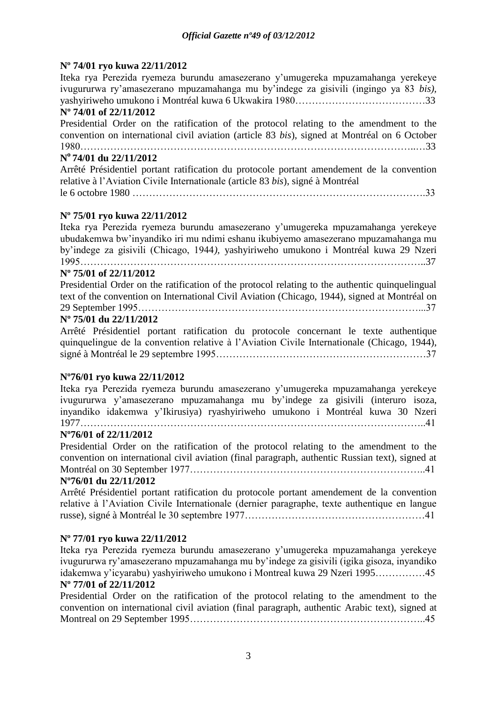#### **Nº 74/01 ryo kuwa 22/11/2012**

Iteka rya Perezida ryemeza burundu amasezerano y'umugereka mpuzamahanga yerekeye ivugururwa ry'amasezerano mpuzamahanga mu by'indege za gisivili (ingingo ya 83 *bis),* yashyiriweho umukono i Montréal kuwa 6 Ukwakira 1980…………………………………33 **Nº 74/01 of 22/11/2012** Presidential Order on the ratification of the protocol relating to the amendment to the convention on international civil aviation (article 83 *bis*), signed at Montréal on 6 October 1980………………………………………………………………………………………..…33 **N o 74/01 du 22/11/2012** Arrêté Présidentiel portant ratification du protocole portant amendement de la convention relative à l'Aviation Civile Internationale (article 83 *bis*), signé à Montréal le 6 octobre 1980 …………………………………………………………………………….33

#### **Nº 75/01 ryo kuwa 22/11/2012**

Iteka rya Perezida ryemeza burundu amasezerano y'umugereka mpuzamahanga yerekeye ubudakemwa bw'inyandiko iri mu ndimi eshanu ikubiyemo amasezerano mpuzamahanga mu by'indege za gisivili (Chicago, 1944*),* yashyiriweho umukono i Montréal kuwa 29 Nzeri  $1995$  .  $37$ 

#### **Nº 75/01 of 22/11/2012**

Presidential Order on the ratification of the protocol relating to the authentic quinquelingual text of the convention on International Civil Aviation (Chicago, 1944), signed at Montréal on 29 September 1995…………………………………………………………………………...37

#### **Nº 75/01 du 22/11/2012**

Arrêté Présidentiel portant ratification du protocole concernant le texte authentique quinquelingue de la convention relative à l'Aviation Civile Internationale (Chicago, 1944), signé à Montréal le 29 septembre 1995………………………………………………………37

#### **Nº76/01 ryo kuwa 22/11/2012**

Iteka rya Perezida ryemeza burundu amasezerano y'umugereka mpuzamahanga yerekeye ivugururwa y'amasezerano mpuzamahanga mu by'indege za gisivili (interuro isoza, inyandiko idakemwa y'Ikirusiya) ryashyiriweho umukono i Montréal kuwa 30 Nzeri 1977…………………………………………………………………………………………..41

#### **Nº76/01 of 22/11/2012**

Presidential Order on the ratification of the protocol relating to the amendment to the convention on international civil aviation (final paragraph, authentic Russian text), signed at Montréal on 30 September 1977……………………………………………………………..41

#### **Nº76/01 du 22/11/2012**

Arrêté Présidentiel portant ratification du protocole portant amendement de la convention relative à l'Aviation Civile Internationale (dernier paragraphe, texte authentique en langue russe), signé à Montréal le 30 septembre 1977………………………………………………41

#### **Nº 77/01 ryo kuwa 22/11/2012**

Iteka rya Perezida ryemeza burundu amasezerano y'umugereka mpuzamahanga yerekeye ivugururwa ry'amasezerano mpuzamahanga mu by'indege za gisivili (igika gisoza, inyandiko idakemwa y'icyarabu) yashyiriweho umukono i Montreal kuwa 29 Nzeri 1995……………45 **Nº 77/01 of 22/11/2012**

Presidential Order on the ratification of the protocol relating to the amendment to the convention on international civil aviation (final paragraph, authentic Arabic text), signed at Montreal on 29 September 1995……………………………………………………………..45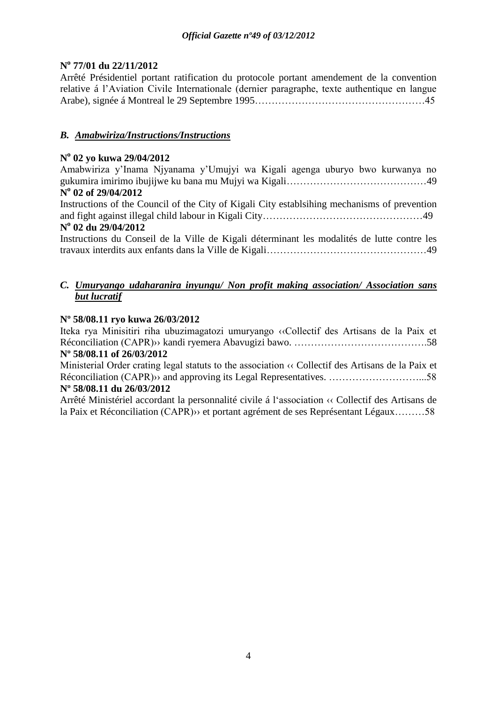### **N o 77/01 du 22/11/2012**

Arrêté Présidentiel portant ratification du protocole portant amendement de la convention relative á l'Aviation Civile Internationale (dernier paragraphe, texte authentique en langue Arabe), signée á Montreal le 29 Septembre 1995……………………………………………45

### *B. Amabwiriza/Instructions/Instructions*

#### **N o 02 yo kuwa 29/04/2012**

Amabwiriza y'Inama Njyanama y'Umujyi wa Kigali agenga uburyo bwo kurwanya no gukumira imirimo ibujijwe ku bana mu Mujyi wa Kigali……………………………………49 **N o 02 of 29/04/2012**

Instructions of the Council of the City of Kigali City establsihing mechanisms of prevention and fight against illegal child labour in Kigali City…………………………………………49 **N o 02 du 29/04/2012**

#### Instructions du Conseil de la Ville de Kigali déterminant les modalités de lutte contre les travaux interdits aux enfants dans la Ville de Kigali…………………………………………49

#### *C. Umuryango udaharanira inyungu/ Non profit making association/ Association sans but lucratif*

#### **Nº 58/08.11 ryo kuwa 26/03/2012**

Iteka rya Minisitiri riha ubuzimagatozi umuryango ‹‹Collectif des Artisans de la Paix et Réconciliation (CAPR)›› kandi ryemera Abavugizi bawo. ………………………………….58 **Nº 58/08.11 of 26/03/2012**

Ministerial Order crating legal statuts to the association ‹‹ Collectif des Artisans de la Paix et Réconciliation (CAPR)›› and approving its Legal Representatives. ………………………...58 **Nº 58/08.11 du 26/03/2012**

Arrêté Ministériel accordant la personnalité civile á l'association ‹‹ Collectif des Artisans de la Paix et Réconciliation (CAPR)›› et portant agrément de ses Représentant Légaux………58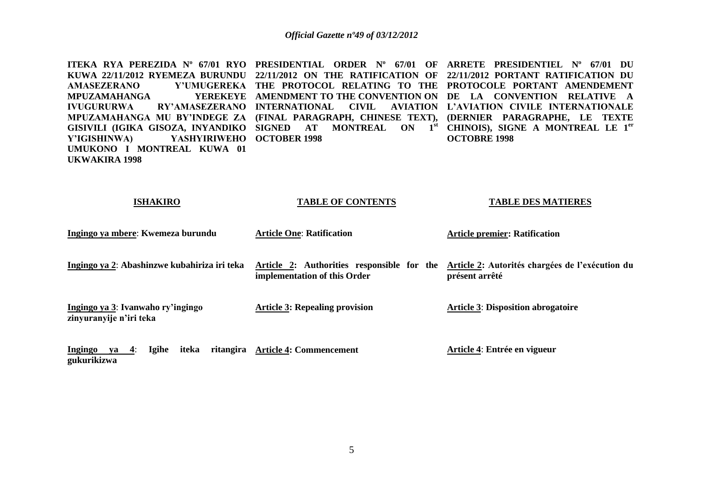**ITEKA RYA PEREZIDA Nº 67/01 RYO PRESIDENTIAL ORDER Nº 67/01 OF ARRETE PRESIDENTIEL Nº 67/01 DU KUWA 22/11/2012 RYEMEZA BURUNDU 22/11/2012 ON THE RATIFICATION OF 22/11/2012 PORTANT RATIFICATION DU AMASEZERANO Y'UMUGEREKA THE PROTOCOL RELATING TO THE PROTOCOLE PORTANT AMENDEMENT MPUZAMAHANGA IVUGURURWA RY'AMASEZERANO INTERNATIONAL CIVIL AVIATION L'AVIATION CIVILE INTERNATIONALE MPUZAMAHANGA MU BY'INDEGE ZA (FINAL PARAGRAPH, CHINESE TEXT), (DERNIER PARAGRAPHE, LE TEXTE GISIVILI (IGIKA GISOZA, INYANDIKO SIGNED AT MONTREAL ON 1st CHINOIS), SIGNE A MONTREAL LE 1er Y'IGISHINWA) YASHYIRIWEHO OCTOBER 1998 UMUKONO I MONTREAL KUWA 01 UKWAKIRA 1998 AMENDMENT TO THE CONVENTION ON DE LA CONVENTION RELATIVE A OCTOBRE 1998** 

| ISHAKIRO                                                     | TABLE OF CONTENTS                                                          | TABLE DES MATIERES                                                |
|--------------------------------------------------------------|----------------------------------------------------------------------------|-------------------------------------------------------------------|
| Ingingo ya mbere: Kwemeza burundu                            | <b>Article One: Ratification</b>                                           | <b>Article premier: Ratification</b>                              |
| Ingingo ya 2: Abashinzwe kubahiriza iri teka                 | Article 2: Authorities responsible for the<br>implementation of this Order | Article 2: Autorités chargées de l'exécution du<br>présent arrêté |
| Ingingo ya 3: Ivanwaho ry'ingingo<br>zinyuranyije n'iri teka | <b>Article 3: Repealing provision</b>                                      | <b>Article 3: Disposition abrogatoire</b>                         |
| Ingingo ya 4:<br><b>Igihe</b><br>iteka<br>gukurikizwa        | ritangira Article 4: Commencement                                          | Article 4: Entrée en vigueur                                      |

**TABLE OF CONTENTS**

**TABLE DES MATIERES**

**ISHAKIRO**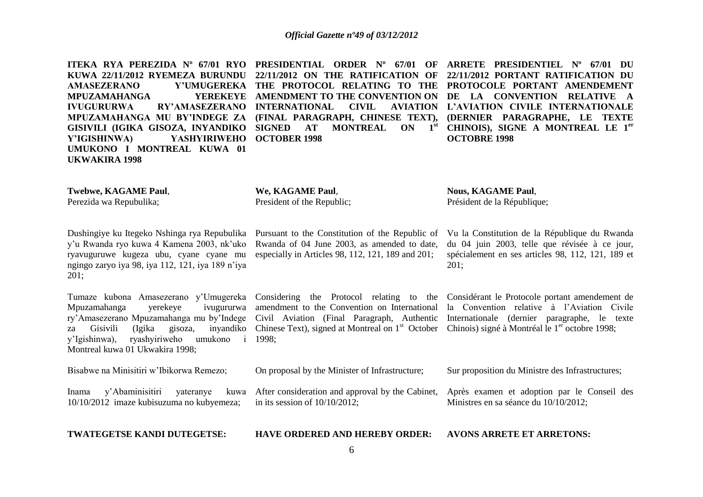**ITEKA RYA PEREZIDA Nº 67/01 RYO PRESIDENTIAL ORDER Nº 67/01 OF ARRETE PRESIDENTIEL Nº 67/01 DU KUWA 22/11/2012 RYEMEZA BURUNDU 22/11/2012 ON THE RATIFICATION OF 22/11/2012 PORTANT RATIFICATION DU AMASEZERANO Y'UMUGEREKA THE PROTOCOL RELATING TO THE PROTOCOLE PORTANT AMENDEMENT MPUZAMAHANGA IVUGURURWA RY'AMASEZERANO INTERNATIONAL CIVIL AVIATION MPUZAMAHANGA MU BY'INDEGE ZA (FINAL PARAGRAPH, CHINESE TEXT), GISIVILI (IGIKA GISOZA, INYANDIKO SIGNED AT MONTREAL ON 1st Y'IGISHINWA) YASHYIRIWEHO OCTOBER 1998 UMUKONO I MONTREAL KUWA 01 UKWAKIRA 1998**

**AMENDMENT TO THE CONVENTION ON DE LA CONVENTION RELATIVE A L'AVIATION CIVILE INTERNATIONALE CHINOIS), SIGNE A MONTREAL LE 1er**

**We, KAGAME Paul**,

President of the Republic;

**Nous, KAGAME Paul**, Président de la République;

**OCTOBRE 1998** 

Dushingiye ku Itegeko Nshinga rya Repubulika y'u Rwanda ryo kuwa 4 Kamena 2003, nk'uko ryavuguruwe kugeza ubu, cyane cyane mu ngingo zaryo iya 98, iya 112, 121, iya 189 n'iya  $201:$ 

**Twebwe, KAGAME Paul**, Perezida wa Repubulika;

Tumaze kubona Amasezerano y'Umugereka Mpuzamahanga yerekeye ivugururwa za Gisivili (Igika gisoza, y'Igishinwa), ryashyiriweho umukono i 1998; Montreal kuwa 01 Ukwakira 1998;

Pursuant to the Constitution of the Republic of Rwanda of 04 June 2003, as amended to date, especially in Articles 98, 112, 121, 189 and 201;

ry'Amasezerano Mpuzamahanga mu by'Indege Civil Aviation (Final Paragraph, Authentic Considering the Protocol relating to the amendment to the Convention on International Chinese Text), signed at Montreal on 1<sup>st</sup> October Chinois) signé à Montréal le 1<sup>er</sup> octobre 1998;

On proposal by the Minister of Infrastructure;

in its session of 10/10/2012;

Vu la Constitution de la République du Rwanda du 04 juin 2003, telle que révisée à ce jour, spécialement en ses articles 98, 112, 121, 189 et 201;

**(DERNIER PARAGRAPHE, LE TEXTE** 

Considérant le Protocole portant amendement de la Convention relative à l'Aviation Civile Internationale (dernier paragraphe, le texte

Sur proposition du Ministre des Infrastructures;

After consideration and approval by the Cabinet, Après examen et adoption par le Conseil des Ministres en sa séance du 10/10/2012;

**TWATEGETSE KANDI DUTEGETSE:**

Bisabwe na Minisitiri w'Ibikorwa Remezo;

Inama y'Abaminisitiri yateranye 10/10/2012 imaze kubisuzuma no kubyemeza;

**HAVE ORDERED AND HEREBY ORDER:**

6

**AVONS ARRETE ET ARRETONS:**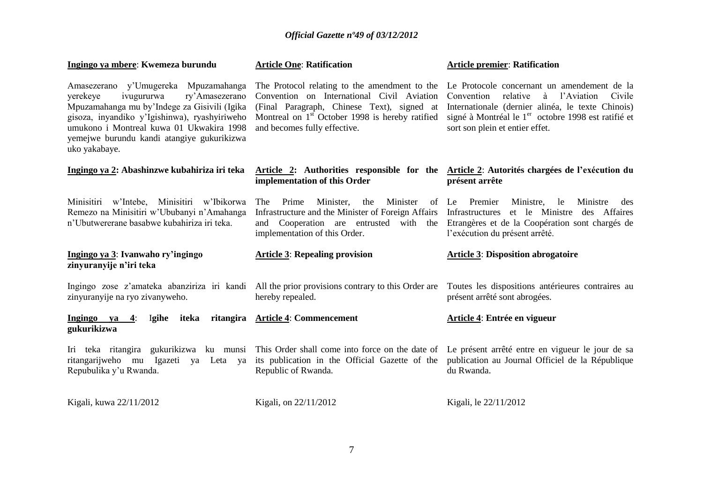| Ingingo ya mbere: Kwemeza burundu                                                                                                                                                                                                                                                            | <b>Article One: Ratification</b>                                                                                                                                              | <b>Article premier: Ratification</b>                                                                                                                                                                                                                                                                     |
|----------------------------------------------------------------------------------------------------------------------------------------------------------------------------------------------------------------------------------------------------------------------------------------------|-------------------------------------------------------------------------------------------------------------------------------------------------------------------------------|----------------------------------------------------------------------------------------------------------------------------------------------------------------------------------------------------------------------------------------------------------------------------------------------------------|
| Amasezerano y'Umugereka Mpuzamahanga<br>ivugururwa<br>ry'Amasezerano<br>yerekeye<br>Mpuzamahanga mu by'Indege za Gisivili (Igika<br>gisoza, inyandiko y'Igishinwa), ryashyiriweho<br>umukono i Montreal kuwa 01 Ukwakira 1998<br>yemejwe burundu kandi atangiye gukurikizwa<br>uko yakabaye. | Convention on International Civil Aviation<br>(Final Paragraph, Chinese Text), signed at<br>Montreal on $1st$ October 1998 is hereby ratified<br>and becomes fully effective. | The Protocol relating to the amendment to the Le Protocole concernant un amendement de la<br>relative<br>Convention<br>à l'Aviation<br>Civile<br>Internationale (dernier alinéa, le texte Chinois)<br>signé à Montréal le 1 <sup>er</sup> octobre 1998 est ratifié et<br>sort son plein et entier effet. |
| Ingingo ya 2: Abashinzwe kubahiriza iri teka                                                                                                                                                                                                                                                 | implementation of this Order                                                                                                                                                  | Article 2: Authorities responsible for the Article 2: Autorités chargées de l'exécution du<br>présent arrête                                                                                                                                                                                             |
| Minisitiri w'Intebe, Minisitiri w'Ibikorwa<br>Remezo na Minisitiri w'Ububanyi n'Amahanga<br>n'Ubutwererane basabwe kubahiriza iri teka.                                                                                                                                                      | Minister,<br>Minister<br>The<br>Prime<br>the<br>Infrastructure and the Minister of Foreign Affairs<br>and Cooperation are entrusted with the<br>implementation of this Order. | Premier<br>Ministre,<br>Ministre<br>of Le<br>le<br>des<br>et le Ministre<br>Infrastructures<br>des Affaires<br>Etrangères et de la Coopération sont chargés de<br>l'exécution du présent arrêté.                                                                                                         |
| Ingingo ya 3: Ivanwaho ry'ingingo<br>zinyuranyije n'iri teka                                                                                                                                                                                                                                 | <b>Article 3: Repealing provision</b>                                                                                                                                         | <b>Article 3: Disposition abrogatoire</b>                                                                                                                                                                                                                                                                |
| zinyuranyije na ryo zivanyweho.                                                                                                                                                                                                                                                              | Ingingo zose z'amateka abanziriza iri kandi All the prior provisions contrary to this Order are<br>hereby repealed.                                                           | Toutes les dispositions antérieures contraires au<br>présent arrêté sont abrogées.                                                                                                                                                                                                                       |
| Igihe iteka<br>Ingingo ya 4:<br>gukurikizwa                                                                                                                                                                                                                                                  | ritangira Article 4: Commencement                                                                                                                                             | Article 4: Entrée en vigueur                                                                                                                                                                                                                                                                             |
| Iri teka ritangira gukurikizwa ku munsi<br>ritangarijweho mu<br>Igazeti ya Leta ya<br>Repubulika y'u Rwanda.                                                                                                                                                                                 | its publication in the Official Gazette of the<br>Republic of Rwanda.                                                                                                         | This Order shall come into force on the date of Le présent arrêté entre en vigueur le jour de sa<br>publication au Journal Officiel de la République<br>du Rwanda.                                                                                                                                       |
| Kigali, kuwa 22/11/2012                                                                                                                                                                                                                                                                      | Kigali, on 22/11/2012                                                                                                                                                         | Kigali, le 22/11/2012                                                                                                                                                                                                                                                                                    |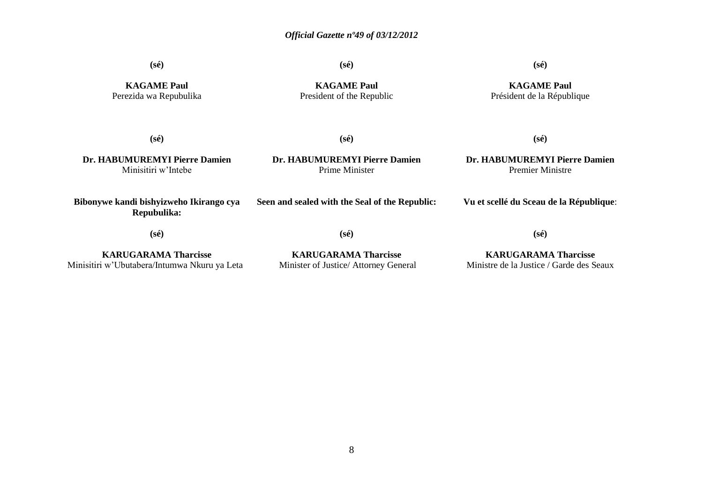**(sé)**

**(sé)**

**(sé)**

**KAGAME Paul** Perezida wa Repubulika

**KAGAME Paul** President of the Republic

**KAGAME Paul** Président de la République

**(sé)**

**(sé)**

**Dr. HABUMUREMYI Pierre Damien** Minisitiri w'Intebe

**Dr. HABUMUREMYI Pierre Damien** Prime Minister

**(sé)**

**Dr. HABUMUREMYI Pierre Damien** Premier Ministre

**Bibonywe kandi bishyizweho Ikirango cya Repubulika: Seen and sealed with the Seal of the Republic:**

**(sé)**

**(sé)**

**Vu et scellé du Sceau de la République**:

**KARUGARAMA Tharcisse** Minisitiri w'Ubutabera/Intumwa Nkuru ya Leta

**(sé)**

**KARUGARAMA Tharcisse** Minister of Justice/ Attorney General

**KARUGARAMA Tharcisse** Ministre de la Justice / Garde des Seaux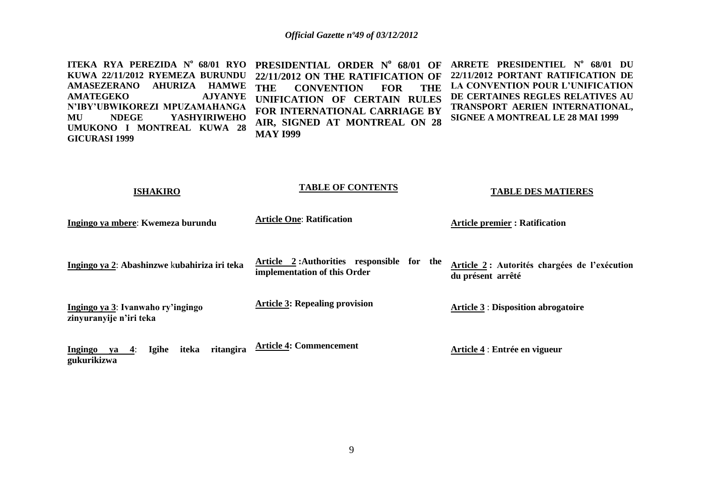|                                 | ITEKA RYA PEREZIDA Nº 68/01 RYO PRESIDENTIAL ORDER Nº 68/01 OF ARRETE PRESIDENTIEL Nº 68/01 DU |                                         |
|---------------------------------|------------------------------------------------------------------------------------------------|-----------------------------------------|
| KUWA 22/11/2012 RYEMEZA BURUNDU | 22/11/2012 ON THE RATIFICATION OF 22/11/2012 PORTANT RATIFICATION DE                           |                                         |
| AMASEZERANO AHURIZA HAMWE       | THE CONVENTION FOR THE LA CONVENTION POUR L'UNIFICATION                                        |                                         |
| AMATEGEKO AJYANYE               | UNIFICATION OF CERTAIN RULES                                                                   | DE CERTAINES REGLES RELATIVES AU        |
| N'IBY'UBWIKOREZI MPUZAMAHANGA   | FOR INTERNATIONAL CARRIAGE BY                                                                  | TRANSPORT AERIEN INTERNATIONAL,         |
| MU NDEGE YASHYIRIWEHO           | AIR, SIGNED AT MONTREAL ON 28                                                                  | <b>SIGNEE A MONTREAL LE 28 MAI 1999</b> |
| UMUKONO I MONTREAL KUWA 28      |                                                                                                |                                         |
| <b>GICURASI 1999</b>            | <b>MAY 1999</b>                                                                                |                                         |

| <b>ISHAKIRO</b>                                                       | <b>TABLE OF CONTENTS</b>                                                      | <b>TABLE DES MATIERES</b>                                          |
|-----------------------------------------------------------------------|-------------------------------------------------------------------------------|--------------------------------------------------------------------|
| Ingingo ya mbere: Kwemeza burundu                                     | <b>Article One: Ratification</b>                                              | <b>Article premier: Ratification</b>                               |
| Ingingo ya 2: Abashinzwe kubahiriza iri teka                          | Article 2: Authorities responsible<br>for the<br>implementation of this Order | Article 2 : Autorités chargées de l'exécution<br>du présent arrêté |
| Ingingo ya 3: Ivanwaho ry'ingingo<br>zinyuranyije n'iri teka          | <b>Article 3: Repealing provision</b>                                         | <b>Article 3 : Disposition abrogatoire</b>                         |
| <b>Igihe</b><br>iteka<br>ritangira<br>Ingingo<br>va 4:<br>gukurikizwa | <b>Article 4: Commencement</b>                                                | Article 4 : Entrée en vigueur                                      |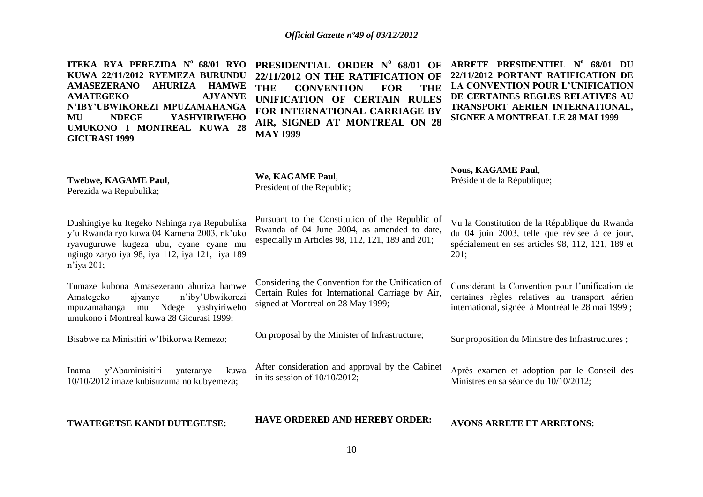| ITEKA RYA PEREZIDA Nº 68/01 RYO<br>KUWA 22/11/2012 RYEMEZA BURUNDU<br><b>AHURIZA</b><br><b>AMASEZERANO</b><br><b>HAMWE</b><br><b>AJYANYE</b><br><b>AMATEGEKO</b><br>N'IBY'UBWIKOREZI MPUZAMAHANGA<br><b>NDEGE</b><br><b>YASHYIRIWEHO</b><br>MU<br>UMUKONO I MONTREAL KUWA 28<br><b>GICURASI 1999</b> | PRESIDENTIAL ORDER Nº 68/01 OF<br>22/11/2012 ON THE RATIFICATION OF<br><b>THE</b><br><b>CONVENTION</b><br><b>FOR</b><br><b>THE</b><br>UNIFICATION OF CERTAIN RULES<br>FOR INTERNATIONAL CARRIAGE BY<br>AIR, SIGNED AT MONTREAL ON 28<br><b>MAY 1999</b> | ARRETE PRESIDENTIEL Nº 68/01 DU<br>22/11/2012 PORTANT RATIFICATION DE<br>LA CONVENTION POUR L'UNIFICATION<br>DE CERTAINES REGLES RELATIVES AU<br>TRANSPORT AERIEN INTERNATIONAL,<br><b>SIGNEE A MONTREAL LE 28 MAI 1999</b> |
|------------------------------------------------------------------------------------------------------------------------------------------------------------------------------------------------------------------------------------------------------------------------------------------------------|---------------------------------------------------------------------------------------------------------------------------------------------------------------------------------------------------------------------------------------------------------|-----------------------------------------------------------------------------------------------------------------------------------------------------------------------------------------------------------------------------|
| Twebwe, KAGAME Paul,<br>Perezida wa Repubulika;                                                                                                                                                                                                                                                      | We, KAGAME Paul,<br>President of the Republic;                                                                                                                                                                                                          | <b>Nous, KAGAME Paul,</b><br>Président de la République;                                                                                                                                                                    |
| Dushingiye ku Itegeko Nshinga rya Repubulika<br>y'u Rwanda ryo kuwa 04 Kamena 2003, nk'uko<br>ryavuguruwe kugeza ubu, cyane cyane mu<br>ngingo zaryo iya 98, iya 112, iya 121, iya 189<br>$n$ 'iya 201;                                                                                              | Pursuant to the Constitution of the Republic of<br>Rwanda of 04 June 2004, as amended to date,<br>especially in Articles 98, 112, 121, 189 and 201;                                                                                                     | Vu la Constitution de la République du Rwanda<br>du 04 juin 2003, telle que révisée à ce jour,<br>spécialement en ses articles 98, 112, 121, 189 et<br>201;                                                                 |
| Tumaze kubona Amasezerano ahuriza hamwe<br>n'iby'Ubwikorezi<br>Amategeko<br>ajyanye<br>mpuzamahanga mu Ndege yashyiriweho<br>umukono i Montreal kuwa 28 Gicurasi 1999;                                                                                                                               | Considering the Convention for the Unification of<br>Certain Rules for International Carriage by Air,<br>signed at Montreal on 28 May 1999;                                                                                                             | Considérant la Convention pour l'unification de<br>certaines règles relatives au transport aérien<br>international, signée à Montréal le 28 mai 1999 ;                                                                      |
| Bisabwe na Minisitiri w'Ibikorwa Remezo;                                                                                                                                                                                                                                                             | On proposal by the Minister of Infrastructure;                                                                                                                                                                                                          | Sur proposition du Ministre des Infrastructures;                                                                                                                                                                            |
| y'Abaminisitiri<br>yateranye<br>kuwa<br>Inama<br>10/10/2012 imaze kubisuzuma no kubyemeza;                                                                                                                                                                                                           | After consideration and approval by the Cabinet<br>in its session of $10/10/2012$ ;                                                                                                                                                                     | Après examen et adoption par le Conseil des<br>Ministres en sa séance du 10/10/2012;                                                                                                                                        |
| TWATEGETSE KANDI DUTEGETSE:                                                                                                                                                                                                                                                                          | <b>HAVE ORDERED AND HEREBY ORDER:</b>                                                                                                                                                                                                                   | <b>AVONS ARRETE ET ARRETONS:</b>                                                                                                                                                                                            |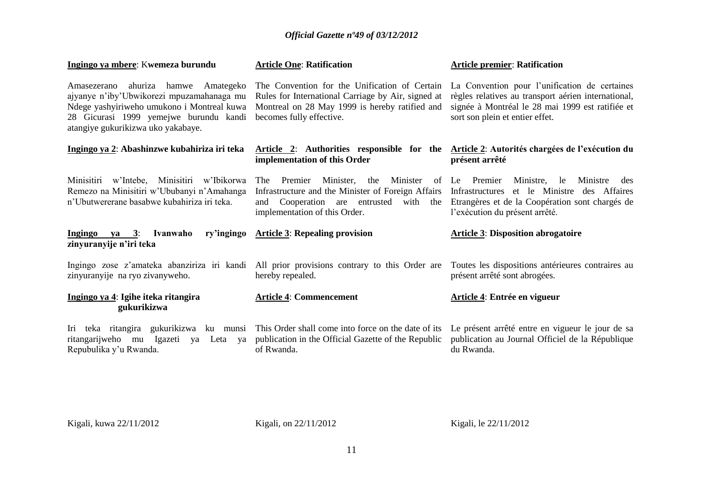| Ingingo ya mbere: Kwemeza burundu                                                                                                                                                                                 | <b>Article One: Ratification</b>                                                                                                                                                       | <b>Article premier: Ratification</b>                                                                                                                                                        |
|-------------------------------------------------------------------------------------------------------------------------------------------------------------------------------------------------------------------|----------------------------------------------------------------------------------------------------------------------------------------------------------------------------------------|---------------------------------------------------------------------------------------------------------------------------------------------------------------------------------------------|
| ahuriza hamwe Amategeko<br>Amasezerano<br>ajyanye n'iby'Ubwikorezi mpuzamahanaga mu<br>Ndege yashyiriweho umukono i Montreal kuwa<br>28 Gicurasi 1999 yemejwe burundu kandi<br>atangiye gukurikizwa uko yakabaye. | The Convention for the Unification of Certain<br>Rules for International Carriage by Air, signed at<br>Montreal on 28 May 1999 is hereby ratified and<br>becomes fully effective.      | La Convention pour l'unification de certaines<br>règles relatives au transport aérien international,<br>signée à Montréal le 28 mai 1999 est ratifiée et<br>sort son plein et entier effet. |
| Ingingo ya 2: Abashinzwe kubahiriza iri teka                                                                                                                                                                      | Article 2: Authorities responsible for the Article 2: Autorités chargées de l'exécution du<br>implementation of this Order                                                             | présent arrêté                                                                                                                                                                              |
| Minisitiri w'Intebe, Minisitiri w'Ibikorwa<br>Remezo na Minisitiri w'Ububanyi n'Amahanga<br>n'Ubutwererane basabwe kubahiriza iri teka.                                                                           | Minister,<br>the<br>Minister<br><b>The</b><br>Premier<br>Infrastructure and the Minister of Foreign Affairs<br>and Cooperation are entrusted with the<br>implementation of this Order. | of Le Premier<br>Ministre,<br>Ministre<br>le<br>des<br>Infrastructures et le Ministre des Affaires<br>Etrangères et de la Coopération sont chargés de<br>l'exécution du présent arrêté.     |
| Ingingo ya 3:<br>Ivanwaho<br>ry'ingingo<br>zinyuranyije n'iri teka                                                                                                                                                | <b>Article 3: Repealing provision</b>                                                                                                                                                  | <b>Article 3: Disposition abrogatoire</b>                                                                                                                                                   |
| Ingingo zose z'amateka abanziriza iri kandi<br>zinyuranyije na ryo zivanyweho.                                                                                                                                    | All prior provisions contrary to this Order are<br>hereby repealed.                                                                                                                    | Toutes les dispositions antérieures contraires au<br>présent arrêté sont abrogées.                                                                                                          |
| Ingingo ya 4: Igihe iteka ritangira<br>gukurikizwa                                                                                                                                                                | <b>Article 4: Commencement</b>                                                                                                                                                         | Article 4: Entrée en vigueur                                                                                                                                                                |
| Iri teka ritangira gukurikizwa ku munsi<br>ritangarijweho<br>mu<br>Igazeti ya Leta ya<br>Repubulika y'u Rwanda.                                                                                                   | This Order shall come into force on the date of its<br>publication in the Official Gazette of the Republic<br>of Rwanda.                                                               | Le présent arrêté entre en vigueur le jour de sa<br>publication au Journal Officiel de la République<br>du Rwanda.                                                                          |

Kigali, kuwa 22/11/2012 Kigali, on 22/11/2012 Kigali, le 22/11/2012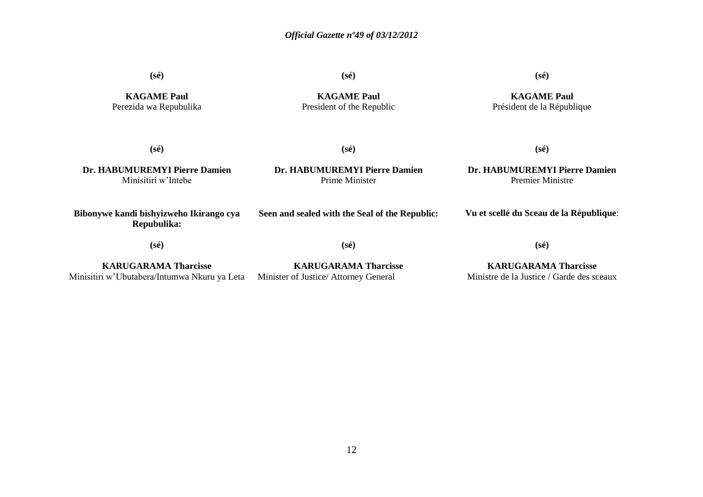**(sé)**

**KAGAME Paul** Perezida wa Repubulika **(sé)**

**KAGAME Paul** President of the Republic **(sé)**

**KAGAME Paul** Président de la République

**(sé)**

**(sé)**

**Dr. HABUMUREMYI Pierre Damien** Minisitiri w'Intebe

**Dr. HABUMUREMYI Pierre Damien** Prime Minister

**Dr. HABUMUREMYI Pierre Damien** Premier Ministre

**(sé)**

**Bibonywe kandi bishyizweho Ikirango cya Repubulika: (sé) Seen and sealed with the Seal of the Republic: (sé) Vu et scellé du Sceau de la République**: **(sé)**

**KARUGARAMA Tharcisse** Minisitiri w'Ubutabera/Intumwa Nkuru ya Leta Minister of Justice/ Attorney General

**KARUGARAMA Tharcisse**

**KARUGARAMA Tharcisse** Ministre de la Justice / Garde des sceaux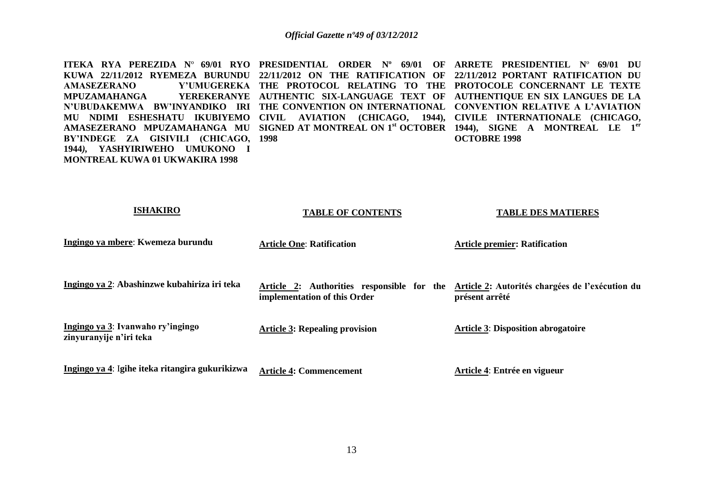**ITEKA RYA PEREZIDA N**º **69/01 RYO PRESIDENTIAL ORDER Nº 69/01 OF ARRETE PRESIDENTIEL N**º **69/01 DU KUWA 22/11/2012 RYEMEZA BURUNDU 22/11/2012 ON THE RATIFICATION OF 22/11/2012 PORTANT RATIFICATION DU AMASEZERANO Y'UMUGEREKA THE PROTOCOL RELATING TO THE PROTOCOLE CONCERNANT LE TEXTE MPUZAMAHANGA N'UBUDAKEMWA BW'INYANDIKO IRI THE CONVENTION ON INTERNATIONAL CONVENTION RELATIVE A L'AVIATION**  MU NDIMI ESHESHATU IKUBIYEMO CIVIL AVIATION (CHICAGO, 1944), CIVILE INTERNATIONALE (CHICAGO, **AMASEZERANO MPUZAMAHANGA MU SIGNED AT MONTREAL ON 1st OCTOBER 1944), SIGNE A MONTREAL LE 1er BY'INDEGE ZA GISIVILI (CHICAGO, 1998 1944***),* **YASHYIRIWEHO UMUKONO I MONTREAL KUWA 01 UKWAKIRA 1998 AUTHENTIC SIX-LANGUAGE TEXT OF AUTHENTIQUE EN SIX LANGUES DE LA OCTOBRE 1998** 

| <b>ISHAKIRO</b>                                              | <b>TABLE OF CONTENTS</b>                                                   | <b>TABLE DES MATIERES</b>                                         |
|--------------------------------------------------------------|----------------------------------------------------------------------------|-------------------------------------------------------------------|
| Ingingo ya mbere: Kwemeza burundu                            | <b>Article One: Ratification</b>                                           | <b>Article premier: Ratification</b>                              |
| Ingingo ya 2: Abashinzwe kubahiriza iri teka                 | Article 2: Authorities responsible for the<br>implementation of this Order | Article 2: Autorités chargées de l'exécution du<br>présent arrêté |
| Ingingo ya 3: Ivanwaho ry'ingingo<br>zinyuranyije n'iri teka | <b>Article 3: Repealing provision</b>                                      | <b>Article 3: Disposition abrogatoire</b>                         |
| Ingingo ya 4: Igihe iteka ritangira gukurikizwa              | <b>Article 4: Commencement</b>                                             | Article 4: Entrée en vigueur                                      |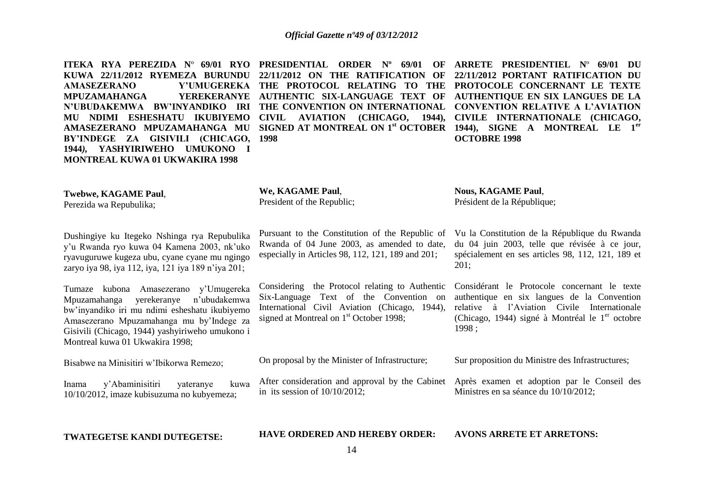| ITEKA RYA PEREZIDA Nº 69/01 RYO<br>KUWA 22/11/2012 RYEMEZA BURUNDU<br><b>AMASEZERANO</b><br>Y'UMUGEREKA<br><b>YEREKERANYE</b><br><b>MPUZAMAHANGA</b><br>N'UBUDAKEMWA BW'INYANDIKO IRI<br>MU NDIMI ESHESHATU IKUBIYEMO<br>AMASEZERANO MPUZAMAHANGA MU<br>BY'INDEGE ZA GISIVILI (CHICAGO,<br>1944), YASHYIRIWEHO UMUKONO I<br><b>MONTREAL KUWA 01 UKWAKIRA 1998</b> | PRESIDENTIAL ORDER Nº 69/01<br>OF<br>22/11/2012 ON THE RATIFICATION<br>OF<br>THE PROTOCOL RELATING TO THE<br>AUTHENTIC SIX-LANGUAGE TEXT OF<br>THE CONVENTION ON INTERNATIONAL<br>(CHICAGO, 1944),<br><b>CIVIL</b><br><b>AVIATION</b><br>SIGNED AT MONTREAL ON 1 <sup>st</sup> OCTOBER 1944), SIGNE A MONTREAL LE<br>1998 | ARRETE PRESIDENTIEL Nº 69/01 DU<br>22/11/2012 PORTANT RATIFICATION DU<br>PROTOCOLE CONCERNANT LE TEXTE<br>AUTHENTIQUE EN SIX LANGUES DE LA<br><b>CONVENTION RELATIVE A L'AVIATION</b><br>CIVILE INTERNATIONALE (CHICAGO,<br>1 <sup>er</sup><br><b>OCTOBRE 1998</b> |
|-------------------------------------------------------------------------------------------------------------------------------------------------------------------------------------------------------------------------------------------------------------------------------------------------------------------------------------------------------------------|---------------------------------------------------------------------------------------------------------------------------------------------------------------------------------------------------------------------------------------------------------------------------------------------------------------------------|--------------------------------------------------------------------------------------------------------------------------------------------------------------------------------------------------------------------------------------------------------------------|
| <b>Twebwe, KAGAME Paul,</b><br>Perezida wa Repubulika;                                                                                                                                                                                                                                                                                                            | We, KAGAME Paul,<br>President of the Republic;                                                                                                                                                                                                                                                                            | <b>Nous, KAGAME Paul,</b><br>Président de la République;                                                                                                                                                                                                           |
| Dushingiye ku Itegeko Nshinga rya Repubulika<br>y'u Rwanda ryo kuwa 04 Kamena 2003, nk'uko<br>ryavuguruwe kugeza ubu, cyane cyane mu ngingo<br>zaryo iya 98, iya 112, iya, 121 iya 189 n'iya 201;                                                                                                                                                                 | Pursuant to the Constitution of the Republic of<br>Rwanda of 04 June 2003, as amended to date,<br>especially in Articles 98, 112, 121, 189 and 201;                                                                                                                                                                       | Vu la Constitution de la République du Rwanda<br>du 04 juin 2003, telle que révisée à ce jour,<br>spécialement en ses articles 98, 112, 121, 189 et<br>201;                                                                                                        |
| Tumaze kubona Amasezerano y'Umugereka<br>yerekeranye<br>n'ubudakemwa<br>Mpuzamahanga<br>bw'inyandiko iri mu ndimi esheshatu ikubiyemo<br>Amasezerano Mpuzamahanga mu by'Indege za<br>Gisivili (Chicago, 1944) yashyiriweho umukono i<br>Montreal kuwa 01 Ukwakira 1998;                                                                                           | Considering the Protocol relating to Authentic<br>Six-Language Text of the Convention on<br>International Civil Aviation (Chicago, 1944),<br>signed at Montreal on $1st$ October 1998;                                                                                                                                    | Considérant le Protocole concernant le texte<br>authentique en six langues de la Convention<br>relative à l'Aviation Civile Internationale<br>(Chicago, 1944) signé à Montréal le $1er$ octobre<br>1998;                                                           |
| Bisabwe na Minisitiri w'Ibikorwa Remezo;                                                                                                                                                                                                                                                                                                                          | On proposal by the Minister of Infrastructure;                                                                                                                                                                                                                                                                            | Sur proposition du Ministre des Infrastructures;                                                                                                                                                                                                                   |
| y'Abaminisitiri<br>kuwa<br>yateranye<br>Inama<br>10/10/2012, imaze kubisuzuma no kubyemeza;                                                                                                                                                                                                                                                                       | After consideration and approval by the Cabinet<br>in its session of $10/10/2012$ ;                                                                                                                                                                                                                                       | Après examen et adoption par le Conseil des<br>Ministres en sa séance du 10/10/2012;                                                                                                                                                                               |
| TWATEGETSE KANDI DUTEGETSE:                                                                                                                                                                                                                                                                                                                                       | <b>HAVE ORDERED AND HEREBY ORDER:</b><br>14                                                                                                                                                                                                                                                                               | <b>AVONS ARRETE ET ARRETONS:</b>                                                                                                                                                                                                                                   |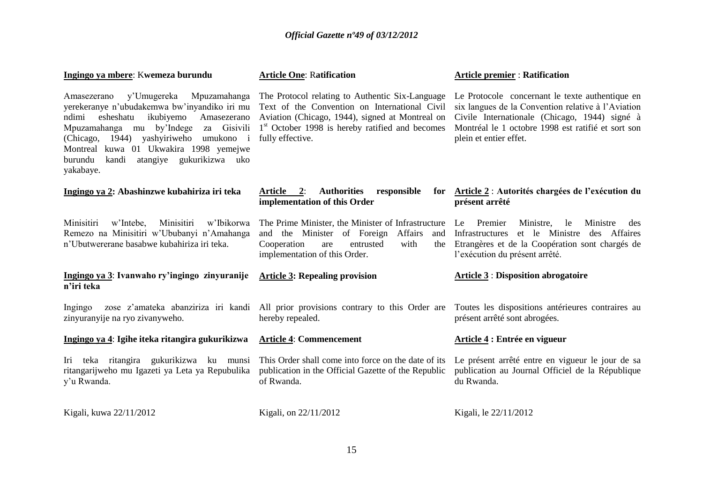| Ingingo ya mbere: Kwemeza burundu                                                                                                                                                                                                                                                                                                               | <b>Article One: Ratification</b>                                                                                                                                                                                                       | <b>Article premier: Ratification</b>                                                                                                                                                                                                   |
|-------------------------------------------------------------------------------------------------------------------------------------------------------------------------------------------------------------------------------------------------------------------------------------------------------------------------------------------------|----------------------------------------------------------------------------------------------------------------------------------------------------------------------------------------------------------------------------------------|----------------------------------------------------------------------------------------------------------------------------------------------------------------------------------------------------------------------------------------|
| y'Umugereka<br>Mpuzamahanga<br>Amasezerano<br>yerekeranye n'ubudakemwa bw'inyandiko iri mu<br>esheshatu<br>ikubiyemo<br>Amasezerano<br>ndimi<br>Mpuzamahanga mu by'Indege<br>za Gisivili<br>yashyiriweho umukono i<br>1944)<br>(Chicago,<br>Montreal kuwa 01 Ukwakira 1998 yemejwe<br>atangiye gukurikizwa uko<br>kandi<br>burundu<br>yakabaye. | The Protocol relating to Authentic Six-Language<br>Text of the Convention on International Civil<br>Aviation (Chicago, 1944), signed at Montreal on<br>1 <sup>st</sup> October 1998 is hereby ratified and becomes<br>fully effective. | Le Protocole concernant le texte authentique en<br>six langues de la Convention relative à l'Aviation<br>Civile Internationale (Chicago, 1944) signé à<br>Montréal le 1 octobre 1998 est ratifié et sort son<br>plein et entier effet. |
| Ingingo ya 2: Abashinzwe kubahiriza iri teka                                                                                                                                                                                                                                                                                                    | <b>Authorities</b><br>Article 2:<br>responsible<br>for<br>implementation of this Order                                                                                                                                                 | Article 2 : Autorités chargées de l'exécution du<br>présent arrêté                                                                                                                                                                     |
| Minisitiri<br>Minisitiri<br>w'Ibikorwa<br>w'Intebe,<br>Remezo na Minisitiri w'Ububanyi n'Amahanga<br>n'Ubutwererane basabwe kubahiriza iri teka.                                                                                                                                                                                                | The Prime Minister, the Minister of Infrastructure<br>Affairs<br>and the Minister<br>of Foreign<br>and<br>Cooperation<br>entrusted<br>with<br>are<br>the<br>implementation of this Order.                                              | Le Premier<br>Ministre,<br>Ministre<br>le<br>des<br>et le Ministre des Affaires<br>Infrastructures<br>Etrangères et de la Coopération sont chargés de<br>l'exécution du présent arrêté.                                                |
| Ingingo ya 3: Ivanwaho ry'ingingo zinyuranije<br>n'iri teka                                                                                                                                                                                                                                                                                     | <b>Article 3: Repealing provision</b>                                                                                                                                                                                                  | <b>Article 3 : Disposition abrogatoire</b>                                                                                                                                                                                             |
| Ingingo<br>zinyuranyije na ryo zivanyweho.                                                                                                                                                                                                                                                                                                      | zose z'amateka abanziriza iri kandi All prior provisions contrary to this Order are<br>hereby repealed.                                                                                                                                | Toutes les dispositions antérieures contraires au<br>présent arrêté sont abrogées.                                                                                                                                                     |
| Ingingo ya 4: Igihe iteka ritangira gukurikizwa                                                                                                                                                                                                                                                                                                 | <b>Article 4: Commencement</b>                                                                                                                                                                                                         | Article 4 : Entrée en vigueur                                                                                                                                                                                                          |
| Iri teka ritangira gukurikizwa ku munsi<br>ritangarijweho mu Igazeti ya Leta ya Repubulika<br>y'u Rwanda.                                                                                                                                                                                                                                       | This Order shall come into force on the date of its<br>publication in the Official Gazette of the Republic<br>of Rwanda.                                                                                                               | Le présent arrêté entre en vigueur le jour de sa<br>publication au Journal Officiel de la République<br>du Rwanda.                                                                                                                     |
| Kigali, kuwa 22/11/2012                                                                                                                                                                                                                                                                                                                         | Kigali, on 22/11/2012                                                                                                                                                                                                                  | Kigali, le 22/11/2012                                                                                                                                                                                                                  |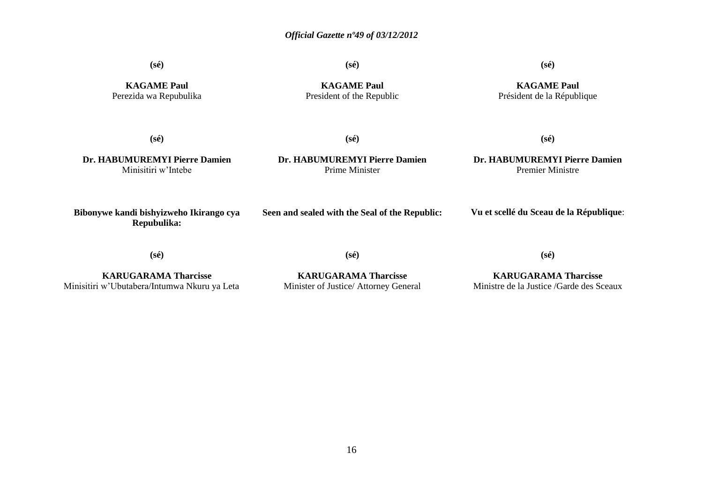**(sé)**

**(sé)**

**(sé)**

**KAGAME Paul** Perezida wa Repubulika

**KAGAME Paul** President of the Republic

**KAGAME Paul** Président de la République

**(sé)**

**(sé)**

**Dr. HABUMUREMYI Pierre Damien** Minisitiri w'Intebe

**Dr. HABUMUREMYI Pierre Damien** Prime Minister

**Dr. HABUMUREMYI Pierre Damien** Premier Ministre

**(sé)**

**Bibonywe kandi bishyizweho Ikirango cya Repubulika:**

**Seen and sealed with the Seal of the Republic:**

**Vu et scellé du Sceau de la République**:

**(sé)**

**(sé)**

**(sé)**

**KARUGARAMA Tharcisse** Minisitiri w'Ubutabera/Intumwa Nkuru ya Leta

**KARUGARAMA Tharcisse** Minister of Justice/ Attorney General

**KARUGARAMA Tharcisse** Ministre de la Justice /Garde des Sceaux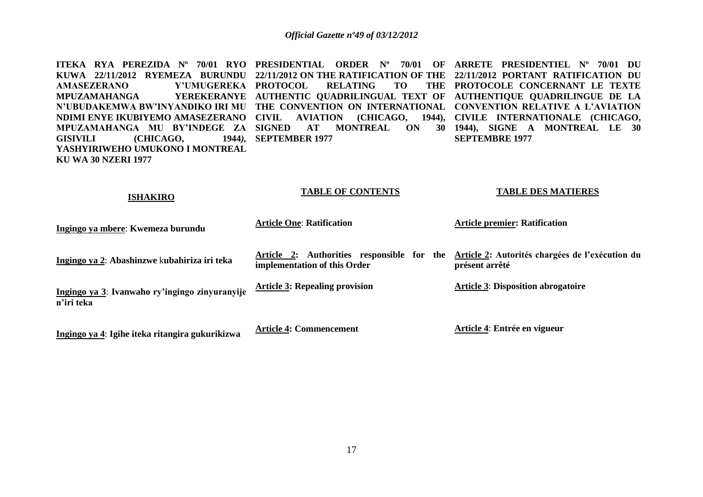**ITEKA RYA PEREZIDA Nº 70/01 RYO PRESIDENTIAL ORDER Nº 70/01 OF ARRETE PRESIDENTIEL Nº 70/01 DU KUWA 22/11/2012 RYEMEZA BURUNDU 22/11/2012 ON THE RATIFICATION OF THE 22/11/2012 PORTANT RATIFICATION DU AMASEZERANO MPUZAMAHANGA N'UBUDAKEMWA BW'INYANDIKO IRI MU THE CONVENTION ON INTERNATIONAL CONVENTION RELATIVE A L'AVIATION**  NDIMI ENYE IKUBIYEMO AMASEZERANO CIVIL AVIATION (CHICAGO, 1944), CIVILE INTERNATIONALE (CHICAGO, **MPUZAMAHANGA MU BY'INDEGE ZA SIGNED AT MONTREAL ON 30 1944), SIGNE A MONTREAL LE 30 GISIVILI (CHICAGO, 1944***),* **YASHYIRIWEHO UMUKONO I MONTREAL KU WA 30 NZERI 1977 PUMUGEREKA PROTOCOL RELATING TO AUTHENTIC QUADRILINGUAL TEXT OF AUTHENTIQUE QUADRILINGUE DE LA SEPTEMBER 1977 PROTOCOLE CONCERNANT LE TEXTE SEPTEMBRE 1977** 

**TABLE OF CONTENTS**

| <b>ISHAKIRO</b>                                              | <b>LADLE OF CONTENTS</b>                                                   | TADLE DES MATIENES                                                |
|--------------------------------------------------------------|----------------------------------------------------------------------------|-------------------------------------------------------------------|
| Ingingo ya mbere: Kwemeza burundu                            | <b>Article One: Ratification</b>                                           | <b>Article premier: Ratification</b>                              |
| Ingingo ya 2: Abashinzwe kubahiriza iri teka                 | Article 2: Authorities responsible for the<br>implementation of this Order | Article 2: Autorités chargées de l'exécution du<br>présent arrêté |
| Ingingo ya 3: Ivanwaho ry'ingingo zinyuranyije<br>n'iri teka | <b>Article 3: Repealing provision</b>                                      | <b>Article 3: Disposition abrogatoire</b>                         |
|                                                              | $\cdots$                                                                   |                                                                   |

**Ingingo ya 4**: **Igihe iteka ritangira gukurikizwa**

**Article 4: Commencement** 

**Article 4**: **Entrée en vigueur**

**TABLE DES MATIERES**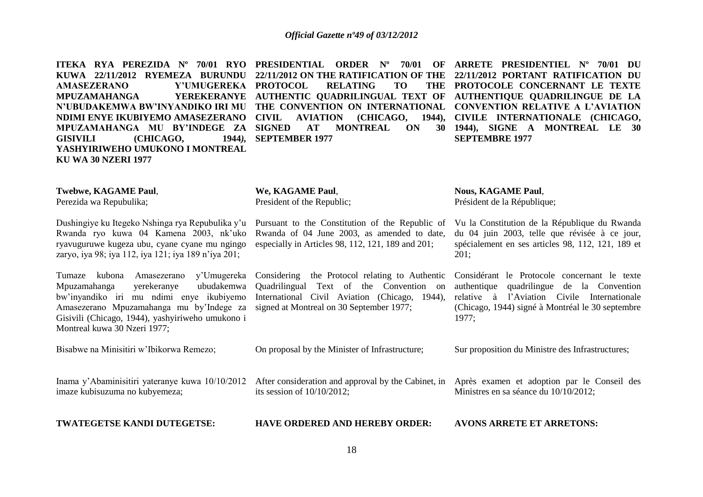**KUWA 22/11/2012 RYEMEZA BURUNDU 22/11/2012 ON THE RATIFICATION OF THE 22/11/2012 PORTANT RATIFICATION DU AMASEZERANO Y'UMUGEREKA PROTOCOL RELATING TO THE MPUZAMAHANGA N'UBUDAKEMWA BW'INYANDIKO IRI MU THE CONVENTION ON INTERNATIONAL CONVENTION RELATIVE A L'AVIATION**  NDIMI ENYE IKUBIYEMO AMASEZERANO CIVIL AVIATION (CHICAGO, 1944), CIVILE INTERNATIONALE (CHICAGO, **MPUZAMAHANGA MU BY'INDEGE ZA SIGNED AT MONTREAL ON 30 1944), SIGNE A MONTREAL LE 30 GISIVILI (CHICAGO, 1944***),* **YASHYIRIWEHO UMUKONO I MONTREAL KU WA 30 NZERI 1977** 

**SEPTEMBER 1977** 

**ITEKA RYA PEREZIDA Nº 70/01 RYO PRESIDENTIAL ORDER Nº 70/01 OF ARRETE PRESIDENTIEL Nº 70/01 DU AUTHENTIC QUADRILINGUAL TEXT OF AUTHENTIQUE QUADRILINGUE DE LA PROTOCOLE CONCERNANT LE TEXTE SEPTEMBRE 1977** 

| <b>Twebwe, KAGAME Paul,</b><br>Perezida wa Repubulika;                                                                                                                                                                                                                  | We, KAGAME Paul,<br>President of the Republic;                                                                                                                                         | <b>Nous, KAGAME Paul,</b><br>Président de la République;                                                                                                                                                    |
|-------------------------------------------------------------------------------------------------------------------------------------------------------------------------------------------------------------------------------------------------------------------------|----------------------------------------------------------------------------------------------------------------------------------------------------------------------------------------|-------------------------------------------------------------------------------------------------------------------------------------------------------------------------------------------------------------|
| Dushingiye ku Itegeko Nshinga rya Repubulika y'u<br>Rwanda ryo kuwa 04 Kamena 2003, nk'uko<br>ryavuguruwe kugeza ubu, cyane cyane mu ngingo<br>zaryo, iya 98; iya 112, iya 121; iya 189 n'iya 201;                                                                      | Pursuant to the Constitution of the Republic of<br>Rwanda of 04 June 2003, as amended to date,<br>especially in Articles 98, 112, 121, 189 and 201;                                    | Vu la Constitution de la République du Rwanda<br>du 04 juin 2003, telle que révisée à ce jour,<br>spécialement en ses articles 98, 112, 121, 189 et<br>201:                                                 |
| y'Umugereka<br>Tumaze<br>Amasezerano<br>kubona<br>ubudakemwa<br>yerekeranye<br>Mpuzamahanga<br>bw'inyandiko iri mu ndimi enye ikubiyemo<br>Amasezerano Mpuzamahanga mu by'Indege za<br>Gisivili (Chicago, 1944), yashyiriweho umukono i<br>Montreal kuwa 30 Nzeri 1977; | Considering the Protocol relating to Authentic<br>Quadrilingual Text of the Convention on<br>International Civil Aviation (Chicago, 1944),<br>signed at Montreal on 30 September 1977; | Considérant le Protocole concernant le texte<br>quadrilingue de la Convention<br>authentique<br>à l'Aviation Civile Internationale<br>relative<br>(Chicago, 1944) signé à Montréal le 30 septembre<br>1977; |
| Bisabwe na Minisitiri w'Ibikorwa Remezo;                                                                                                                                                                                                                                | On proposal by the Minister of Infrastructure;                                                                                                                                         | Sur proposition du Ministre des Infrastructures;                                                                                                                                                            |
| Inama y'Abaminisitiri yateranye kuwa 10/10/2012<br>imaze kubisuzuma no kubyemeza;                                                                                                                                                                                       | After consideration and approval by the Cabinet, in<br>its session of $10/10/2012$ ;                                                                                                   | Après examen et adoption par le Conseil des<br>Ministres en sa séance du 10/10/2012;                                                                                                                        |

**TWATEGETSE KANDI DUTEGETSE:**

**HAVE ORDERED AND HEREBY ORDER:**

**AVONS ARRETE ET ARRETONS:**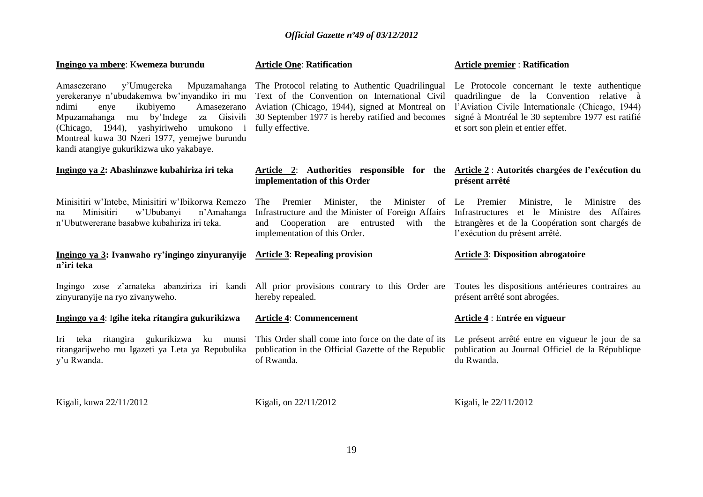| Ingingo ya mbere: Kwemeza burundu                                                                                                                                                                                                                                                                                                | <b>Article One: Ratification</b>                                                                                                                                                                                             | <b>Article premier: Ratification</b>                                                                                                                                                                                                    |
|----------------------------------------------------------------------------------------------------------------------------------------------------------------------------------------------------------------------------------------------------------------------------------------------------------------------------------|------------------------------------------------------------------------------------------------------------------------------------------------------------------------------------------------------------------------------|-----------------------------------------------------------------------------------------------------------------------------------------------------------------------------------------------------------------------------------------|
| y'Umugereka<br>Mpuzamahanga<br>Amasezerano<br>yerekeranye n'ubudakemwa bw'inyandiko iri mu<br>ikubiyemo<br>Amasezerano<br>ndimi<br>enye<br>Mpuzamahanga<br>mu by'Indege<br>Gisivili<br>za<br>(Chicago, 1944), yashyiriweho umukono i<br>Montreal kuwa 30 Nzeri 1977, yemejwe burundu<br>kandi atangiye gukurikizwa uko yakabaye. | The Protocol relating to Authentic Quadrilingual<br>Text of the Convention on International Civil<br>Aviation (Chicago, 1944), signed at Montreal on<br>30 September 1977 is hereby ratified and becomes<br>fully effective. | Le Protocole concernant le texte authentique<br>quadrilingue de la Convention relative à<br>l'Aviation Civile Internationale (Chicago, 1944)<br>signé à Montréal le 30 septembre 1977 est ratifié<br>et sort son plein et entier effet. |
| Ingingo ya 2: Abashinzwe kubahiriza iri teka                                                                                                                                                                                                                                                                                     | Article 2: Authorities responsible for the Article 2 : Autorités chargées de l'exécution du<br>implementation of this Order                                                                                                  | présent arrêté                                                                                                                                                                                                                          |
| Minisitiri w'Intebe, Minisitiri w'Ibikorwa Remezo<br>Minisitiri<br>w'Ububanyi<br>n'Amahanga<br>na<br>n'Ubutwererane basabwe kubahiriza iri teka.                                                                                                                                                                                 | Minister<br>Premier<br>Minister,<br>The<br>the<br>Infrastructure and the Minister of Foreign Affairs<br>Cooperation are entrusted<br>with the<br>and<br>implementation of this Order.                                        | of Le Premier<br>Ministre,<br>le<br>Ministre<br>des<br>Infrastructures et le Ministre des Affaires<br>Etrangères et de la Coopération sont chargés de<br>l'exécution du présent arrêté.                                                 |
| Ingingo ya 3: Ivanwaho ry'ingingo zinyuranyije Article 3: Repealing provision<br>n'iri teka                                                                                                                                                                                                                                      |                                                                                                                                                                                                                              | <b>Article 3: Disposition abrogatoire</b>                                                                                                                                                                                               |
| zinyuranyije na ryo zivanyweho.                                                                                                                                                                                                                                                                                                  | Ingingo zose z'amateka abanziriza iri kandi All prior provisions contrary to this Order are Toutes les dispositions antérieures contraires au<br>hereby repealed.                                                            | présent arrêté sont abrogées.                                                                                                                                                                                                           |
| Ingingo ya 4: Igihe iteka ritangira gukurikizwa                                                                                                                                                                                                                                                                                  | <b>Article 4: Commencement</b>                                                                                                                                                                                               | Article 4 : Entrée en vigueur                                                                                                                                                                                                           |
| Iri teka ritangira gukurikizwa ku munsi This Order shall come into force on the date of its<br>ritangarijweho mu Igazeti ya Leta ya Repubulika<br>y'u Rwanda.                                                                                                                                                                    | publication in the Official Gazette of the Republic<br>of Rwanda.                                                                                                                                                            | Le présent arrêté entre en vigueur le jour de sa<br>publication au Journal Officiel de la République<br>du Rwanda.                                                                                                                      |
| Kigali, kuwa 22/11/2012                                                                                                                                                                                                                                                                                                          | Kigali, on 22/11/2012                                                                                                                                                                                                        | Kigali, le 22/11/2012                                                                                                                                                                                                                   |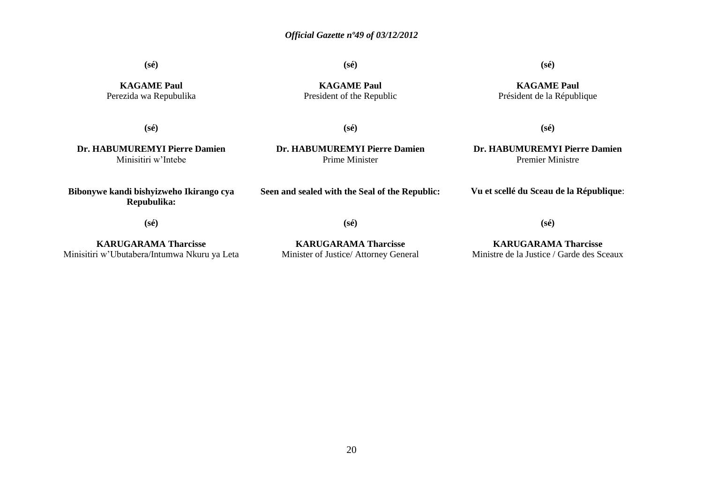**(sé)**

**(sé)**

**(sé)**

**KAGAME Paul** Perezida wa Repubulika

**KAGAME Paul** President of the Republic

**KAGAME Paul** Président de la République

**(sé)**

**(sé)**

**(sé)**

**Dr. HABUMUREMYI Pierre Damien** Minisitiri w'Intebe

**Dr. HABUMUREMYI Pierre Damien** Prime Minister

**Dr. HABUMUREMYI Pierre Damien** Premier Ministre

**Vu et scellé du Sceau de la République**:

**(sé)**

**Bibonywe kandi bishyizweho Ikirango cya Repubulika:**

**KARUGARAMA Tharcisse** Minisitiri w'Ubutabera/Intumwa Nkuru ya Leta **(sé)**

**Seen and sealed with the Seal of the Republic:**

**KARUGARAMA Tharcisse** Minister of Justice/ Attorney General

**KARUGARAMA Tharcisse** Ministre de la Justice / Garde des Sceaux

**(sé)**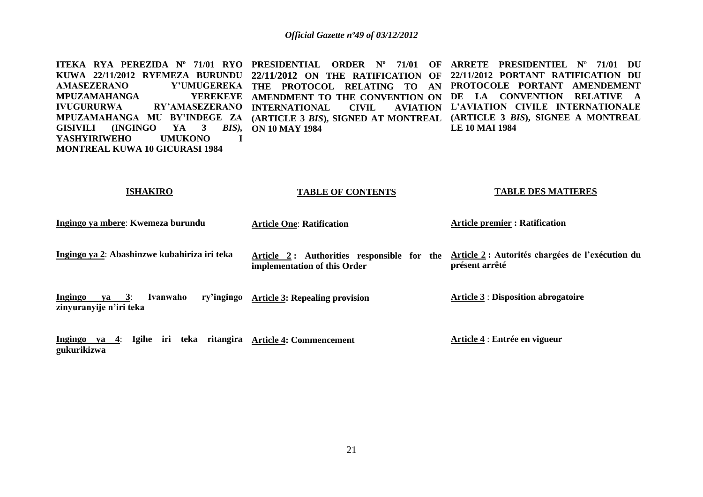**ITEKA RYA PEREZIDA Nº 71/01 RYO PRESIDENTIAL ORDER Nº 71/01 OF ARRETE PRESIDENTIEL N**º **71/01 DU KUWA 22/11/2012 RYEMEZA BURUNDU 22/11/2012 ON THE RATIFICATION OF 22/11/2012 PORTANT RATIFICATION DU AMASEZERANO Y'UMUGEREKA THE PROTOCOL RELATING TO AN PROTOCOLE PORTANT AMENDEMENT MPUZAMAHANGA IVUGURURWA RY'AMASEZERANO INTERNATIONAL CIVIL AVIATION MPUZAMAHANGA MU BY'INDEGE ZA (ARTICLE 3** *BIS***), SIGNED AT MONTREAL (ARTICLE 3** *BIS***), SIGNEE A MONTREAL GISIVILI (INGINGO YA 3** *BIS),* **ON 10 MAY 1984 YASHYIRIWEHO UMUKONO I MONTREAL KUWA 10 GICURASI 1984 AMENDMENT TO THE CONVENTION ON DE LA CONVENTION RELATIVE A L'AVIATION CIVILE INTERNATIONALE LE 10 MAI 1984** 

#### **ISHAKIRO**

#### **TABLE OF CONTENTS**

#### **TABLE DES MATIERES**

| Ingingo ya mbere: Kwemeza burundu                                            | <b>Article One: Ratification</b>                                           | <b>Article premier: Ratification</b>                               |
|------------------------------------------------------------------------------|----------------------------------------------------------------------------|--------------------------------------------------------------------|
| Ingingo ya 2: Abashinzwe kubahiriza iri teka                                 | Article 2: Authorities responsible for the<br>implementation of this Order | Article 2 : Autorités chargées de l'exécution du<br>présent arrêté |
| <b>Ingingo</b><br>ry'ingingo<br>ya 3:<br>Ivanwaho<br>zinyuranyije n'iri teka | <b>Article 3: Repealing provision</b>                                      | <b>Article 3 : Disposition abrogatoire</b>                         |
| Ingingo ya 4: Igihe iri teka ritangira<br>gukurikizwa                        | <b>Article 4: Commencement</b>                                             | Article 4 : Entrée en vigueur                                      |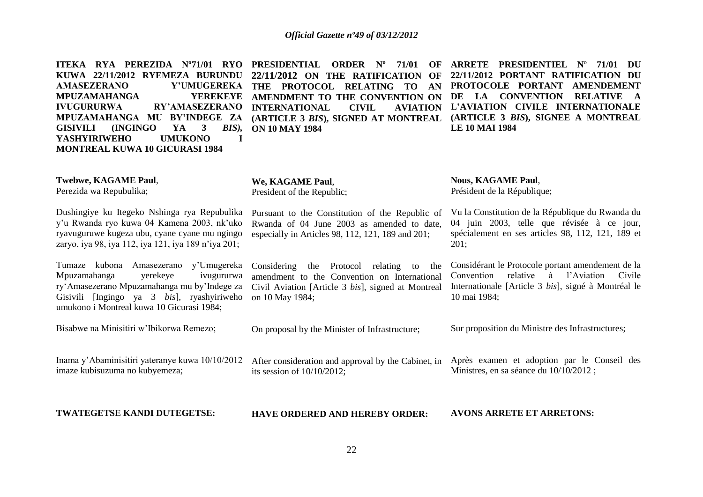| ITEKA RYA PEREZIDA Nº71/01 RYO<br>KUWA 22/11/2012 RYEMEZA BURUNDU<br><b>AMASEZERANO</b><br>Y'UMUGEREKA<br><b>MPUZAMAHANGA</b><br><b>YEREKEYE</b><br><b>RY'AMASEZERANO</b><br><b>IVUGURURWA</b><br>MPUZAMAHANGA MU BY'INDEGE ZA<br>3<br>$BIS$ ),<br><b>GISIVILI</b><br>(INGINGO)<br>YA<br><b>YASHYIRIWEHO</b><br><b>UMUKONO</b><br>I<br><b>MONTREAL KUWA 10 GICURASI 1984</b> | <b>PRESIDENTIAL</b><br><b>ORDER</b> N°<br>71/01<br>OF<br>22/11/2012 ON THE RATIFICATION<br>OF<br>THE PROTOCOL<br><b>RELATING</b><br>TO<br>AN<br>AMENDMENT TO THE CONVENTION ON<br><b>CIVIL</b><br><b>INTERNATIONAL</b><br><b>AVIATION</b><br>(ARTICLE 3 BIS), SIGNED AT MONTREAL<br><b>ON 10 MAY 1984</b> | ARRETE PRESIDENTIEL Nº 71/01<br>- DU<br>22/11/2012 PORTANT RATIFICATION DU<br>PROTOCOLE PORTANT AMENDEMENT<br>DE LA CONVENTION<br><b>RELATIVE</b><br>$\mathbf{A}$<br>L'AVIATION CIVILE INTERNATIONALE<br>(ARTICLE 3 BIS), SIGNEE A MONTREAL<br><b>LE 10 MAI 1984</b> |
|------------------------------------------------------------------------------------------------------------------------------------------------------------------------------------------------------------------------------------------------------------------------------------------------------------------------------------------------------------------------------|-----------------------------------------------------------------------------------------------------------------------------------------------------------------------------------------------------------------------------------------------------------------------------------------------------------|----------------------------------------------------------------------------------------------------------------------------------------------------------------------------------------------------------------------------------------------------------------------|
| Twebwe, KAGAME Paul,<br>Perezida wa Repubulika;                                                                                                                                                                                                                                                                                                                              | We, KAGAME Paul,<br>President of the Republic;                                                                                                                                                                                                                                                            | <b>Nous, KAGAME Paul,</b><br>Président de la République;                                                                                                                                                                                                             |
| Dushingiye ku Itegeko Nshinga rya Repubulika<br>y'u Rwanda ryo kuwa 04 Kamena 2003, nk'uko<br>ryavuguruwe kugeza ubu, cyane cyane mu ngingo<br>zaryo, iya 98, iya 112, iya 121, iya 189 n'iya 201;                                                                                                                                                                           | Pursuant to the Constitution of the Republic of<br>Rwanda of 04 June 2003 as amended to date,<br>especially in Articles 98, 112, 121, 189 and 201;                                                                                                                                                        | Vu la Constitution de la République du Rwanda du<br>04 juin 2003, telle que révisée à ce jour,<br>spécialement en ses articles 98, 112, 121, 189 et<br>201;                                                                                                          |
| Tumaze kubona Amasezerano y'Umugereka<br>Mpuzamahanga<br>yerekeye<br>ivugururwa<br>ry' Amasezerano Mpuzamahanga mu by' Indege za<br>Gisivili [Ingingo ya 3 bis], ryashyiriweho<br>umukono i Montreal kuwa 10 Gicurasi 1984;                                                                                                                                                  | Considering<br>the Protocol<br>relating<br>to<br>the<br>amendment to the Convention on International<br>Civil Aviation [Article 3 bis], signed at Montreal<br>on 10 May 1984;                                                                                                                             | Considérant le Protocole portant amendement de la<br>l'Aviation<br>Convention<br>relative<br>à<br>Civile<br>Internationale [Article 3 bis], signé à Montréal le<br>10 mai 1984;                                                                                      |
| Bisabwe na Minisitiri w'Ibikorwa Remezo;                                                                                                                                                                                                                                                                                                                                     | On proposal by the Minister of Infrastructure;                                                                                                                                                                                                                                                            | Sur proposition du Ministre des Infrastructures;                                                                                                                                                                                                                     |
| Inama y'Abaminisitiri yateranye kuwa 10/10/2012<br>imaze kubisuzuma no kubyemeza;                                                                                                                                                                                                                                                                                            | After consideration and approval by the Cabinet, in<br>its session of $10/10/2012$ ;                                                                                                                                                                                                                      | Après examen et adoption par le Conseil des<br>Ministres, en sa séance du 10/10/2012;                                                                                                                                                                                |
| <b>TWATEGETSE KANDI DUTEGETSE:</b>                                                                                                                                                                                                                                                                                                                                           | <b>HAVE ORDERED AND HEREBY ORDER:</b>                                                                                                                                                                                                                                                                     | <b>AVONS ARRETE ET ARRETONS:</b>                                                                                                                                                                                                                                     |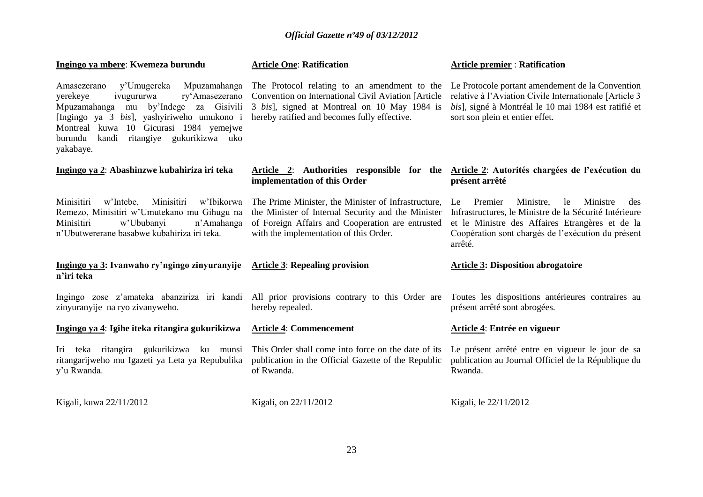| Ingingo ya mbere: Kwemeza burundu                                                                                                                                                                                                                                                              | <b>Article One: Ratification</b>                                                                                                                                                                        | <b>Article premier: Ratification</b>                                                                                                                                                                                              |
|------------------------------------------------------------------------------------------------------------------------------------------------------------------------------------------------------------------------------------------------------------------------------------------------|---------------------------------------------------------------------------------------------------------------------------------------------------------------------------------------------------------|-----------------------------------------------------------------------------------------------------------------------------------------------------------------------------------------------------------------------------------|
| Mpuzamahanga<br>Amasezerano<br>y'Umugereka<br>yerekeye<br>ry'Amasezerano<br>ivugururwa<br>by'Indege<br>za Gisivili<br>Mpuzamahanga<br>mu<br>[Ingingo ya 3 bis], yashyiriweho umukono i<br>Montreal kuwa 10 Gicurasi 1984 yemejwe<br>ritangiye gukurikizwa uko<br>burundu<br>kandi<br>yakabaye. | The Protocol relating to an amendment to the<br>Convention on International Civil Aviation [Article<br>3 bis], signed at Montreal on 10 May 1984 is<br>hereby ratified and becomes fully effective.     | Le Protocole portant amendement de la Convention<br>relative à l'Aviation Civile Internationale [Article 3<br>bis], signé à Montréal le 10 mai 1984 est ratifié et<br>sort son plein et entier effet.                             |
| Ingingo ya 2: Abashinzwe kubahiriza iri teka                                                                                                                                                                                                                                                   | Article 2: Authorities responsible for the<br>implementation of this Order                                                                                                                              | Article 2: Autorités chargées de l'exécution du<br>présent arrêté                                                                                                                                                                 |
| Minisitiri<br>Minisitiri<br>w'Intebe.<br>w'Ibikorwa<br>Remezo, Minisitiri w'Umutekano mu Gihugu na<br>Minisitiri<br>w'Ububanyi<br>n'Amahanga<br>n'Ubutwererane basabwe kubahiriza iri teka.                                                                                                    | The Prime Minister, the Minister of Infrastructure,<br>the Minister of Internal Security and the Minister<br>of Foreign Affairs and Cooperation are entrusted<br>with the implementation of this Order. | Premier<br>Ministre,<br>le<br>Ministre<br>Le<br>des<br>Infrastructures, le Ministre de la Sécurité Intérieure<br>et le Ministre des Affaires Etrangères et de la<br>Coopération sont chargés de l'exécution du présent<br>arrêté. |
| Ingingo ya 3: Ivanwaho ry'ngingo zinyuranyije<br>n'iri teka                                                                                                                                                                                                                                    | <b>Article 3: Repealing provision</b>                                                                                                                                                                   | <b>Article 3: Disposition abrogatoire</b>                                                                                                                                                                                         |
| zinyuranyije na ryo zivanyweho.                                                                                                                                                                                                                                                                | Ingingo zose z'amateka abanziriza iri kandi All prior provisions contrary to this Order are<br>hereby repealed.                                                                                         | Toutes les dispositions antérieures contraires au<br>présent arrêté sont abrogées.                                                                                                                                                |
| Ingingo ya 4: Igihe iteka ritangira gukurikizwa                                                                                                                                                                                                                                                | <b>Article 4: Commencement</b>                                                                                                                                                                          | Article 4: Entrée en vigueur                                                                                                                                                                                                      |
| Iri teka ritangira gukurikizwa ku munsi<br>ritangarijweho mu Igazeti ya Leta ya Repubulika<br>y'u Rwanda.                                                                                                                                                                                      | This Order shall come into force on the date of its<br>publication in the Official Gazette of the Republic<br>of Rwanda.                                                                                | Le présent arrêté entre en vigueur le jour de sa<br>publication au Journal Officiel de la République du<br>Rwanda.                                                                                                                |
| Kigali, kuwa 22/11/2012                                                                                                                                                                                                                                                                        | Kigali, on 22/11/2012                                                                                                                                                                                   | Kigali, le 22/11/2012                                                                                                                                                                                                             |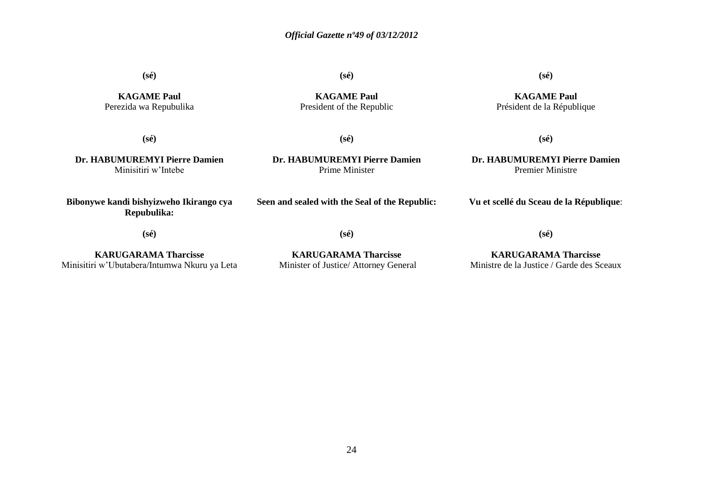**(sé)**

**KAGAME Paul** Perezida wa Repubulika **(sé)**

**(sé)**

**KAGAME Paul** President of the Republic

**KAGAME Paul** Président de la République

**(sé)**

**Dr. HABUMUREMYI Pierre Damien** Minisitiri w'Intebe

**Dr. HABUMUREMYI Pierre Damien** Prime Minister

**(sé)**

**Dr. HABUMUREMYI Pierre Damien** Premier Ministre

**Vu et scellé du Sceau de la République**:

**(sé)**

**Bibonywe kandi bishyizweho Ikirango cya Repubulika:**

**(sé)**

**Seen and sealed with the Seal of the Republic:**

**KARUGARAMA Tharcisse** Minisitiri w'Ubutabera/Intumwa Nkuru ya Leta

**(sé)**

**KARUGARAMA Tharcisse** Minister of Justice/ Attorney General

**KARUGARAMA Tharcisse** Ministre de la Justice / Garde des Sceaux

**(sé)**

24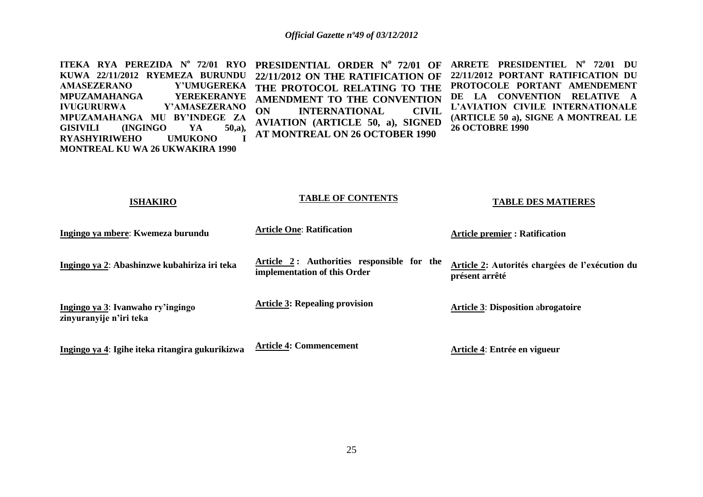**ITEKA RYA PEREZIDA N<sup>o</sup> 72/01 RYO PRESIDENTIAL ORDER N<sup>o</sup> 72/01 OF KUWA 22/11/2012 RYEMEZA BURUNDU AMASEZERANO Y'UMUGEREKA MPUZAMAHANGA YEREKERANYE IVUGURURWA Y'AMASEZERANO MPUZAMAHANGA MU BY'INDEGE ZA GISIVILI (INGINGO YA 50,a)***,* **RYASHYIRIWEHO UMUKONO I MONTREAL KU WA 26 UKWAKIRA 1990 22/11/2012 ON THE RATIFICATION OF THE PROTOCOL RELATING TO THE AMENDMENT TO THE CONVENTION ON INTERNATIONAL CIVIL AVIATION (ARTICLE 50, a), SIGNED AT MONTREAL ON 26 OCTOBER 1990 ARRETE PRESIDENTIEL N o 72/01 DU 22/11/2012 PORTANT RATIFICATION DU PROTOCOLE PORTANT AMENDEMENT DE LA CONVENTION RELATIVE A L'AVIATION CIVILE INTERNATIONALE (ARTICLE 50 a), SIGNE A MONTREAL LE 26 OCTOBRE 1990** 

| <b>ISHAKIRO</b>                                              | <b>TABLE OF CONTENTS</b>                                                   | <b>TABLE DES MATIERES</b>                                         |
|--------------------------------------------------------------|----------------------------------------------------------------------------|-------------------------------------------------------------------|
| Ingingo ya mbere: Kwemeza burundu                            | <b>Article One: Ratification</b>                                           | <b>Article premier: Ratification</b>                              |
| Ingingo ya 2: Abashinzwe kubahiriza iri teka                 | Article 2: Authorities responsible for the<br>implementation of this Order | Article 2: Autorités chargées de l'exécution du<br>présent arrêté |
| Ingingo ya 3: Ivanwaho ry'ingingo<br>zinyuranyije n'iri teka | <b>Article 3: Repealing provision</b>                                      | <b>Article 3: Disposition abrogatoire</b>                         |
| Ingingo ya 4: Igihe iteka ritangira gukurikizwa              | <b>Article 4: Commencement</b>                                             | Article 4: Entrée en vigueur                                      |

**TABLE OF CONTENTS**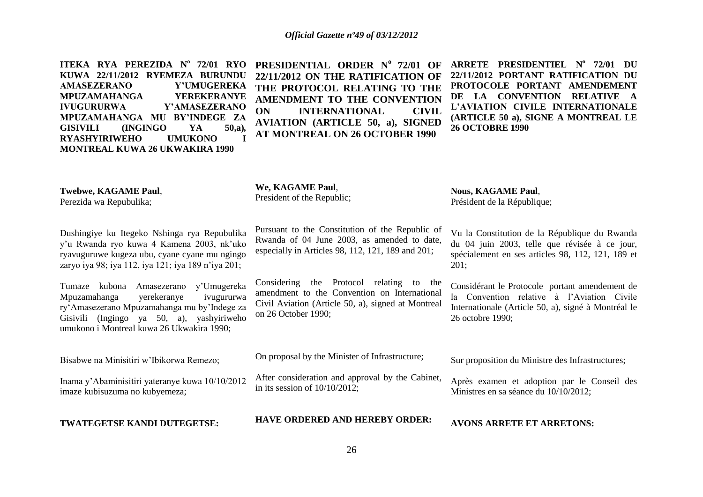| ITEKA RYA PEREZIDA Nº 72/01 RYO<br>KUWA 22/11/2012 RYEMEZA BURUNDU<br><b>AMASEZERANO</b><br>Y'UMUGEREKA<br><b>MPUZAMAHANGA</b><br><b>YEREKERANYE</b><br>Y'AMASEZERANO<br><b>IVUGURURWA</b><br>MPUZAMAHANGA MU BY'INDEGE ZA<br><b>GISIVILI</b><br>(INGINGO)<br>YA<br>$50,a)$ ,<br><b>RYASHYIRIWEHO</b><br><b>UMUKONO</b><br>T<br><b>MONTREAL KUWA 26 UKWAKIRA 1990</b> | PRESIDENTIAL ORDER Nº 72/01 OF<br>22/11/2012 ON THE RATIFICATION OF<br>THE PROTOCOL RELATING TO THE<br>AMENDMENT TO THE CONVENTION<br>ON<br><b>INTERNATIONAL</b><br><b>CIVIL</b><br><b>AVIATION (ARTICLE 50, a), SIGNED</b><br><b>AT MONTREAL ON 26 OCTOBER 1990</b> | ARRETE PRESIDENTIEL Nº 72/01 DU<br>22/11/2012 PORTANT RATIFICATION DU<br>PROTOCOLE PORTANT AMENDEMENT<br>DE LA CONVENTION RELATIVE<br>L'AVIATION CIVILE INTERNATIONALE<br>(ARTICLE 50 a), SIGNE A MONTREAL LE<br><b>26 OCTOBRE 1990</b> |
|-----------------------------------------------------------------------------------------------------------------------------------------------------------------------------------------------------------------------------------------------------------------------------------------------------------------------------------------------------------------------|----------------------------------------------------------------------------------------------------------------------------------------------------------------------------------------------------------------------------------------------------------------------|-----------------------------------------------------------------------------------------------------------------------------------------------------------------------------------------------------------------------------------------|
| Twebwe, KAGAME Paul,<br>Perezida wa Repubulika;                                                                                                                                                                                                                                                                                                                       | We, KAGAME Paul,<br>President of the Republic;                                                                                                                                                                                                                       | <b>Nous, KAGAME Paul,</b><br>Président de la République;                                                                                                                                                                                |
| Dushingiye ku Itegeko Nshinga rya Repubulika<br>y'u Rwanda ryo kuwa 4 Kamena 2003, nk'uko<br>ryavuguruwe kugeza ubu, cyane cyane mu ngingo<br>zaryo iya 98; iya 112, iya 121; iya 189 n'iya 201;                                                                                                                                                                      | Pursuant to the Constitution of the Republic of<br>Rwanda of 04 June 2003, as amended to date,<br>especially in Articles 98, 112, 121, 189 and 201;                                                                                                                  | Vu la Constitution de la République du Rwanda<br>du 04 juin 2003, telle que révisée à ce jour,<br>spécialement en ses articles 98, 112, 121, 189 et<br>201;                                                                             |
| Tumaze kubona Amasezerano y'Umugereka<br>Mpuzamahanga<br>yerekeranye<br>ivugururwa<br>ry'Amasezerano Mpuzamahanga mu by'Indege za<br>Gisivili (Ingingo ya 50, a), yashyiriweho<br>umukono i Montreal kuwa 26 Ukwakira 1990;                                                                                                                                           | Considering the Protocol relating to the<br>amendment to the Convention on International<br>Civil Aviation (Article 50, a), signed at Montreal<br>on 26 October 1990;                                                                                                | Considérant le Protocole portant amendement de<br>la Convention relative à l'Aviation Civile<br>Internationale (Article 50, a), signé à Montréal le<br>26 octobre 1990;                                                                 |
| Bisabwe na Minisitiri w'Ibikorwa Remezo;                                                                                                                                                                                                                                                                                                                              | On proposal by the Minister of Infrastructure;                                                                                                                                                                                                                       | Sur proposition du Ministre des Infrastructures;                                                                                                                                                                                        |
| Inama y'Abaminisitiri yateranye kuwa 10/10/2012<br>imaze kubisuzuma no kubyemeza;                                                                                                                                                                                                                                                                                     | After consideration and approval by the Cabinet,<br>in its session of $10/10/2012$ ;                                                                                                                                                                                 | Après examen et adoption par le Conseil des<br>Ministres en sa séance du 10/10/2012;                                                                                                                                                    |
| TWATEGETSE KANDI DUTEGETSE:                                                                                                                                                                                                                                                                                                                                           | <b>HAVE ORDERED AND HEREBY ORDER:</b>                                                                                                                                                                                                                                | <b>AVONS ARRETE ET ARRETONS:</b>                                                                                                                                                                                                        |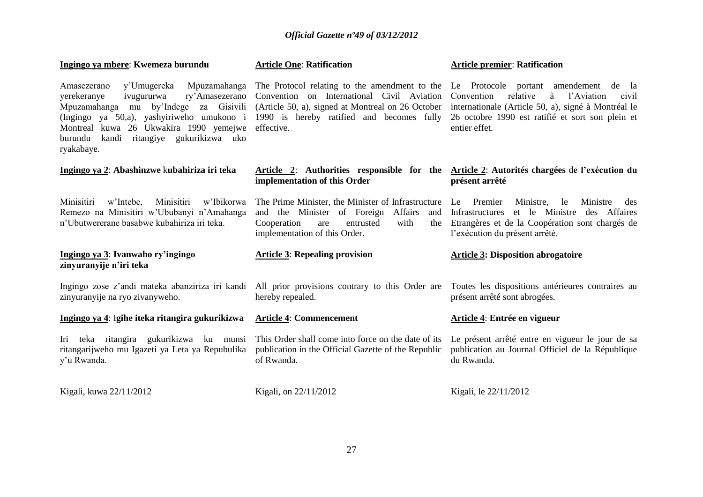| Ingingo ya mbere: Kwemeza burundu                                                                                                                                                                                                                                                        | <b>Article One: Ratification</b>                                                                                                                                                                                                                  | <b>Article premier: Ratification</b>                                                                                                                                           |
|------------------------------------------------------------------------------------------------------------------------------------------------------------------------------------------------------------------------------------------------------------------------------------------|---------------------------------------------------------------------------------------------------------------------------------------------------------------------------------------------------------------------------------------------------|--------------------------------------------------------------------------------------------------------------------------------------------------------------------------------|
| y'Umugereka Mpuzamahanga<br>Amasezerano<br>yerekeranye<br>ivugururwa<br>ry'Amasezerano<br>by'Indege<br>za Gisivili<br>Mpuzamahanga mu<br>(Ingingo ya 50,a), yashyiriweho umukono i<br>Montreal kuwa 26 Ukwakira 1990 yemejwe<br>kandi ritangiye gukurikizwa uko<br>burundu<br>ryakabaye. | The Protocol relating to the amendment to the Le Protocole portant amendement de la<br>Convention on International Civil Aviation<br>(Article 50, a), signed at Montreal on 26 October<br>1990 is hereby ratified and becomes fully<br>effective. | à<br>Convention<br>relative<br>l'Aviation<br>civil<br>internationale (Article 50, a), signé à Montréal le<br>26 octobre 1990 est ratifié et sort son plein et<br>entier effet. |
| Ingingo ya 2: Abashinzwe kubahiriza iri teka                                                                                                                                                                                                                                             | implementation of this Order                                                                                                                                                                                                                      | Article 2: Authorities responsible for the Article 2: Autorités chargées de l'exécution du<br>présent arrêté                                                                   |
| Minisitiri<br>Minisitiri<br>w'Intebe,<br>w'Ibikorwa<br>Remezo na Minisitiri w'Ububanyi n'Amahanga<br>n'Ubutwererane basabwe kubahiriza iri teka.                                                                                                                                         | The Prime Minister, the Minister of Infrastructure Le Premier<br>and the Minister of Foreign Affairs<br>Cooperation<br>entrusted<br>with<br>are<br>the<br>implementation of this Order.                                                           | Ministre,<br>le<br>Ministre<br>des<br>et le Ministre des Affaires<br>and Infrastructures<br>Etrangères et de la Coopération sont chargés de<br>l'exécution du présent arrêté.  |
| Ingingo ya 3: Ivanwaho ry'ingingo<br>zinyuranyije n'iri teka                                                                                                                                                                                                                             | <b>Article 3: Repealing provision</b>                                                                                                                                                                                                             | <b>Article 3: Disposition abrogatoire</b>                                                                                                                                      |
| zinyuranyije na ryo zivanyweho.                                                                                                                                                                                                                                                          | Ingingo zose z'andi mateka abanziriza iri kandi All prior provisions contrary to this Order are<br>hereby repealed.                                                                                                                               | Toutes les dispositions antérieures contraires au<br>présent arrêté sont abrogées.                                                                                             |
| Ingingo ya 4: Igihe iteka ritangira gukurikizwa                                                                                                                                                                                                                                          | <b>Article 4: Commencement</b>                                                                                                                                                                                                                    | Article 4: Entrée en vigueur                                                                                                                                                   |
| Iri teka ritangira gukurikizwa ku munsi<br>ritangarijweho mu Igazeti ya Leta ya Repubulika<br>y'u Rwanda.                                                                                                                                                                                | This Order shall come into force on the date of its<br>publication in the Official Gazette of the Republic<br>of Rwanda.                                                                                                                          | Le présent arrêté entre en vigueur le jour de sa<br>publication au Journal Officiel de la République<br>du Rwanda.                                                             |
| Kigali, kuwa 22/11/2012                                                                                                                                                                                                                                                                  | Kigali, on 22/11/2012                                                                                                                                                                                                                             | Kigali, le 22/11/2012                                                                                                                                                          |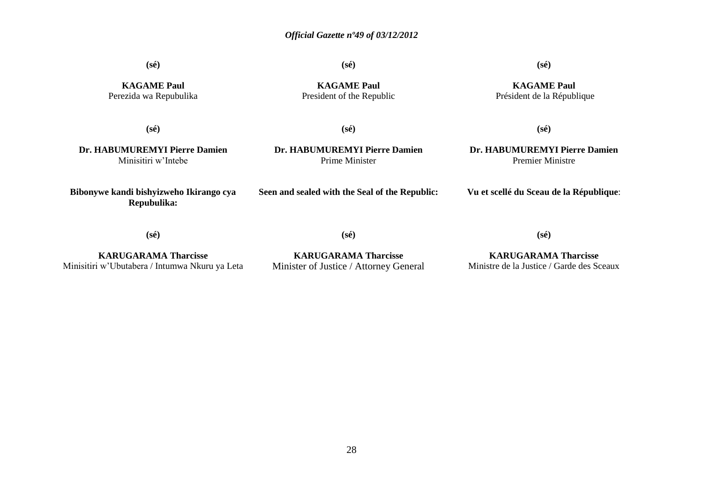**(sé)**

**(sé)**

#### **(sé)**

**KAGAME Paul** Perezida wa Repubulika

**KAGAME Paul** President of the Republic

**KAGAME Paul** Président de la République

**(sé)**

**(sé)**

**(sé)**

**Dr. HABUMUREMYI Pierre Damien** Minisitiri w'Intebe

**Bibonywe kandi bishyizweho Ikirango cya Repubulika:**

**Dr. HABUMUREMYI Pierre Damien** Prime Minister

**Seen and sealed with the Seal of the Republic:**

**Dr. HABUMUREMYI Pierre Damien** Premier Ministre

**Vu et scellé du Sceau de la République**:

**(sé)**

**(sé)**

**(sé)**

**KARUGARAMA Tharcisse** Minisitiri w'Ubutabera / Intumwa Nkuru ya Leta

**KARUGARAMA Tharcisse** Minister of Justice / Attorney General

**KARUGARAMA Tharcisse** Ministre de la Justice / Garde des Sceaux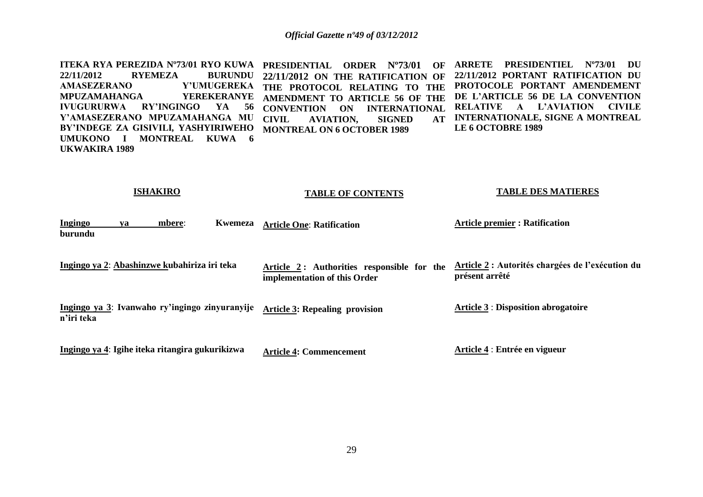**ITEKA RYA PEREZIDA Nº73/01 RYO KUWA PRESIDENTIAL ORDER Nº73/01 OF ARRETE PRESIDENTIEL Nº73/01 DU 22/11/2012 RYEMEZA BURUNDU 22/11/2012 ON THE RATIFICATION OF AMASEZERANO Y'UMUGEREKA THE PROTOCOL RELATING TO THE PROTOCOLE PORTANT AMENDEMENT MPUZAMAHANGA YEREKERANYE AMENDMENT TO ARTICLE 56 OF THE IVUGURURWA RY'INGINGO YA 56 Y'AMASEZERANO MPUZAMAHANGA MU BY'INDEGE ZA GISIVILI***,* **YASHYIRIWEHO UMUKONO I MONTREAL KUWA 6 UKWAKIRA 1989 CONVENTION ON INTERNATIONAL RELATIVE A L'AVIATION CIVILE CIVIL AVIATION, SIGNED AT MONTREAL ON 6 OCTOBER 1989 22/11/2012 PORTANT RATIFICATION DU DE L'ARTICLE 56 DE LA CONVENTION AT INTERNATIONALE, SIGNE A MONTREAL LE 6 OCTOBRE 1989** 

#### **ISHAKIRO**

#### **TABLE OF CONTENTS**

#### **TABLE DES MATIERES**

| Ingingo<br>burundu | va | mbere:                                          | <b>Kwemeza</b> | <b>Article One: Ratification</b>                                           | <b>Article premier: Ratification</b>                               |
|--------------------|----|-------------------------------------------------|----------------|----------------------------------------------------------------------------|--------------------------------------------------------------------|
|                    |    | Ingingo ya 2: Abashinzwe kubahiriza iri teka    |                | Article 2: Authorities responsible for the<br>implementation of this Order | Article 2 : Autorités chargées de l'exécution du<br>présent arrêté |
| n'iri teka         |    | Ingingo ya 3: Ivanwaho ry'ingingo zinyuranyije  |                | <b>Article 3: Repealing provision</b>                                      | <b>Article 3: Disposition abrogatoire</b>                          |
|                    |    | Ingingo ya 4: Igihe iteka ritangira gukurikizwa |                | <b>Article 4: Commencement</b>                                             | Article 4 : Entrée en vigueur                                      |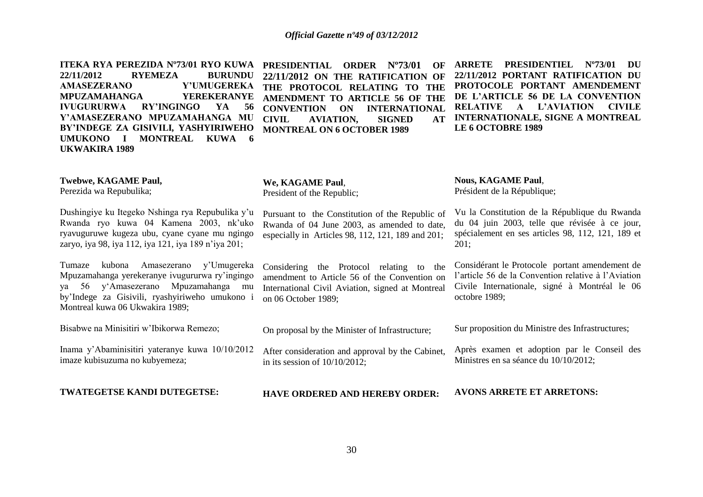**ITEKA RYA PEREZIDA Nº73/01 RYO KUWA PRESIDENTIAL ORDER Nº73/01 OF ARRETE PRESIDENTIEL Nº73/01 DU 22/11/2012 RYEMEZA BURUNDU 22/11/2012 ON THE RATIFICATION OF AMASEZERANO Y'UMUGEREKA THE PROTOCOL RELATING TO THE PROTOCOLE PORTANT AMENDEMENT MPUZAMAHANGA YEREKERANYE IVUGURURWA RY'INGINGO YA 56 Y'AMASEZERANO MPUZAMAHANGA MU BY'INDEGE ZA GISIVILI***,* **YASHYIRIWEHO UMUKONO I MONTREAL KUWA 6 UKWAKIRA 1989** 

**AMENDMENT TO ARTICLE 56 OF THE CONVENTION ON INTERNATIONAL AVIATION, MONTREAL ON 6 OCTOBER 1989** 

**22/11/2012 PORTANT RATIFICATION DU DE L'ARTICLE 56 DE LA CONVENTION RELATIVE A L'AVIATION CIVILE AT INTERNATIONALE, SIGNE A MONTREAL LE 6 OCTOBRE 1989** 

| <b>Twebwe, KAGAME Paul,</b><br>Perezida wa Repubulika;                                                                                                                                                                       | We, KAGAME Paul,<br>President of the Republic;                                                                                                                         | <b>Nous, KAGAME Paul,</b><br>Président de la République;                                                                                                                |
|------------------------------------------------------------------------------------------------------------------------------------------------------------------------------------------------------------------------------|------------------------------------------------------------------------------------------------------------------------------------------------------------------------|-------------------------------------------------------------------------------------------------------------------------------------------------------------------------|
| Dushingiye ku Itegeko Nshinga rya Repubulika y'u<br>Rwanda ryo kuwa 04 Kamena 2003, nk'uko<br>ryavuguruwe kugeza ubu, cyane cyane mu ngingo<br>zaryo, iya 98, iya 112, iya 121, iya 189 n'iya 201;                           | Pursuant to the Constitution of the Republic of<br>Rwanda of 04 June 2003, as amended to date,<br>especially in Articles 98, 112, 121, 189 and 201;                    | Vu la Constitution de la République du Rwanda<br>du 04 juin 2003, telle que révisée à ce jour,<br>spécialement en ses articles 98, 112, 121, 189 et<br>201;             |
| y'Umugereka<br>kubona<br>Amasezerano<br>Tumaze<br>Mpuzamahanga yerekeranye ivugururwa ry'ingingo<br>ya 56 y'Amasezerano Mpuzamahanga mu<br>by'Indege za Gisivili, ryashyiriweho umukono i<br>Montreal kuwa 06 Ukwakira 1989; | Considering the Protocol relating to<br>the<br>amendment to Article 56 of the Convention on<br>International Civil Aviation, signed at Montreal<br>on 06 October 1989; | Considérant le Protocole portant amendement de<br>l'article 56 de la Convention relative à l'Aviation<br>Civile Internationale, signé à Montréal le 06<br>octobre 1989; |
| Bisabwe na Minisitiri w'Ibikorwa Remezo;                                                                                                                                                                                     | On proposal by the Minister of Infrastructure;                                                                                                                         | Sur proposition du Ministre des Infrastructures;                                                                                                                        |
| Inama y'Abaminisitiri yateranye kuwa 10/10/2012<br>imaze kubisuzuma no kubyemeza;                                                                                                                                            | After consideration and approval by the Cabinet,<br>in its session of $10/10/2012$ ;                                                                                   | Après examen et adoption par le Conseil des<br>Ministres en sa séance du 10/10/2012;                                                                                    |
| <b>TWATEGETSE KANDI DUTEGETSE:</b>                                                                                                                                                                                           | <b>HAVE ORDERED AND HEREBY ORDER:</b>                                                                                                                                  | <b>AVONS ARRETE ET ARRETONS:</b>                                                                                                                                        |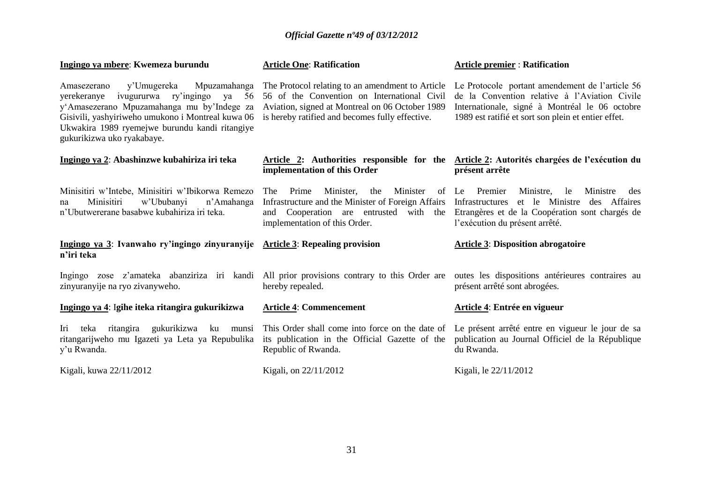| Ingingo ya mbere: Kwemeza burundu                                                                                                                                                                                                                                           | <b>Article One: Ratification</b>                                                                                                                                                                      | <b>Article premier: Ratification</b>                                                                                                                                                                      |
|-----------------------------------------------------------------------------------------------------------------------------------------------------------------------------------------------------------------------------------------------------------------------------|-------------------------------------------------------------------------------------------------------------------------------------------------------------------------------------------------------|-----------------------------------------------------------------------------------------------------------------------------------------------------------------------------------------------------------|
| y'Umugereka<br>Mpuzamahanga<br>Amasezerano<br>yerekeranye ivugururwa ry'ingingo ya<br>56<br>y'Amasezerano Mpuzamahanga mu by'Indege za<br>Gisivili, yashyiriweho umukono i Montreal kuwa 06<br>Ukwakira 1989 ryemejwe burundu kandi ritangiye<br>gukurikizwa uko ryakabaye. | The Protocol relating to an amendment to Article<br>56 of the Convention on International Civil<br>Aviation, signed at Montreal on 06 October 1989<br>is hereby ratified and becomes fully effective. | Le Protocole portant amendement de l'article 56<br>de la Convention relative à l'Aviation Civile<br>Internationale, signé à Montréal le 06 octobre<br>1989 est ratifié et sort son plein et entier effet. |
| Ingingo ya 2: Abashinzwe kubahiriza iri teka                                                                                                                                                                                                                                | implementation of this Order                                                                                                                                                                          | Article 2: Authorities responsible for the Article 2: Autorités chargées de l'exécution du<br>présent arrête                                                                                              |
| Minisitiri w'Intebe, Minisitiri w'Ibikorwa Remezo<br>Minisitiri<br>w'Ububanyi<br>n'Amahanga<br>na<br>n'Ubutwererane basabwe kubahiriza iri teka.                                                                                                                            | Minister,<br>Minister<br>The<br>Prime<br>the<br>Infrastructure and the Minister of Foreign Affairs<br>and Cooperation are entrusted<br>implementation of this Order.                                  | of Le Premier<br>Ministre,<br>le<br>Ministre<br>des<br>et le Ministre des Affaires<br>Infrastructures<br>with the Etrangères et de la Coopération sont chargés de<br>l'exécution du présent arrêté.       |
| Ingingo ya 3: Ivanwaho ry'ingingo zinyuranyije Article 3: Repealing provision<br>n'iri teka                                                                                                                                                                                 |                                                                                                                                                                                                       | <b>Article 3: Disposition abrogatoire</b>                                                                                                                                                                 |
| Ingingo zose z'amateka abanziriza iri kandi All prior provisions contrary to this Order are outes les dispositions antérieures contraires au<br>zinyuranyije na ryo zivanyweho.                                                                                             | hereby repealed.                                                                                                                                                                                      | présent arrêté sont abrogées.                                                                                                                                                                             |
| Ingingo ya 4: Igihe iteka ritangira gukurikizwa                                                                                                                                                                                                                             | <b>Article 4: Commencement</b>                                                                                                                                                                        | Article 4: Entrée en vigueur                                                                                                                                                                              |
| ritangira<br>gukurikizwa ku<br>Iri<br>teka<br>munsi<br>ritangarijweho mu Igazeti ya Leta ya Repubulika<br>y'u Rwanda.                                                                                                                                                       | its publication in the Official Gazette of the<br>Republic of Rwanda.                                                                                                                                 | This Order shall come into force on the date of Le présent arrêté entre en vigueur le jour de sa<br>publication au Journal Officiel de la République<br>du Rwanda.                                        |
| Kigali, kuwa 22/11/2012                                                                                                                                                                                                                                                     | Kigali, on 22/11/2012                                                                                                                                                                                 | Kigali, le 22/11/2012                                                                                                                                                                                     |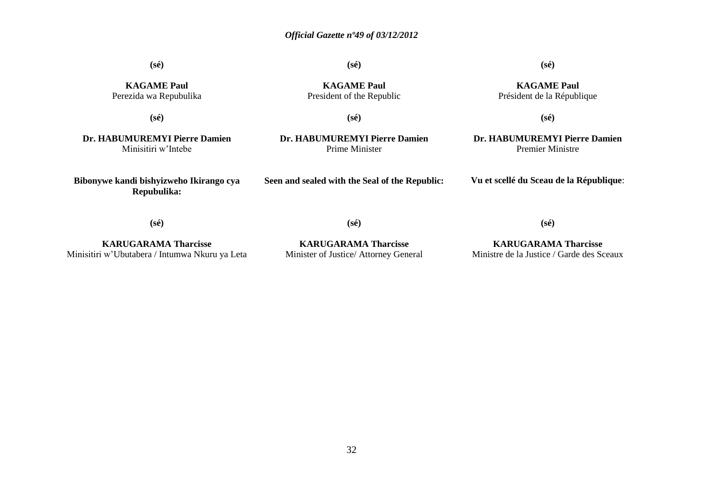**(sé)**

**(sé)**

#### **(sé)**

**KAGAME Paul** Perezida wa Repubulika

**(sé)**

**KAGAME Paul** President of the Republic

**KAGAME Paul** Président de la République

**(sé)**

**(sé)**

**Dr. HABUMUREMYI Pierre Damien** Minisitiri w'Intebe

**Bibonywe kandi bishyizweho Ikirango cya Repubulika:**

**Dr. HABUMUREMYI Pierre Damien** Prime Minister

**Dr. HABUMUREMYI Pierre Damien** Premier Ministre

**Seen and sealed with the Seal of the Republic:**

**Vu et scellé du Sceau de la République**:

**(sé)**

**(sé)**

**KARUGARAMA Tharcisse** Minisitiri w'Ubutabera / Intumwa Nkuru ya Leta

**KARUGARAMA Tharcisse** Minister of Justice/ Attorney General

**KARUGARAMA Tharcisse** Ministre de la Justice / Garde des Sceaux

**(sé)**

32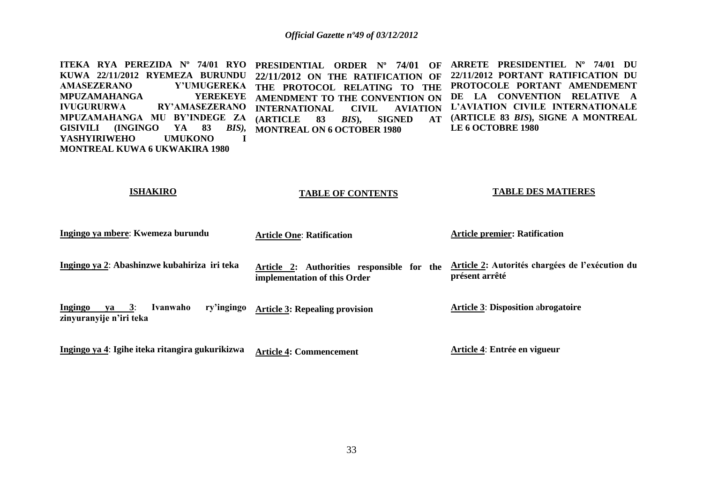**ITEKA RYA PEREZIDA Nº 74/01 RYO PRESIDENTIAL ORDER Nº 74/01 OF ARRETE PRESIDENTIEL Nº 74/01 DU KUWA 22/11/2012 RYEMEZA BURUNDU 22/11/2012 ON THE RATIFICATION OF AMASEZERANO Y'UMUGEREKA THE PROTOCOL RELATING TO THE MPUZAMAHANGA YEREKEYE IVUGURURWA RY'AMASEZERANO INTERNATIONAL CIVIL AVIATION MPUZAMAHANGA MU BY'INDEGE ZA (ARTICLE 83** *BIS***), SIGNED AT GISIVILI (INGINGO YA 83** *BIS),* **MONTREAL ON 6 OCTOBER 1980 YASHYIRIWEHO UMUKONO I MONTREAL KUWA 6 UKWAKIRA 1980 AMENDMENT TO THE CONVENTION ON 22/11/2012 PORTANT RATIFICATION DU PROTOCOLE PORTANT AMENDEMENT DE LA CONVENTION RELATIVE A L'AVIATION CIVILE INTERNATIONALE (ARTICLE 83** *BIS***), SIGNE A MONTREAL LE 6 OCTOBRE 1980** 

#### **ISHAKIRO**

#### **TABLE OF CONTENTS**

#### **TABLE DES MATIERES**

| Ingingo ya mbere: Kwemeza burundu                                        | <b>Article One: Ratification</b>                                           | <b>Article premier: Ratification</b>                              |
|--------------------------------------------------------------------------|----------------------------------------------------------------------------|-------------------------------------------------------------------|
| Ingingo ya 2: Abashinzwe kubahiriza iri teka                             | Article 2: Authorities responsible for the<br>implementation of this Order | Article 2: Autorités chargées de l'exécution du<br>présent arrêté |
| Ingingo<br>ry'ingingo<br>3:<br>Ivanwaho<br>va<br>zinyuranyije n'iri teka | <b>Article 3: Repealing provision</b>                                      | <b>Article 3: Disposition abrogatoire</b>                         |
| Ingingo ya 4: Igihe iteka ritangira gukurikizwa                          | <b>Article 4: Commencement</b>                                             | Article 4: Entrée en vigueur                                      |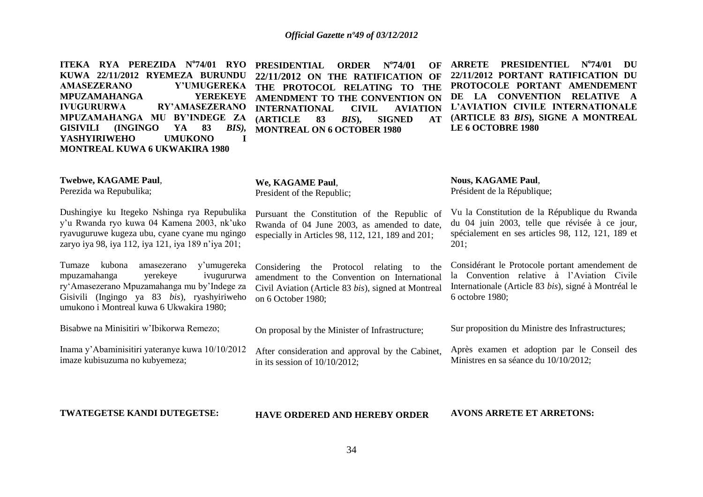| ITEKA RYA PEREZIDA N°74/01 RYO<br>KUWA 22/11/2012 RYEMEZA BURUNDU<br>Y'UMUGEREKA<br><b>AMASEZERANO</b><br><b>YEREKEYE</b><br><b>MPUZAMAHANGA</b><br><b>IVUGURURWA</b><br><b>RY'AMASEZERANO</b><br>MPUZAMAHANGA MU BY'INDEGE ZA<br><b>GISIVILI</b><br>(INGINGO)<br>83<br>YA<br>$BIS$ ),<br><b>UMUKONO</b><br><b>YASHYIRIWEHO</b><br>$\mathbf I$<br><b>MONTREAL KUWA 6 UKWAKIRA 1980</b> | <b>PRESIDENTIAL</b><br>$N^{\circ}74/01$<br><b>ORDER</b><br>OF<br>22/11/2012 ON THE RATIFICATION OF<br>THE PROTOCOL RELATING TO THE<br>AMENDMENT TO THE CONVENTION ON<br><b>INTERNATIONAL</b><br><b>CIVIL</b><br><b>AVIATION</b><br><b>(ARTICLE</b><br>$BIS$ ,<br><b>SIGNED</b><br>83<br><b>AT</b><br><b>MONTREAL ON 6 OCTOBER 1980</b> | <b>ARRETE</b><br><b>PRESIDENTIEL</b><br>$N^{o}74/01$<br>DU<br>22/11/2012 PORTANT RATIFICATION DU<br>PROTOCOLE PORTANT AMENDEMENT<br>DE LA CONVENTION RELATIVE<br>L'AVIATION CIVILE INTERNATIONALE<br>(ARTICLE 83 BIS), SIGNE A MONTREAL<br><b>LE 6 OCTOBRE 1980</b> |
|----------------------------------------------------------------------------------------------------------------------------------------------------------------------------------------------------------------------------------------------------------------------------------------------------------------------------------------------------------------------------------------|----------------------------------------------------------------------------------------------------------------------------------------------------------------------------------------------------------------------------------------------------------------------------------------------------------------------------------------|---------------------------------------------------------------------------------------------------------------------------------------------------------------------------------------------------------------------------------------------------------------------|
| Twebwe, KAGAME Paul,<br>Perezida wa Repubulika;                                                                                                                                                                                                                                                                                                                                        | We, KAGAME Paul,<br>President of the Republic;                                                                                                                                                                                                                                                                                         | <b>Nous, KAGAME Paul,</b><br>Président de la République;                                                                                                                                                                                                            |
| Dushingiye ku Itegeko Nshinga rya Repubulika<br>y'u Rwanda ryo kuwa 04 Kamena 2003, nk'uko<br>ryavuguruwe kugeza ubu, cyane cyane mu ngingo<br>zaryo iya 98, iya 112, iya 121, iya 189 n'iya 201;                                                                                                                                                                                      | Pursuant the Constitution of the Republic of<br>Rwanda of 04 June 2003, as amended to date,<br>especially in Articles 98, 112, 121, 189 and 201;                                                                                                                                                                                       | Vu la Constitution de la République du Rwanda<br>du 04 juin 2003, telle que révisée à ce jour,<br>spécialement en ses articles 98, 112, 121, 189 et<br>201;                                                                                                         |
| Tumaze kubona<br>y'umugereka<br>amasezerano<br>yerekeye<br>ivugururwa<br>mpuzamahanga<br>ry'Amasezerano Mpuzamahanga mu by'Indege za<br>Gisivili (Ingingo ya 83 bis), ryashyiriweho<br>umukono i Montreal kuwa 6 Ukwakira 1980;                                                                                                                                                        | Considering the Protocol relating to the<br>amendment to the Convention on International<br>Civil Aviation (Article 83 bis), signed at Montreal<br>on 6 October 1980;                                                                                                                                                                  | Considérant le Protocole portant amendement de<br>la Convention relative à l'Aviation Civile<br>Internationale (Article 83 bis), signé à Montréal le<br>6 octobre 1980;                                                                                             |
| Bisabwe na Minisitiri w'Ibikorwa Remezo;                                                                                                                                                                                                                                                                                                                                               | On proposal by the Minister of Infrastructure;                                                                                                                                                                                                                                                                                         | Sur proposition du Ministre des Infrastructures;                                                                                                                                                                                                                    |
| Inama y'Abaminisitiri yateranye kuwa 10/10/2012<br>imaze kubisuzuma no kubyemeza;                                                                                                                                                                                                                                                                                                      | After consideration and approval by the Cabinet,<br>in its session of $10/10/2012$ ;                                                                                                                                                                                                                                                   | Après examen et adoption par le Conseil des<br>Ministres en sa séance du 10/10/2012;                                                                                                                                                                                |
| <b>TWATEGETSE KANDI DUTEGETSE:</b>                                                                                                                                                                                                                                                                                                                                                     | <b>HAVE ORDERED AND HEREBY ORDER</b>                                                                                                                                                                                                                                                                                                   | <b>AVONS ARRETE ET ARRETONS:</b>                                                                                                                                                                                                                                    |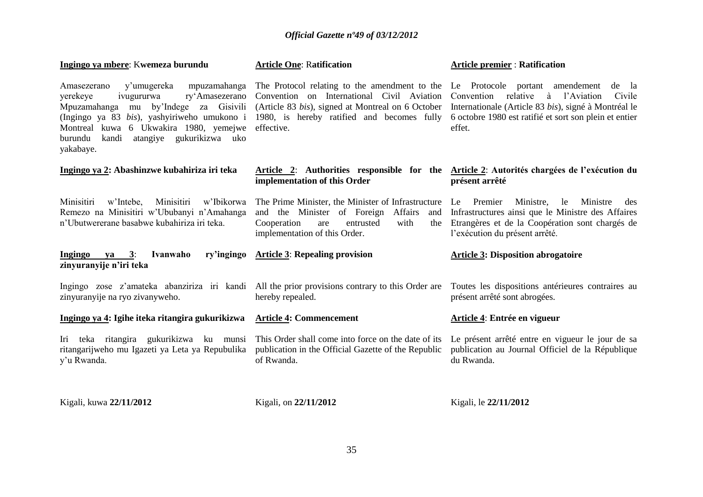| Ingingo ya mbere: Kwemeza burundu                                                                                                                                                                                                                                                              | <b>Article One: Ratification</b>                                                                                                                                                                                                             | <b>Article premier: Ratification</b>                                                                                                                                                        |
|------------------------------------------------------------------------------------------------------------------------------------------------------------------------------------------------------------------------------------------------------------------------------------------------|----------------------------------------------------------------------------------------------------------------------------------------------------------------------------------------------------------------------------------------------|---------------------------------------------------------------------------------------------------------------------------------------------------------------------------------------------|
| y'umugereka<br>mpuzamahanga<br>Amasezerano<br>yerekeye<br>ivugururwa<br>ry'Amasezerano<br>by'Indege<br>Mpuzamahanga<br>za Gisivili<br>mu<br>(Ingingo ya 83 bis), yashyiriweho umukono i<br>Montreal kuwa 6 Ukwakira 1980, yemejwe<br>atangiye gukurikizwa uko<br>burundu<br>kandi<br>yakabaye. | The Protocol relating to the amendment to the Le Protocole portant amendement<br>Convention on International Civil Aviation<br>(Article 83 bis), signed at Montreal on 6 October<br>1980, is hereby ratified and becomes fully<br>effective. | de la<br>relative<br>à l'Aviation<br>Convention<br>Civile<br>Internationale (Article 83 bis), signé à Montréal le<br>6 octobre 1980 est ratifié et sort son plein et entier<br>effet.       |
| Ingingo ya 2: Abashinzwe kubahiriza iri teka                                                                                                                                                                                                                                                   | Article 2: Authorities responsible for the Article 2: Autorités chargées de l'exécution du<br>implementation of this Order                                                                                                                   | présent arrêté                                                                                                                                                                              |
| Minisitiri<br>Minisitiri<br>w'Intebe,<br>w'Ibikorwa<br>Remezo na Minisitiri w'Ububanyi n'Amahanga<br>n'Ubutwererane basabwe kubahiriza iri teka.                                                                                                                                               | The Prime Minister, the Minister of Infrastructure<br>Affairs<br>and the Minister of Foreign<br>and<br>Cooperation<br>with<br>entrusted<br>the<br>are<br>implementation of this Order.                                                       | Le Premier<br>Ministre,<br>Ministre<br>le<br>des<br>Infrastructures ainsi que le Ministre des Affaires<br>Etrangères et de la Coopération sont chargés de<br>l'exécution du présent arrêté. |
| ry'ingingo<br><b>Ingingo</b><br>Ivanwaho<br>3:<br><b>va</b><br>zinyuranyije n'iri teka                                                                                                                                                                                                         | <b>Article 3: Repealing provision</b>                                                                                                                                                                                                        | <b>Article 3: Disposition abrogatoire</b>                                                                                                                                                   |
| Ingingo zose z'amateka abanziriza iri kandi All the prior provisions contrary to this Order are<br>zinyuranyije na ryo zivanyweho.                                                                                                                                                             | hereby repealed.                                                                                                                                                                                                                             | Toutes les dispositions antérieures contraires au<br>présent arrêté sont abrogées.                                                                                                          |
| Ingingo ya 4: Igihe iteka ritangira gukurikizwa                                                                                                                                                                                                                                                | <b>Article 4: Commencement</b>                                                                                                                                                                                                               | Article 4: Entrée en vigueur                                                                                                                                                                |
| Iri teka ritangira gukurikizwa ku munsi<br>ritangarijweho mu Igazeti ya Leta ya Repubulika<br>y'u Rwanda.                                                                                                                                                                                      | This Order shall come into force on the date of its<br>publication in the Official Gazette of the Republic<br>of Rwanda.                                                                                                                     | Le présent arrêté entre en vigueur le jour de sa<br>publication au Journal Officiel de la République<br>du Rwanda.                                                                          |
| Kigali, kuwa 22/11/2012                                                                                                                                                                                                                                                                        | Kigali, on 22/11/2012                                                                                                                                                                                                                        | Kigali, le 22/11/2012                                                                                                                                                                       |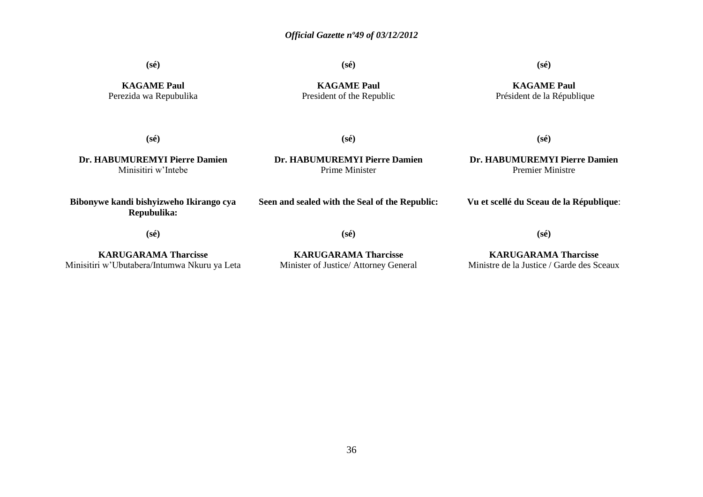**(sé)**

**(sé)**

**(sé)**

**KAGAME Paul** Perezida wa Repubulika

**KAGAME Paul** President of the Republic

**KAGAME Paul** Président de la République

**(sé)**

**Dr. HABUMUREMYI Pierre Damien** Minisitiri w'Intebe

**Dr. HABUMUREMYI Pierre Damien** Prime Minister

**Seen and sealed with the Seal of the Republic:**

**(sé)**

**Dr. HABUMUREMYI Pierre Damien** Premier Ministre

**(sé)**

**Vu et scellé du Sceau de la République**:

**Bibonywe kandi bishyizweho Ikirango cya Repubulika:**

**(sé)**

**KARUGARAMA Tharcisse** Minisitiri w'Ubutabera/Intumwa Nkuru ya Leta

**(sé)**

**KARUGARAMA Tharcisse** Minister of Justice/ Attorney General

**KARUGARAMA Tharcisse** Ministre de la Justice / Garde des Sceaux

**(sé)**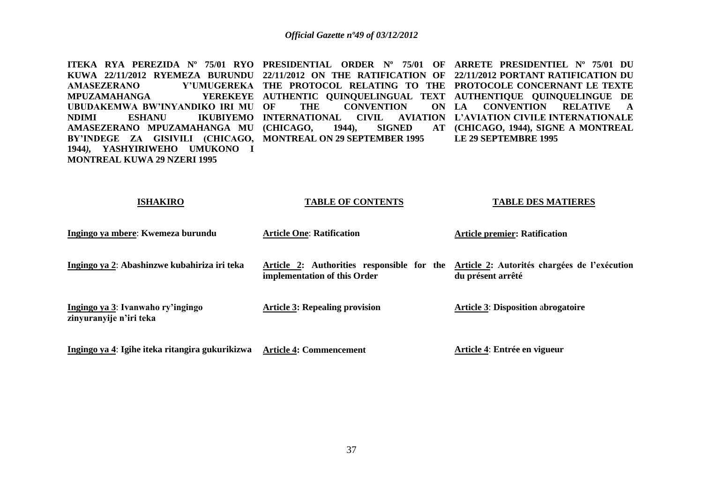**ITEKA RYA PEREZIDA Nº 75/01 RYO PRESIDENTIAL ORDER Nº 75/01 OF ARRETE PRESIDENTIEL Nº 75/01 DU KUWA 22/11/2012 RYEMEZA BURUNDU 22/11/2012 ON THE RATIFICATION OF 22/11/2012 PORTANT RATIFICATION DU AMASEZERANO Y'UMUGEREKA THE PROTOCOL RELATING TO THE PROTOCOLE CONCERNANT LE TEXTE MPUZAMAHANGA UBUDAKEMWA BW'INYANDIKO IRI MU NDIMI ESHANU IKUBIYEMO INTERNATIONAL CIVIL AVIATION L'AVIATION CIVILE INTERNATIONALE AMASEZERANO MPUZAMAHANGA MU (CHICAGO, 1944), SIGNED AT BY'INDEGE ZA GISIVILI (CHICAGO, MONTREAL ON 29 SEPTEMBER 1995 1944***),* **YASHYIRIWEHO UMUKONO I MONTREAL KUWA 29 NZERI 1995 AUTHENTIC QUINQUELINGUAL TEXT AUTHENTIQUE QUINQUELINGUE DE**  THE CONVENTION **LA CONVENTION RELATIVE A (CHICAGO, 1944), SIGNE A MONTREAL LE 29 SEPTEMBRE 1995** 

| <b>ISHAKIRO</b>                                              | TABLE OF CONTENTS                                                                                                       | TABLE DES MATIERES                        |
|--------------------------------------------------------------|-------------------------------------------------------------------------------------------------------------------------|-------------------------------------------|
| Ingingo ya mbere: Kwemeza burundu                            | <b>Article One: Ratification</b>                                                                                        | <b>Article premier: Ratification</b>      |
| Ingingo ya 2: Abashinzwe kubahiriza iri teka                 | Article 2: Authorities responsible for the Article 2: Autorités chargées de l'exécution<br>implementation of this Order | du présent arrêté                         |
| Ingingo ya 3: Ivanwaho ry'ingingo<br>zinyuranyije n'iri teka | <b>Article 3: Repealing provision</b>                                                                                   | <b>Article 3: Disposition abrogatoire</b> |
| Ingingo ya 4: Igihe iteka ritangira gukurikizwa              | <b>Article 4: Commencement</b>                                                                                          | Article 4: Entrée en vigueur              |

**TABLE OF CONTENTS**

**TABLE DES MATIERES**

**ISHAKIRO**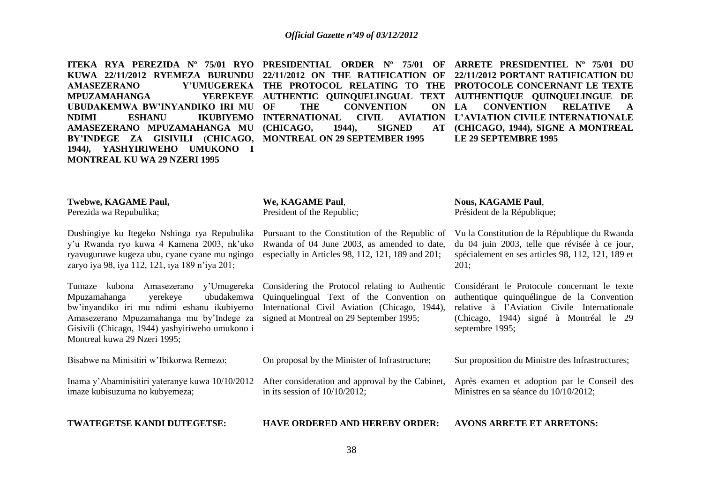**ITEKA RYA PEREZIDA Nº 75/01 RYO PRESIDENTIAL ORDER Nº 75/01 OF ARRETE PRESIDENTIEL Nº 75/01 DU KUWA 22/11/2012 RYEMEZA BURUNDU 22/11/2012 ON THE RATIFICATION OF 22/11/2012 PORTANT RATIFICATION DU AMASEZERANO Y'UMUGEREKA THE PROTOCOL RELATING TO THE PROTOCOLE CONCERNANT LE TEXTE MPUZAMAHANGA UBUDAKEMWA BW'INYANDIKO IRI MU NDIMI ESHANU IKUBIYEMO INTERNATIONAL CIVIL AVIATION AMASEZERANO MPUZAMAHANGA MU (CHICAGO, 1944), SIGNED AT BY'INDEGE ZA GISIVILI (CHICAGO, MONTREAL ON 29 SEPTEMBER 1995 1944***),* **YASHYIRIWEHO UMUKONO I MONTREAL KU WA 29 NZERI 1995** 

THE CONVENTION ON LA

# **AUTHENTIC QUINQUELINGUAL TEXT AUTHENTIQUE QUINQUELINGUE DE LA CONVENTION RELATIVE A L'AVIATION CIVILE INTERNATIONALE (CHICAGO, 1944), SIGNE A MONTREAL LE 29 SEPTEMBRE 1995**

| <b>Twebwe, KAGAME Paul,</b> | We, KAGAME Paul,           |
|-----------------------------|----------------------------|
| Perezida wa Repubulika;     | President of the Republic; |

Dushingiye ku Itegeko Nshinga rya Repubulika y'u Rwanda ryo kuwa 4 Kamena 2003, nk'uko ryavuguruwe kugeza ubu, cyane cyane mu ngingo zaryo iya 98, iya 112, 121, iya 189 n'iya 201;

Tumaze kubona Amasezerano y'Umugereka Mpuzamahanga yerekeye ubudakemwa bw'inyandiko iri mu ndimi eshanu ikubiyemo Amasezerano Mpuzamahanga mu by'Indege za Gisivili (Chicago, 1944) yashyiriweho umukono i Montreal kuwa 29 Nzeri 1995;

especially in Articles 98, 112, 121, 189 and 201; Considering the Protocol relating to Authentic Quinquelingual Text of the Convention on

signed at Montreal on 29 September 1995;

International Civil Aviation (Chicago, 1944),

Pursuant to the Constitution of the Republic of Rwanda of 04 June 2003, as amended to date, **Nous, KAGAME Paul**,

Président de la République;

Vu la Constitution de la République du Rwanda du 04 juin 2003, telle que révisée à ce jour, spécialement en ses articles 98, 112, 121, 189 et 201;

Considérant le Protocole concernant le texte authentique quinquélingue de la Convention relative à l'Aviation Civile Internationale (Chicago, 1944) signé à Montréal le 29 septembre 1995;

Bisabwe na Minisitiri w'Ibikorwa Remezo; On proposal by the Minister of Infrastructure; After consideration and approval by the Cabinet, Sur proposition du Ministre des Infrastructures; Après examen et adoption par le Conseil des

Inama y'Abaminisitiri yateranye kuwa 10/10/2012 imaze kubisuzuma no kubyemeza; in its session of 10/10/2012;

**TWATEGETSE KANDI DUTEGETSE:**

**HAVE ORDERED AND HEREBY ORDER:**

**AVONS ARRETE ET ARRETONS:**

Ministres en sa séance du 10/10/2012;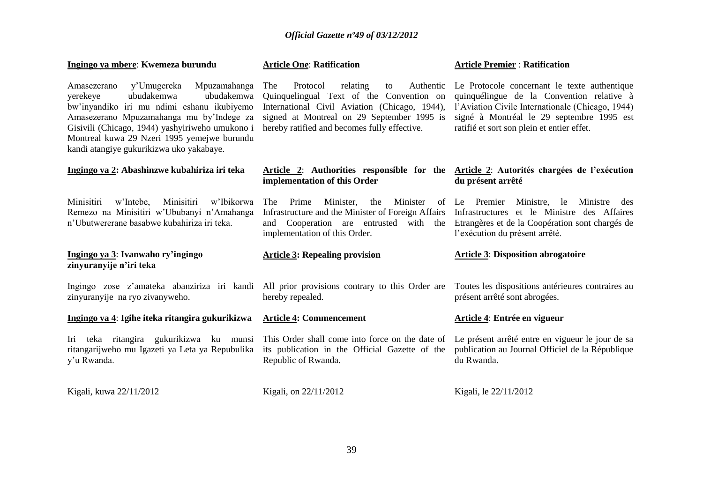# **Ingingo ya mbere**: **Kwemeza burundu**

#### **Article One**: **Ratification**

#### **Article Premier** : **Ratification**

l'exécution du présent arrêté.

présent arrêté sont abrogées.

**Article 4**: **Entrée en vigueur**

**Article 3**: **Disposition abrogatoire**

Amasezerano y'Umugereka Mpuzamahanga yerekeye ubudakemwa ubudakemwa bw'inyandiko iri mu ndimi eshanu ikubiyemo Amasezerano Mpuzamahanga mu by'Indege za Gisivili (Chicago, 1944) yashyiriweho umukono i Montreal kuwa 29 Nzeri 1995 yemejwe burundu kandi atangiye gukurikizwa uko yakabaye.

The Protocol relating to Authentic Le Protocole concernant le texte authentique Quinquelingual Text of the Convention on hereby ratified and becomes fully effective.

International Civil Aviation (Chicago, 1944), l'Aviation Civile Internationale (Chicago, 1944) signed at Montreal on 29 September 1995 is signé à Montréal le 29 septembre 1995 est quinquélingue de la Convention relative à ratifié et sort son plein et entier effet.

#### **Ingingo ya 2: Abashinzwe kubahiriza iri teka Article 2**: **Authorities responsible for the Article 2**: **Autorités chargées de l'exécution implementation of this Order du présent arrêté**

Minisitiri w'Intebe, Minisitiri w'Ibikorwa Remezo na Minisitiri w'Ububanyi n'Amahanga n'Ubutwererane basabwe kubahiriza iri teka.

# **Ingingo ya 3**: **Ivanwaho ry'ingingo zinyuranyije n'iri teka**

Ingingo zose z'amateka abanziriza iri kandi All prior provisions contrary to this Order are Toutes les dispositions antérieures contraires au zinyuranyije na ryo zivanyweho.

**Ingingo ya 4**: **Igihe iteka ritangira gukurikizwa**

Iri teka ritangira gukurikizwa ku munsi This Order shall come into force on the date of Le présent arrêté entre en vigueur le jour de sa ritangarijweho mu Igazeti ya Leta ya Repubulika y'u Rwanda.

**Article 4: Commencement** 

hereby repealed.

implementation of this Order.

**Article 3: Repealing provision**

its publication in the Official Gazette of the publication au Journal Officiel de la République Republic of Rwanda. du Rwanda.

Kigali, kuwa 22/11/2012 Kigali, kuwa 22/11/2012 Kigali, le 22/11/2012

The Prime Minister, the Minister of Le Premier Ministre, le Ministre des Infrastructure and the Minister of Foreign Affairs Infrastructures et le Ministre des Affaires and Cooperation are entrusted with the Etrangères et de la Coopération sont chargés de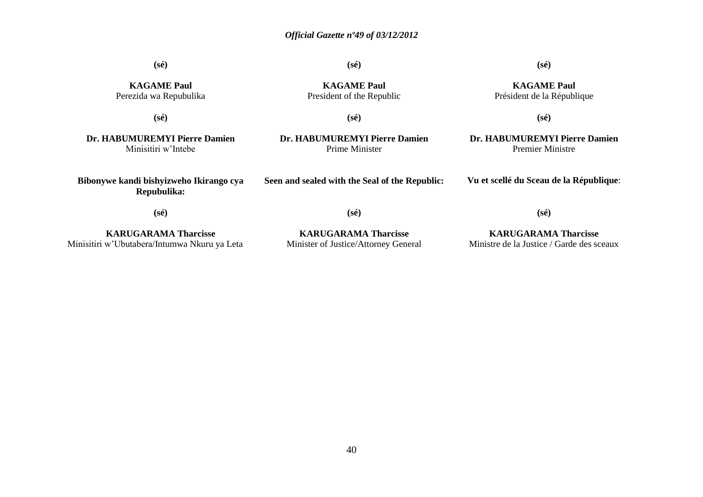**(sé)**

**(sé)**

# **(sé)**

**KAGAME Paul** Président de la République

**KAGAME Paul** Perezida wa Repubulika

**(sé)**

**KAGAME Paul** President of the Republic

**(sé)**

**Dr. HABUMUREMYI Pierre Damien** Minisitiri w'Intebe

**Bibonywe kandi bishyizweho Ikirango cya Repubulika:**

**Dr. HABUMUREMYI Pierre Damien** Prime Minister

**Seen and sealed with the Seal of the Republic:**

**Dr. HABUMUREMYI Pierre Damien**

**(sé)**

Premier Ministre

**Vu et scellé du Sceau de la République**:

**(sé)**

**KARUGARAMA Tharcisse** Minisitiri w'Ubutabera/Intumwa Nkuru ya Leta

**KARUGARAMA Tharcisse** Minister of Justice/Attorney General

**(sé)**

**KARUGARAMA Tharcisse** Ministre de la Justice / Garde des sceaux

**(sé)**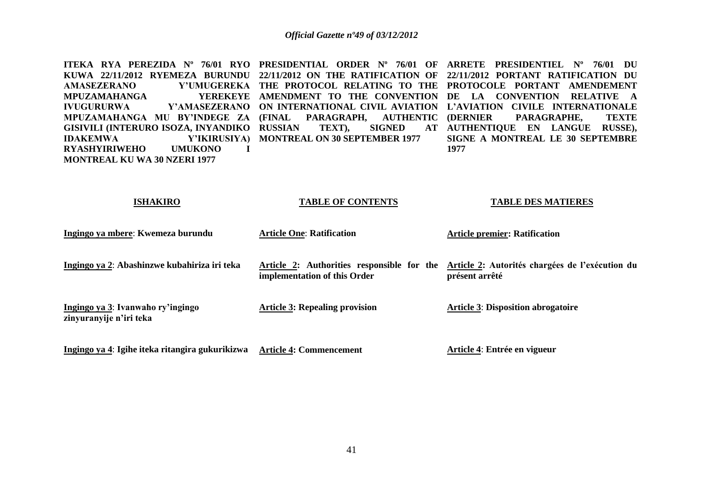**ITEKA RYA PEREZIDA Nº 76/01 RYO PRESIDENTIAL ORDER Nº 76/01 OF ARRETE PRESIDENTIEL Nº 76/01 DU KUWA 22/11/2012 RYEMEZA BURUNDU 22/11/2012 ON THE RATIFICATION OF 22/11/2012 PORTANT RATIFICATION DU AMASEZERANO Y'UMUGEREKA THE PROTOCOL RELATING TO THE PROTOCOLE PORTANT AMENDEMENT MPUZAMAHANGA IVUGURURWA Y'AMASEZERANO ON INTERNATIONAL CIVIL AVIATION L'AVIATION CIVILE INTERNATIONALE MPUZAMAHANGA MU BY'INDEGE ZA (FINAL PARAGRAPH, AUTHENTIC GISIVILI (INTERURO ISOZA, INYANDIKO IDAKEMWA Y'IKIRUSIYA) MONTREAL ON 30 SEPTEMBER 1977 RYASHYIRIWEHO UMUKONO I MONTREAL KU WA 30 NZERI 1977 AMENDMENT TO THE CONVENTION DE LA CONVENTION RELATIVE A RUSSIAN TEXT), SIGNED AT AUTHENTIQUE EN LANGUE RUSSE), (DERNIER PARAGRAPHE, TEXTE SIGNE A MONTREAL LE 30 SEPTEMBRE 1977** 

| ISHAKIKU                                                     | TABLE OF CONTENTS                                                          | TABLE DES MATIERES                                                |
|--------------------------------------------------------------|----------------------------------------------------------------------------|-------------------------------------------------------------------|
| Ingingo ya mbere: Kwemeza burundu                            | <b>Article One: Ratification</b>                                           | <b>Article premier: Ratification</b>                              |
| Ingingo ya 2: Abashinzwe kubahiriza iri teka                 | Article 2: Authorities responsible for the<br>implementation of this Order | Article 2: Autorités chargées de l'exécution du<br>présent arrêté |
| Ingingo ya 3: Ivanwaho ry'ingingo<br>zinyuranyije n'iri teka | <b>Article 3: Repealing provision</b>                                      | <b>Article 3: Disposition abrogatoire</b>                         |
| Ingingo ya 4: Igihe iteka ritangira gukurikizwa              | <b>Article 4: Commencement</b>                                             | Article 4: Entrée en vigueur                                      |

**TABLE OF CONTENTS** 

**TABLE DES MATIERES**

**ISHAKIRO**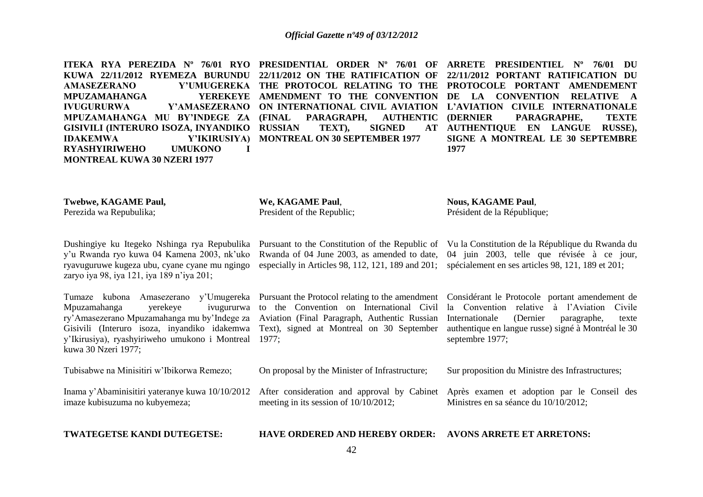**ITEKA RYA PEREZIDA Nº 76/01 RYO PRESIDENTIAL ORDER Nº 76/01 OF ARRETE PRESIDENTIEL Nº 76/01 DU KUWA 22/11/2012 RYEMEZA BURUNDU 22/11/2012 ON THE RATIFICATION OF 22/11/2012 PORTANT RATIFICATION DU AMASEZERANO Y'UMUGEREKA THE PROTOCOL RELATING TO THE PROTOCOLE PORTANT AMENDEMENT MPUZAMAHANGA IVUGURURWA Y'AMASEZERANO ON INTERNATIONAL CIVIL AVIATION L'AVIATION CIVILE INTERNATIONALE MPUZAMAHANGA MU BY'INDEGE ZA GISIVILI (INTERURO ISOZA, INYANDIKO RUSSIAN TEXT), SIGNED AT IDAKEMWA Y'IKIRUSIYA) MONTREAL ON 30 SEPTEMBER 1977 RYASHYIRIWEHO UMUKONO I MONTREAL KUWA 30 NZERI 1977 AMENDMENT TO THE CONVENTION DE LA CONVENTION RELATIVE A**  PARAGRAPH, AUTHENTIC (DERNIER **(DERNIER PARAGRAPHE, TEXTE AUTHENTIQUE EN LANGUE RUSSE), SIGNE A MONTREAL LE 30 SEPTEMBRE 1977** 

**Twebwe, KAGAME Paul,** Perezida wa Repubulika; **We, KAGAME Paul**,

President of the Republic;

**Nous, KAGAME Paul**, Président de la République;

Dushingiye ku Itegeko Nshinga rya Repubulika y'u Rwanda ryo kuwa 04 Kamena 2003, nk'uko ryavuguruwe kugeza ubu, cyane cyane mu ngingo zaryo iya 98, iya 121, iya 189 n'iya 201; Pursuant to the Constitution of the Republic of Vu la Constitution de la République du Rwanda du Rwanda of 04 June 2003, as amended to date, especially in Articles 98, 112, 121, 189 and 201; spécialement en ses articles 98, 121, 189 et 201; 04 juin 2003, telle que révisée à ce jour,

Tumaze kubona Amasezerano y'Umugereka Pursuant the Protocol relating to the amendment Mpuzamahanga verekeye ry'Amasezerano Mpuzamahanga mu by'Indege za Aviation (Final Paragraph, Authentic Russian Gisivili (Interuro isoza, inyandiko idakemwa Text), signed at Montreal on 30 September y'Ikirusiya), ryashyiriweho umukono i Montreal 1977; kuwa 30 Nzeri 1977;

ivugururwa to the Convention on International Civil

On proposal by the Minister of Infrastructure;

Considérant le Protocole portant amendement de la Convention relative à l'Aviation Civile Internationale (Dernier paragraphe, texte authentique en langue russe) signé à Montréal le 30 septembre 1977;

Sur proposition du Ministre des Infrastructures;

Ministres en sa séance du 10/10/2012;

Après examen et adoption par le Conseil des

Inama y'Abaminisitiri yateranye kuwa 10/10/2012 After consideration and approval by Cabinet imaze kubisuzuma no kubyemeza; meeting in its session of 10/10/2012;

**TWATEGETSE KANDI DUTEGETSE:**

Tubisabwe na Minisitiri w'Ibikorwa Remezo;

**HAVE ORDERED AND HEREBY ORDER: AVONS ARRETE ET ARRETONS:**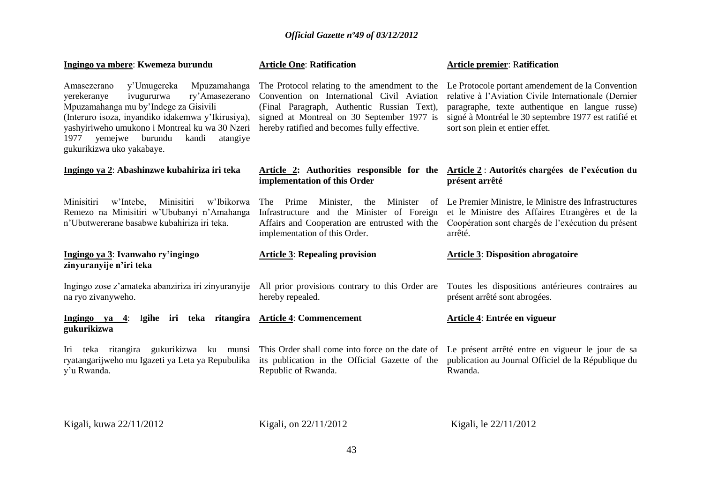| Ingingo ya mbere: Kwemeza burundu                                                                                                                                                                                                                                                                                         | <b>Article One: Ratification</b>                                                                                                                                                                                                        | <b>Article premier: Ratification</b>                                                                                                                                                                                                                      |
|---------------------------------------------------------------------------------------------------------------------------------------------------------------------------------------------------------------------------------------------------------------------------------------------------------------------------|-----------------------------------------------------------------------------------------------------------------------------------------------------------------------------------------------------------------------------------------|-----------------------------------------------------------------------------------------------------------------------------------------------------------------------------------------------------------------------------------------------------------|
| Mpuzamahanga<br>y'Umugereka<br>Amasezerano<br>ry'Amasezerano<br>yerekeranye<br>ivugururwa<br>Mpuzamahanga mu by'Indege za Gisivili<br>(Interuro isoza, inyandiko idakemwa y'Ikirusiya),<br>yashyiriweho umukono i Montreal ku wa 30 Nzeri<br>burundu<br>yemejwe<br>kandi<br>atangiye<br>1977<br>gukurikizwa uko yakabaye. | The Protocol relating to the amendment to the<br>Convention on International Civil Aviation<br>(Final Paragraph, Authentic Russian Text),<br>signed at Montreal on 30 September 1977 is<br>hereby ratified and becomes fully effective. | Le Protocole portant amendement de la Convention<br>relative à l'Aviation Civile Internationale (Dernier<br>paragraphe, texte authentique en langue russe)<br>signé à Montréal le 30 septembre 1977 est ratifié et<br>sort son plein et entier effet.     |
| Ingingo ya 2: Abashinzwe kubahiriza iri teka                                                                                                                                                                                                                                                                              | implementation of this Order                                                                                                                                                                                                            | Article 2: Authorities responsible for the Article 2: Autorités chargées de l'exécution du<br>présent arrêté                                                                                                                                              |
| Minisitiri<br>Minisitiri<br>w'Intebe,<br>w'Ibikorwa<br>Remezo na Minisitiri w'Ububanyi n'Amahanga<br>n'Ubutwererane basabwe kubahiriza iri teka.                                                                                                                                                                          | Prime<br>Minister,<br>the<br>Minister<br>The<br>Infrastructure and the Minister of Foreign<br>Affairs and Cooperation are entrusted with the<br>implementation of this Order.                                                           | of Le Premier Ministre, le Ministre des Infrastructures<br>et le Ministre des Affaires Etrangères et de la<br>Coopération sont chargés de l'exécution du présent<br>arrêté.                                                                               |
|                                                                                                                                                                                                                                                                                                                           |                                                                                                                                                                                                                                         |                                                                                                                                                                                                                                                           |
| Ingingo ya 3: Ivanwaho ry'ingingo<br>zinyuranyije n'iri teka                                                                                                                                                                                                                                                              | <b>Article 3: Repealing provision</b>                                                                                                                                                                                                   | <b>Article 3: Disposition abrogatoire</b>                                                                                                                                                                                                                 |
| Ingingo zose z'amateka abanziriza iri zinyuranyije<br>na ryo zivanyweho.                                                                                                                                                                                                                                                  | hereby repealed.                                                                                                                                                                                                                        | All prior provisions contrary to this Order are Toutes les dispositions antérieures contraires au<br>présent arrêté sont abrogées.                                                                                                                        |
| Ingingo ya 4: Igihe iri teka ritangira Article 4: Commencement<br>gukurikizwa                                                                                                                                                                                                                                             |                                                                                                                                                                                                                                         | Article 4: Entrée en vigueur                                                                                                                                                                                                                              |
| ryatangarijweho mu Igazeti ya Leta ya Repubulika<br>y'u Rwanda.                                                                                                                                                                                                                                                           | Republic of Rwanda.                                                                                                                                                                                                                     | Iri teka ritangira gukurikizwa ku munsi This Order shall come into force on the date of Le présent arrêté entre en vigueur le jour de sa<br>its publication in the Official Gazette of the publication au Journal Officiel de la République du<br>Rwanda. |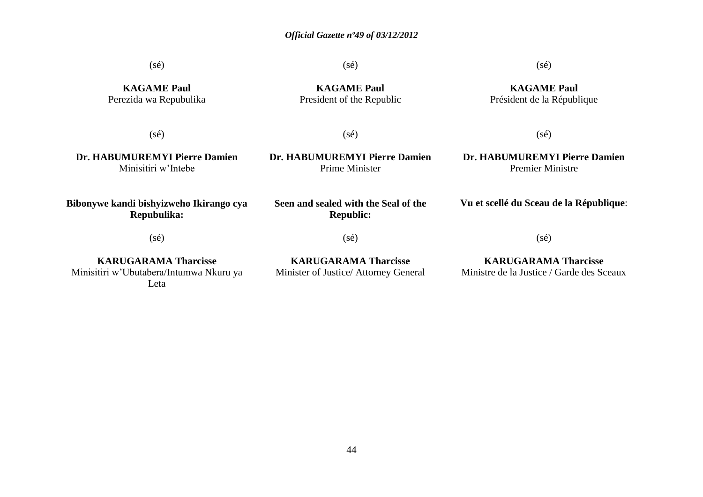(sé)

(sé)

# (sé)

**KAGAME Paul** Perezida wa Repubulika

**KAGAME Paul** President of the Republic

**KAGAME Paul** Président de la République

 $(sé)$ 

 $(sé)$ 

**Dr. HABUMUREMYI Pierre Damien** Minisitiri w'Intebe

**Dr. HABUMUREMYI Pierre Damien** Prime Minister

**Seen and sealed with the Seal of the Republic:**

**Dr. HABUMUREMYI Pierre Damien** Premier Ministre

 $(s\acute{e})$ 

**Bibonywe kandi bishyizweho Ikirango cya Repubulika:**

(sé)

**KARUGARAMA Tharcisse** Minisitiri w'Ubutabera/Intumwa Nkuru ya Leta

(sé)

**KARUGARAMA Tharcisse** Minister of Justice/ Attorney General **Vu et scellé du Sceau de la République**:

(sé)

**KARUGARAMA Tharcisse** Ministre de la Justice / Garde des Sceaux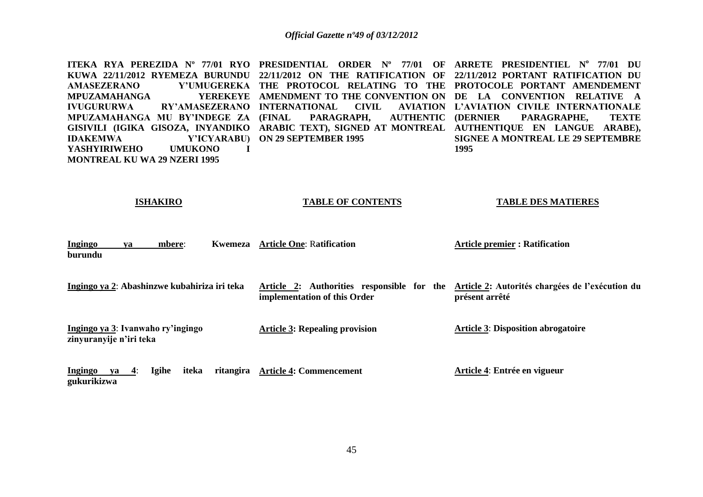**ITEKA RYA PEREZIDA Nº 77/01 RYO PRESIDENTIAL ORDER Nº 77/01 OF ARRETE PRESIDENTIEL N<sup>o</sup> 77/01 DU KUWA 22/11/2012 RYEMEZA BURUNDU 22/11/2012 ON THE RATIFICATION OF 22/11/2012 PORTANT RATIFICATION DU AMASEZERANO Y'UMUGEREKA THE PROTOCOL RELATING TO THE PROTOCOLE PORTANT AMENDEMENT MPUZAMAHANGA IVUGURURWA RY'AMASEZERANO INTERNATIONAL CIVIL AVIATION MPUZAMAHANGA MU BY'INDEGE ZA GISIVILI (IGIKA GISOZA, INYANDIKO ARABIC TEXT), SIGNED AT MONTREAL AUTHENTIQUE EN LANGUE ARABE), IDAKEMWA Y'ICYARABU) ON 29 SEPTEMBER 1995 YASHYIRIWEHO UMUKONO I MONTREAL KU WA 29 NZERI 1995 AMENDMENT TO THE CONVENTION ON DE LA CONVENTION RELATIVE A FARAGRAPH, AUTHENTIC (DERNIER L'AVIATION CIVILE INTERNATIONALE (DERNIER PARAGRAPHE, TEXTE SIGNEE A MONTREAL LE 29 SEPTEMBRE 1995** 

| <b>ISHAKIRO</b>                                              | <b>TABLE OF CONTENTS</b>                                                                                                   | <b>TABLE DES MATIERES</b>                 |
|--------------------------------------------------------------|----------------------------------------------------------------------------------------------------------------------------|-------------------------------------------|
| <b>Ingingo</b><br>mbere:<br><b>Kwemeza</b><br>ya<br>burundu  | <b>Article One: Ratification</b>                                                                                           | <b>Article premier : Ratification</b>     |
| Ingingo ya 2: Abashinzwe kubahiriza iri teka                 | Article 2: Authorities responsible for the Article 2: Autorités chargées de l'exécution du<br>implementation of this Order | présent arrêté                            |
| Ingingo ya 3: Ivanwaho ry'ingingo<br>zinyuranyije n'iri teka | <b>Article 3: Repealing provision</b>                                                                                      | <b>Article 3: Disposition abrogatoire</b> |

|             |  |  | Ingingo ya 4: Igihe iteka ritangira Article 4: Commencement | Article 4: Entrée en vigueur |
|-------------|--|--|-------------------------------------------------------------|------------------------------|
| gukurikizwa |  |  |                                                             |                              |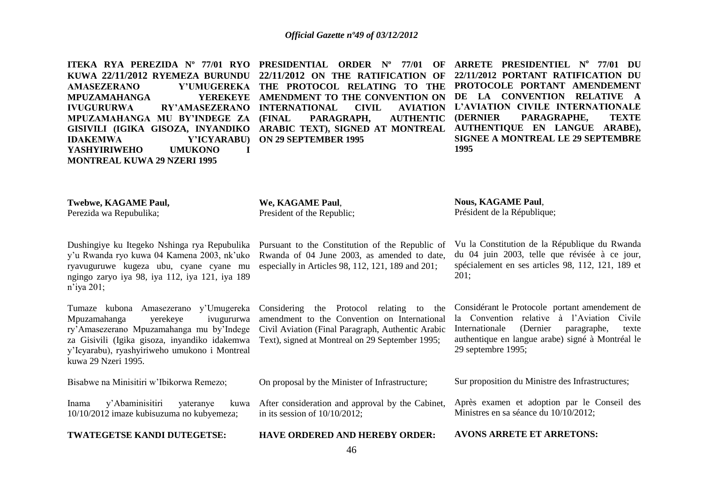**ITEKA RYA PEREZIDA Nº 77/01 RYO PRESIDENTIAL ORDER Nº 77/01 OF ARRETE PRESIDENTIEL N<sup>o</sup> 77/01 DU KUWA 22/11/2012 RYEMEZA BURUNDU 22/11/2012 ON THE RATIFICATION OF 22/11/2012 PORTANT RATIFICATION DU AMASEZERANO Y'UMUGEREKA THE PROTOCOL RELATING TO THE PROTOCOLE PORTANT AMENDEMENT MPUZAMAHANGA IVUGURURWA RY'AMASEZERANO INTERNATIONAL CIVIL AVIATION MPUZAMAHANGA MU BY'INDEGE ZA GISIVILI (IGIKA GISOZA, INYANDIKO ARABIC TEXT), SIGNED AT MONTREAL AUTHENTIQUE EN LANGUE ARABE), IDAKEMWA Y'ICYARABU) ON 29 SEPTEMBER 1995 YASHYIRIWEHO UMUKONO I MONTREAL KUWA 29 NZERI 1995 AMENDMENT TO THE CONVENTION ON DE LA CONVENTION RELATIVE A**  PARAGRAPH, AUTHENTIC **L'AVIATION CIVILE INTERNATIONALE (DERNIER PARAGRAPHE, TEXTE SIGNEE A MONTREAL LE 29 SEPTEMBRE 1995** 

**Twebwe, KAGAME Paul,** Perezida wa Repubulika;

**We, KAGAME Paul**, President of the Republic;

**Nous, KAGAME Paul**, Président de la République;

Dushingiye ku Itegeko Nshinga rya Repubulika y'u Rwanda ryo kuwa 04 Kamena 2003, nk'uko ryavuguruwe kugeza ubu, cyane cyane mu ngingo zaryo iya 98, iya 112, iya 121, iya 189 n'iya 201;

Tumaze kubona Amasezerano y'Umugereka Mpuzamahanga yerekeye ivugururwa ry'Amasezerano Mpuzamahanga mu by'Indege za Gisivili (Igika gisoza, inyandiko idakemwa y'Icyarabu), ryashyiriweho umukono i Montreal kuwa 29 Nzeri 1995.

Pursuant to the Constitution of the Republic of Rwanda of 04 June 2003, as amended to date, especially in Articles 98, 112, 121, 189 and 201;

Considering the Protocol relating to the amendment to the Convention on International Civil Aviation (Final Paragraph, Authentic Arabic Text), signed at Montreal on 29 September 1995;

On proposal by the Minister of Infrastructure;

in its session of 10/10/2012;

Vu la Constitution de la République du Rwanda du 04 juin 2003, telle que révisée à ce jour, spécialement en ses articles 98, 112, 121, 189 et  $201:$ 

Considérant le Protocole portant amendement de la Convention relative à l'Aviation Civile Internationale (Dernier paragraphe, texte authentique en langue arabe) signé à Montréal le 29 septembre 1995;

Bisabwe na Minisitiri w'Ibikorwa Remezo;

Inama y'Abaminisitiri yateranye 10/10/2012 imaze kubisuzuma no kubyemeza; After consideration and approval by the Cabinet,

**TWATEGETSE KANDI DUTEGETSE:**

Sur proposition du Ministre des Infrastructures;

Après examen et adoption par le Conseil des Ministres en sa séance du 10/10/2012;

**HAVE ORDERED AND HEREBY ORDER: AVONS ARRETE ET ARRETONS:**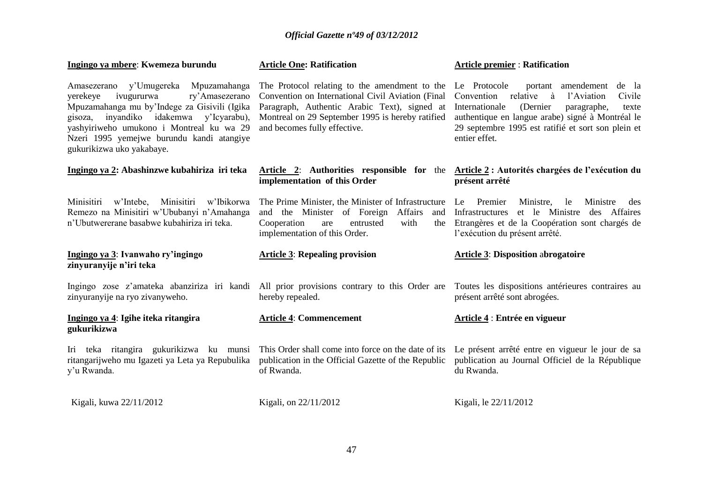| Ingingo ya mbere: Kwemeza burundu                                                                                                                                                                                                                                                                          | <b>Article One: Ratification</b>                                                                                                                                                                                                       | <b>Article premier: Ratification</b>                                                                                                                                                                                                                                                |
|------------------------------------------------------------------------------------------------------------------------------------------------------------------------------------------------------------------------------------------------------------------------------------------------------------|----------------------------------------------------------------------------------------------------------------------------------------------------------------------------------------------------------------------------------------|-------------------------------------------------------------------------------------------------------------------------------------------------------------------------------------------------------------------------------------------------------------------------------------|
| y'Umugereka<br>Mpuzamahanga<br>Amasezerano<br>ivugururwa<br>ry'Amasezerano<br>yerekeye<br>Mpuzamahanga mu by'Indege za Gisivili (Igika<br>inyandiko idakemwa y'Icyarabu),<br>gisoza,<br>yashyiriweho umukono i Montreal ku wa 29<br>Nzeri 1995 yemejwe burundu kandi atangiye<br>gukurikizwa uko yakabaye. | The Protocol relating to the amendment to the<br>Convention on International Civil Aviation (Final<br>Paragraph, Authentic Arabic Text), signed at<br>Montreal on 29 September 1995 is hereby ratified<br>and becomes fully effective. | Le Protocole<br>portant amendement<br>de la<br>relative<br>l'Aviation<br>Civile<br>Convention<br>à<br>Internationale<br>(Dernier<br>paragraphe,<br>texte<br>authentique en langue arabe) signé à Montréal le<br>29 septembre 1995 est ratifié et sort son plein et<br>entier effet. |
| Ingingo ya 2: Abashinzwe kubahiriza iri teka                                                                                                                                                                                                                                                               | <b>Article 2:</b> Authorities responsible for the<br>implementation of this Order                                                                                                                                                      | Article 2 : Autorités chargées de l'exécution du<br>présent arrêté                                                                                                                                                                                                                  |
| Minisitiri<br>Minisitiri<br>w'Intebe,<br>w'Ibikorwa<br>Remezo na Minisitiri w'Ububanyi n'Amahanga<br>n'Ubutwererane basabwe kubahiriza iri teka.                                                                                                                                                           | The Prime Minister, the Minister of Infrastructure<br>and the Minister of Foreign<br>Affairs<br>and<br>with<br>Cooperation<br>entrusted<br>the<br>are<br>implementation of this Order.                                                 | Le<br>Premier<br>Ministre,<br>Ministre<br>le<br>des<br>et le Ministre<br>Infrastructures<br>des Affaires<br>Etrangères et de la Coopération sont chargés de<br>l'exécution du présent arrêté.                                                                                       |
| Ingingo ya 3: Ivanwaho ry'ingingo<br>zinyuranyije n'iri teka                                                                                                                                                                                                                                               | <b>Article 3: Repealing provision</b>                                                                                                                                                                                                  | <b>Article 3: Disposition abrogatoire</b>                                                                                                                                                                                                                                           |
| Ingingo zose z'amateka abanziriza iri kandi<br>zinyuranyije na ryo zivanyweho.                                                                                                                                                                                                                             | All prior provisions contrary to this Order are<br>hereby repealed.                                                                                                                                                                    | Toutes les dispositions antérieures contraires au<br>présent arrêté sont abrogées.                                                                                                                                                                                                  |
| Ingingo ya 4: Igihe iteka ritangira<br>gukurikizwa                                                                                                                                                                                                                                                         | <b>Article 4: Commencement</b>                                                                                                                                                                                                         | Article 4 : Entrée en vigueur                                                                                                                                                                                                                                                       |
| Iri teka ritangira gukurikizwa ku munsi<br>ritangarijweho mu Igazeti ya Leta ya Repubulika<br>y'u Rwanda.                                                                                                                                                                                                  | This Order shall come into force on the date of its<br>publication in the Official Gazette of the Republic<br>of Rwanda.                                                                                                               | Le présent arrêté entre en vigueur le jour de sa<br>publication au Journal Officiel de la République<br>du Rwanda.                                                                                                                                                                  |
| Kigali, kuwa 22/11/2012                                                                                                                                                                                                                                                                                    | Kigali, on 22/11/2012                                                                                                                                                                                                                  | Kigali, le 22/11/2012                                                                                                                                                                                                                                                               |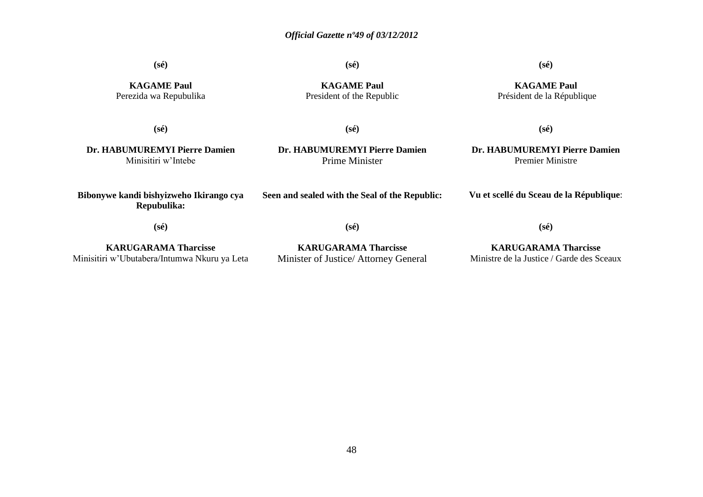**(sé)**

**(sé)**

# **(sé)**

**KAGAME Paul** Perezida wa Repubulika

**KAGAME Paul** President of the Republic

**KAGAME Paul** Président de la République

**(sé)**

**(sé)**

**(sé)**

**Dr. HABUMUREMYI Pierre Damien** Minisitiri w'Intebe

**Dr. HABUMUREMYI Pierre Damien** Prime Minister

**Dr. HABUMUREMYI Pierre Damien** Premier Ministre

**Vu et scellé du Sceau de la République**:

**(sé)**

**Bibonywe kandi bishyizweho Ikirango cya Repubulika:**

**(sé)**

**Seen and sealed with the Seal of the Republic:**

**KARUGARAMA Tharcisse** Minisitiri w'Ubutabera/Intumwa Nkuru ya Leta

**KARUGARAMA Tharcisse** Minister of Justice/ Attorney General

**KARUGARAMA Tharcisse** Ministre de la Justice / Garde des Sceaux

**(sé)**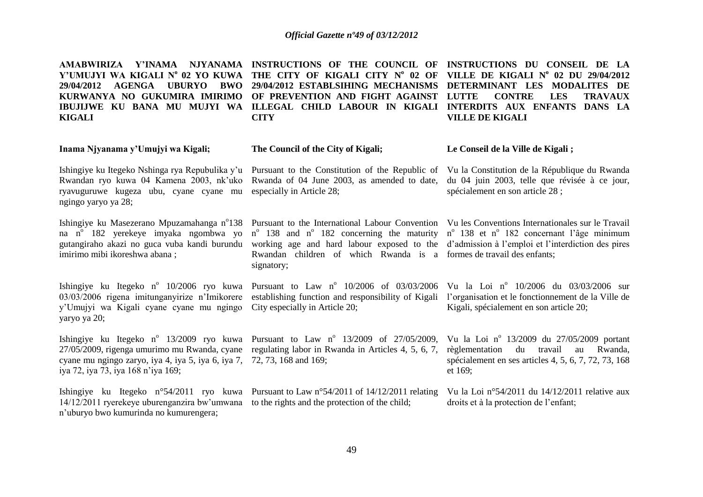| AMABWIRIZA Y'INAMA NJYANAMA<br>Y'UMUJYI WA KIGALI N° 02 YO KUWA<br><b>AGENGA</b><br><b>UBURYO</b><br>BWO<br>29/04/2012<br>KURWANYA NO GUKUMIRA IMIRIMO<br>IBUJIJWE KU BANA MU MUJYI WA<br><b>KIGALI</b> | INSTRUCTIONS OF THE COUNCIL OF INSTRUCTIONS DU CONSEIL DE LA<br>THE CITY OF KIGALI CITY Nº 02 OF<br>29/04/2012 ESTABLSIHING MECHANISMS<br>OF PREVENTION AND FIGHT AGAINST LUTTE<br>ILLEGAL CHILD LABOUR IN KIGALI<br><b>CITY</b>                                                                                                                                                                   | VILLE DE KIGALI $N^{\circ}$ 02 DU 29/04/2012<br>DETERMINANT LES MODALITES DE<br><b>CONTRE</b><br><b>LES</b><br><b>TRAVAUX</b><br>INTERDITS AUX ENFANTS DANS LA<br><b>VILLE DE KIGALI</b> |
|---------------------------------------------------------------------------------------------------------------------------------------------------------------------------------------------------------|----------------------------------------------------------------------------------------------------------------------------------------------------------------------------------------------------------------------------------------------------------------------------------------------------------------------------------------------------------------------------------------------------|------------------------------------------------------------------------------------------------------------------------------------------------------------------------------------------|
| Inama Njyanama y'Umujyi wa Kigali;                                                                                                                                                                      | The Council of the City of Kigali;                                                                                                                                                                                                                                                                                                                                                                 | Le Conseil de la Ville de Kigali;                                                                                                                                                        |
| Rwandan ryo kuwa 04 Kamena 2003, nk'uko<br>ryavuguruwe kugeza ubu, cyane cyane mu<br>ngingo yaryo ya 28;                                                                                                | Ishingiye ku Itegeko Nshinga rya Repubulika y'u Pursuant to the Constitution of the Republic of Vu la Constitution de la République du Rwanda<br>Rwanda of 04 June 2003, as amended to date,<br>especially in Article 28;                                                                                                                                                                          | du 04 juin 2003, telle que révisée à ce jour,<br>spécialement en son article 28 ;                                                                                                        |
| na n <sup>o</sup> 182 yerekeye imyaka ngombwa yo<br>gutangiraho akazi no guca vuba kandi burundu<br>imirimo mibi ikoreshwa abana;                                                                       | Ishingiye ku Masezerano Mpuzamahanga nº138 Pursuant to the International Labour Convention Vu les Conventions Internationales sur le Travail<br>$n^{\circ}$ 138 and $n^{\circ}$ 182 concerning the maturity<br>working age and hard labour exposed to the d'admission à l'emploi et l'interdiction des pires<br>Rwandan children of which Rwanda is a formes de travail des enfants;<br>signatory; | n <sup>°</sup> 138 et n <sup>°</sup> 182 concernant l'âge minimum                                                                                                                        |
| 03/03/2006 rigena imitunganyirize n'Imikorere<br>y'Umujyi wa Kigali cyane cyane mu ngingo<br>yaryo ya 20;                                                                                               | Ishingiye ku Itegeko nº 10/2006 ryo kuwa Pursuant to Law nº 10/2006 of 03/03/2006 Vu la Loi nº 10/2006 du 03/03/2006 sur<br>establishing function and responsibility of Kigali<br>City especially in Article 20;                                                                                                                                                                                   | l'organisation et le fonctionnement de la Ville de<br>Kigali, spécialement en son article 20;                                                                                            |
| cyane mu ngingo zaryo, iya 4, iya 5, iya 6, iya 7, 72, 73, 168 and 169;<br>iya 72, iya 73, iya 168 n'iya 169;                                                                                           | Ishingiye ku Itegeko n° 13/2009 ryo kuwa Pursuant to Law n° 13/2009 of 27/05/2009,<br>27/05/2009, rigenga umurimo mu Rwanda, cyane regulating labor in Rwanda in Articles 4, 5, 6, 7,                                                                                                                                                                                                              | Vu la Loi nº 13/2009 du 27/05/2009 portant<br>règlementation<br>du<br>travail<br>Rwanda,<br>au<br>spécialement en ses articles 4, 5, 6, 7, 72, 73, 168<br>et 169;                        |
| 14/12/2011 ryerekeye uburenganzira bw'umwana<br>n'uburyo bwo kumurinda no kumurengera;                                                                                                                  | Ishingiye ku Itegeko n°54/2011 ryo kuwa Pursuant to Law n°54/2011 of 14/12/2011 relating<br>to the rights and the protection of the child;                                                                                                                                                                                                                                                         | Vu la Loi $n^{\circ}54/2011$ du $14/12/2011$ relative aux<br>droits et à la protection de l'enfant;                                                                                      |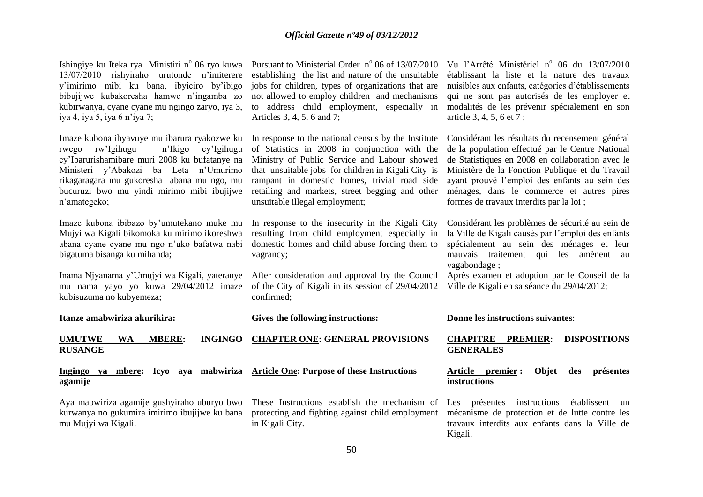Ishingiye ku Iteka rya Ministiri n<sup>o</sup> 06 ryo kuwa Pursuant to Ministerial Order n<sup>o</sup> 06 of 13/07/2010 13/07/2010 rishyiraho urutonde n'imiterere y'imirimo mibi ku bana, ibyiciro by'ibigo bibujijwe kubakoresha hamwe n'ingamba zo kubirwanya, cyane cyane mu ngingo zaryo, iya 3, iya 4, iya 5, iya 6 n'iya 7;

Imaze kubona ibyavuye mu ibarura ryakozwe ku n'Ikigo cy'Igihugu cy'Ibarurishamibare muri 2008 ku bufatanye na Ministeri y'Abakozi ba Leta n'Umurimo rikagaragara mu gukoresha abana mu ngo, mu bucuruzi bwo mu yindi mirimo mibi ibujijwe n'amategeko;

Imaze kubona ibibazo by'umutekano muke mu Mujyi wa Kigali bikomoka ku mirimo ikoreshwa abana cyane cyane mu ngo n'uko bafatwa nabi bigatuma bisanga ku mihanda;

kubisuzuma no kubyemeza;

establishing the list and nature of the unsuitable jobs for children, types of organizations that are not allowed to employ children and mechanisms to address child employment, especially in Articles 3, 4, 5, 6 and 7;

In response to the national census by the Institute of Statistics in 2008 in conjunction with the Ministry of Public Service and Labour showed that unsuitable jobs for children in Kigali City is rampant in domestic homes, trivial road side retailing and markets, street begging and other unsuitable illegal employment;

In response to the insecurity in the Kigali City resulting from child employment especially in domestic homes and child abuse forcing them to vagrancy;

Inama Njyanama y'Umujyi wa Kigali, yateranye After consideration and approval by the Council mu nama yayo yo kuwa 29/04/2012 imaze of the City of Kigali in its session of 29/04/2012 confirmed;

nuisibles aux enfants, catégories d'établissements qui ne sont pas autorisés de les employer et modalités de les prévenir spécialement en son article 3, 4, 5, 6 et 7; Considérant les résultats du recensement général

Vu l'Arrêté Ministériel nº 06 du 13/07/2010 établissant la liste et la nature des travaux

de la population effectué par le Centre National de Statistiques en 2008 en collaboration avec le Ministère de la Fonction Publique et du Travail ayant prouvé l'emploi des enfants au sein des ménages, dans le commerce et autres pires formes de travaux interdits par la loi ;

Considérant les problèmes de sécurité au sein de la Ville de Kigali causés par l'emploi des enfants spécialement au sein des ménages et leur mauvais traitement qui les amènent au vagabondage ;

Après examen et adoption par le Conseil de la Ville de Kigali en sa séance du 29/04/2012;

**Itanze amabwiriza akurikira:**

**Gives the following instructions:**

**UMUTWE WA MBERE: RUSANGE CHAPTER ONE: GENERAL PROVISIONS** 

**Ingingo ya mbere: Icyo aya mabwiriza Article One: Purpose of these Instructions agamije**

kurwanya no gukumira imirimo ibujijwe ku bana mu Mujyi wa Kigali.

Aya mabwiriza agamije gushyiraho uburyo bwo These Instructions establish the mechanism of protecting and fighting against child employment in Kigali City.

**Donne les instructions suivantes**:

# **CHAPITRE PREMIER: DISPOSITIONS GENERALES**

# **Article premier : Objet des présentes instructions**

Les présentes instructions établissent un mécanisme de protection et de lutte contre les travaux interdits aux enfants dans la Ville de Kigali.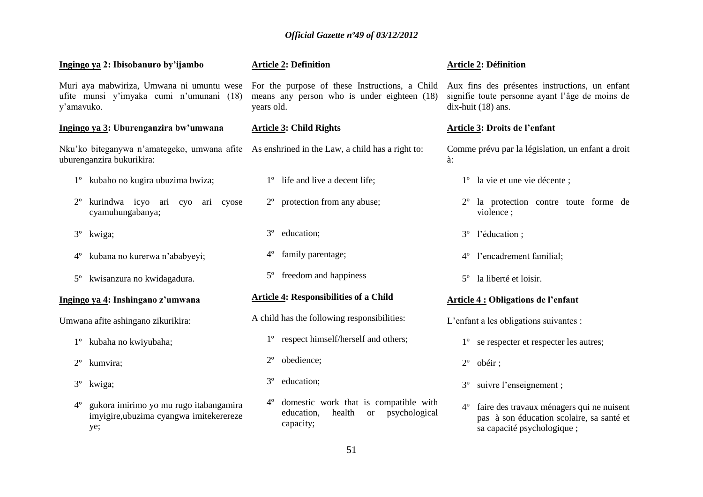| Ingingo ya 2: Ibisobanuro by'ijambo                                                                                       | <b>Article 2: Definition</b>                                                                                                | <b>Article 2: Définition</b>                                                                                                        |
|---------------------------------------------------------------------------------------------------------------------------|-----------------------------------------------------------------------------------------------------------------------------|-------------------------------------------------------------------------------------------------------------------------------------|
| Muri aya mabwiriza, Umwana ni umuntu wese<br>ufite munsi y'imyaka cumi n'umunani (18)<br>y'amavuko.                       | For the purpose of these Instructions, a Child<br>means any person who is under eighteen (18)<br>years old.                 | Aux fins des présentes instructions, un enfant<br>signifie toute personne ayant l'âge de moins de<br>dix-huit (18) ans.             |
| Ingingo ya 3: Uburenganzira bw'umwana                                                                                     | <b>Article 3: Child Rights</b>                                                                                              | Article 3: Droits de l'enfant                                                                                                       |
| Nku'ko biteganywa n'amategeko, umwana afite As enshrined in the Law, a child has a right to:<br>uburenganzira bukurikira: |                                                                                                                             | Comme prévu par la législation, un enfant a droit<br>à:                                                                             |
| 1 <sup>°</sup> kubaho no kugira ubuzima bwiza;                                                                            | 1° life and live a decent life;                                                                                             | 1 <sup>°</sup> la vie et une vie décente ;                                                                                          |
| kurindwa icyo ari cyo ari cyose<br>$2^{\circ}$<br>cyamuhungabanya;                                                        | 2° protection from any abuse;                                                                                               | 2 <sup>°</sup> la protection contre toute forme de<br>violence;                                                                     |
| $3^{\circ}$<br>kwiga;                                                                                                     | $3^{\circ}$<br>education;                                                                                                   | l'éducation;<br>$3^{\circ}$                                                                                                         |
| kubana no kurerwa n'ababyeyi;<br>$4^{\circ}$                                                                              | family parentage;<br>$4^{\circ}$                                                                                            | l'encadrement familial;<br>$4^{\circ}$                                                                                              |
| kwisanzura no kwidagadura.<br>$5^{\circ}$                                                                                 | freedom and happiness<br>$5^{\circ}$                                                                                        | la liberté et loisir.<br>$5^\circ$                                                                                                  |
| Ingingo ya 4: Inshingano z'umwana                                                                                         | <b>Article 4: Responsibilities of a Child</b>                                                                               | <b>Article 4: Obligations de l'enfant</b>                                                                                           |
| Umwana afite ashingano zikurikira:                                                                                        | A child has the following responsibilities:                                                                                 | L'enfant a les obligations suivantes :                                                                                              |
| 1° kubaha no kwiyubaha;                                                                                                   | respect himself/herself and others;<br>$1^{\circ}$                                                                          | se respecter et respecter les autres;<br>$1^{\circ}$                                                                                |
| $2^{\circ}$<br>kumvira;                                                                                                   | obedience;<br>$2^{\circ}$                                                                                                   | $2^{\circ}$<br>obéir;                                                                                                               |
| $3^{\circ}$<br>kwiga;                                                                                                     | $3^{\circ}$<br>education;                                                                                                   | suivre l'enseignement;<br>$3^{\circ}$                                                                                               |
| gukora imirimo yo mu rugo itabangamira<br>$4^{\circ}$<br>imyigire, ubuzima cyangwa imitekerereze<br>ye;                   | $4^{\circ}$<br>domestic work that is compatible with<br>health<br>psychological<br>education,<br><sub>or</sub><br>capacity; | faire des travaux ménagers qui ne nuisent<br>$4^{\circ}$<br>pas à son éducation scolaire, sa santé et<br>sa capacité psychologique; |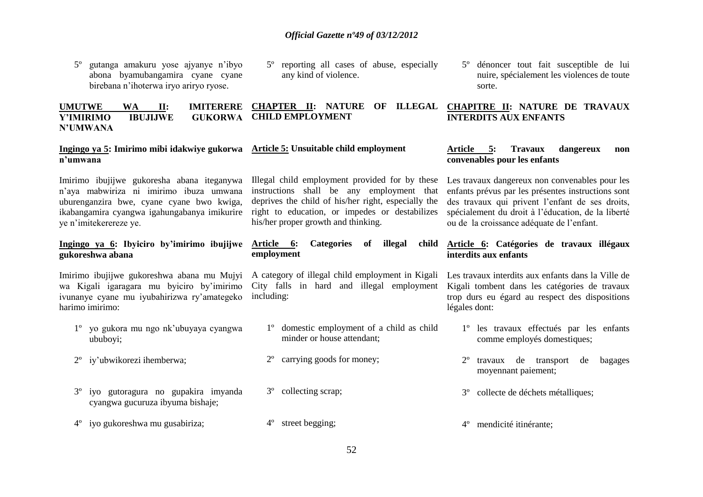- 5º gutanga amakuru yose ajyanye n'ibyo abona byamubangamira cyane cyane birebana n'ihoterwa iryo ariryo ryose.
- 5º reporting all cases of abuse, especially any kind of violence.

#### **UMUTWE WA II: IMITERERE Y'IMIRIMO IBUJIJWE GUKORWA CHILD EMPLOYMENT N'UMWANA CHAPTER II: NATURE OF ILLEGAL CHAPITRE II: NATURE DE TRAVAUX INTERDITS AUX ENFANTS**

#### **Ingingo ya 5: Imirimo mibi idakwiye gukorwa n'umwana Article 5: Unsuitable child employment**

Imirimo ibujijwe gukoresha abana iteganywa n'aya mabwiriza ni imirimo ibuza umwana uburenganzira bwe, cyane cyane bwo kwiga, ikabangamira cyangwa igahungabanya imikurire ye n'imitekerereze ye.

# **Ingingo ya 6: Ibyiciro by'imirimo ibujijwe gukoreshwa abana**

Imirimo ibujijwe gukoreshwa abana mu Mujyi wa Kigali igaragara mu byiciro by'imirimo ivunanye cyane mu iyubahirizwa ry'amategeko harimo imirimo:

- 1º yo gukora mu ngo nk'ubuyaya cyangwa ububoyi;
- 2º iy'ubwikorezi ihemberwa;
- 3º iyo gutoragura no gupakira imyanda cyangwa gucuruza ibyuma bishaje;
- 4º iyo gukoreshwa mu gusabiriza;

Illegal child employment provided for by these instructions shall be any employment that deprives the child of his/her right, especially the right to education, or impedes or destabilizes his/her proper growth and thinking.

# **Article 6: Categories of illegal child employment**

A category of illegal child employment in Kigali City falls in hard and illegal employment including:

- 1º domestic employment of a child as child minder or house attendant;
- 2º carrying goods for money;
- 3º collecting scrap;
- 4º street begging;

5º dénoncer tout fait susceptible de lui nuire, spécialement les violences de toute sorte.

# **Article 5: Travaux dangereux non convenables pour les enfants**

Les travaux dangereux non convenables pour les enfants prévus par les présentes instructions sont des travaux qui privent l'enfant de ses droits, spécialement du droit à l'éducation, de la liberté ou de la croissance adéquate de l'enfant.

# **Article 6: Catégories de travaux illégaux interdits aux enfants**

Les travaux interdits aux enfants dans la Ville de Kigali tombent dans les catégories de travaux trop durs eu égard au respect des dispositions légales dont:

- 1º les travaux effectués par les enfants comme employés domestiques;
- 2º travaux de transport de bagages moyennant paiement;
- 3º collecte de déchets métalliques;
- 4º mendicité itinérante;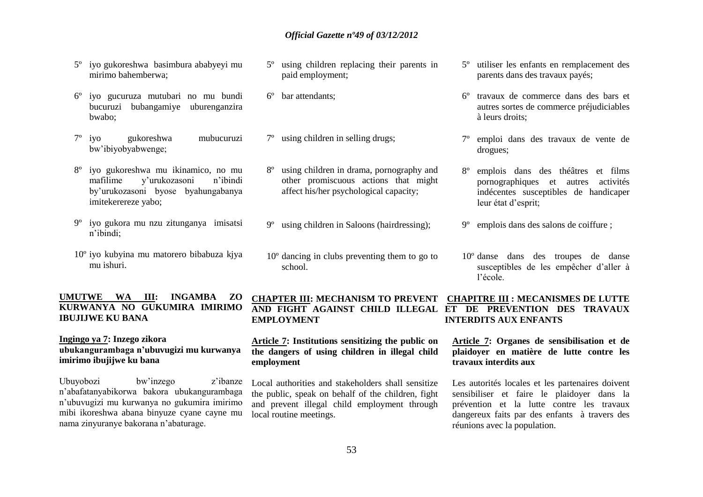- 5º iyo gukoreshwa basimbura ababyeyi mu mirimo bahemberwa;
- 6º iyo gucuruza mutubari no mu bundi bucuruzi bubangamiye uburenganzira bwabo;
- 7º iyo gukoreshwa mubucuruzi bw'ibiyobyabwenge;
- 8º iyo gukoreshwa mu ikinamico, no mu mafilime y'urukozasoni n'ibindi by'urukozasoni byose byahungabanya imitekerereze yabo;
- 9º iyo gukora mu nzu zitunganya imisatsi n'ibindi;
- 10º iyo kubyina mu matorero bibabuza kjya mu ishuri.

# **UMUTWE WA III: INGAMBA ZO KURWANYA NO GUKUMIRA IMIRIMO IBUJIJWE KU BANA**

# **Ingingo ya 7: Inzego zikora ubukangurambaga n'ubuvugizi mu kurwanya imirimo ibujijwe ku bana**

Ubuyobozi bw'inzego z'ibanze n'abafatanyabikorwa bakora ubukangurambaga n'ubuvugizi mu kurwanya no gukumira imirimo mibi ikoreshwa abana binyuze cyane cayne mu nama zinyuranye bakorana n'abaturage.

- 5º using children replacing their parents in paid employment;
- 6º bar attendants;

**EMPLOYMENT** 

- 7º using children in selling drugs;
- 8º using children in drama, pornography and other promiscuous actions that might affect his/her psychological capacity;
- 9º using children in Saloons (hairdressing);
- 10º dancing in clubs preventing them to go to school.

5º utiliser les enfants en remplacement des parents dans des travaux payés;

- 6º travaux de commerce dans des bars et autres sortes de commerce préjudiciables à leurs droits;
- 7º emploi dans des travaux de vente de drogues;
- 8º emplois dans des théâtres et films pornographiques et autres activités indécentes susceptibles de handicaper leur état d'esprit;
- 9º emplois dans des salons de coiffure ;
- 10º danse dans des troupes de danse susceptibles de les empêcher d'aller à l'école.

# **CHAPTER III: MECHANISM TO PREVENT CHAPITRE III : MECANISMES DE LUTTE AND FIGHT AGAINST CHILD ILLEGAL ET DE PREVENTION DES TRAVAUX INTERDITS AUX ENFANTS**

# **Article 7: Institutions sensitizing the public on the dangers of using children in illegal child employment**

Local authorities and stakeholders shall sensitize the public, speak on behalf of the children, fight and prevent illegal child employment through local routine meetings.

# **Article 7: Organes de sensibilisation et de plaidoyer en matière de lutte contre les travaux interdits aux**

Les autorités locales et les partenaires doivent sensibiliser et faire le plaidoyer dans la prévention et la lutte contre les travaux dangereux faits par des enfants à travers des réunions avec la population.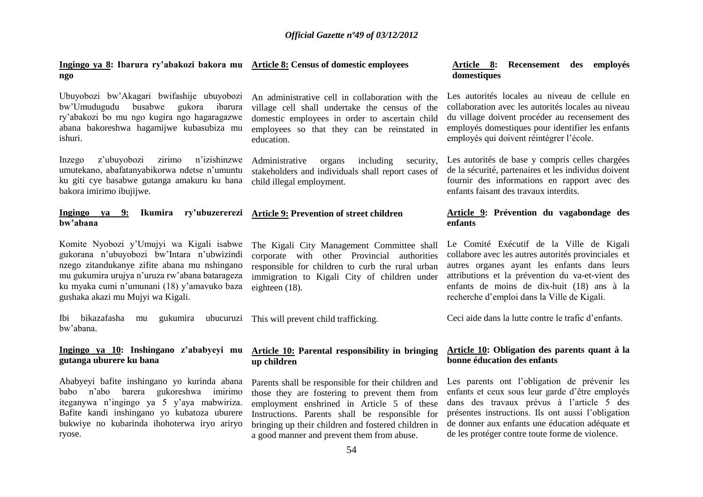#### **Ingingo ya 8: Ibarura ry'abakozi bakora mu Article 8: Census of domestic employees ngo**

Ubuyobozi bw'Akagari bwifashije ubuyobozi bw'Umudugudu busabwe gukora ibarura ry'abakozi bo mu ngo kugira ngo hagaragazwe abana bakoreshwa hagamijwe kubasubiza mu ishuri.

Inzego z'ubuyobozi zirimo n'izishinzwe umutekano, abafatanyabikorwa ndetse n'umuntu ku giti cye basabwe gutanga amakuru ku bana bakora imirimo ibujijwe.

# **Ingingo ya 9: Ikumira ry'ubuzererezi bw'abana**

Komite Nyobozi y'Umujyi wa Kigali isabwe gukorana n'ubuyobozi bw'Intara n'ubwizindi nzego zitandukanye zifite abana mu nshingano mu gukumira urujya n'uruza rw'abana batarageza ku myaka cumi n'umunani (18) y'amavuko baza gushaka akazi mu Mujyi wa Kigali.

Ibi bikazafasha mu gukumira ubucuruzi This will prevent child trafficking. bw'abana.

# **Ingingo ya 10: Inshingano z'ababyeyi mu gutanga uburere ku bana**

Ababyeyi bafite inshingano yo kurinda abana babo n'abo barera gukoreshwa imirimo iteganywa n'ingingo ya 5 y'aya mabwiriza. Bafite kandi inshingano yo kubatoza uburere bukwiye no kubarinda ihohoterwa iryo ariryo ryose.

An administrative cell in collaboration with the village cell shall undertake the census of the domestic employees in order to ascertain child employees so that they can be reinstated in education.

Administrative organs including security, stakeholders and individuals shall report cases of child illegal employment.

# **Article 9: Prevention of street children**

The Kigali City Management Committee shall corporate with other Provincial authorities responsible for children to curb the rural urban immigration to Kigali City of children under eighteen (18).

# **Article 10: Parental responsibility in bringing up children**

Parents shall be responsible for their children and those they are fostering to prevent them from employment enshrined in Article 5 of these Instructions. Parents shall be responsible for bringing up their children and fostered children in a good manner and prevent them from abuse.

# **Article 8: Recensement des employés domestiques**

Les autorités locales au niveau de cellule en collaboration avec les autorités locales au niveau du village doivent procéder au recensement des employés domestiques pour identifier les enfants employés qui doivent réintégrer l'école.

Les autorités de base y compris celles chargées de la sécurité, partenaires et les individus doivent fournir des informations en rapport avec des enfants faisant des travaux interdits.

#### **Article 9: Prévention du vagabondage des enfants**

Le Comité Exécutif de la Ville de Kigali collabore avec les autres autorités provinciales et autres organes ayant les enfants dans leurs attributions et la prévention du va-et-vient des enfants de moins de dix-huit (18) ans à la recherche d'emploi dans la Ville de Kigali.

Ceci aide dans la lutte contre le trafic d'enfants.

# **Article 10: Obligation des parents quant à la bonne éducation des enfants**

Les parents ont l'obligation de prévenir les enfants et ceux sous leur garde d'être employés dans des travaux prévus à l'article 5 des présentes instructions. Ils ont aussi l'obligation de donner aux enfants une éducation adéquate et de les protéger contre toute forme de violence.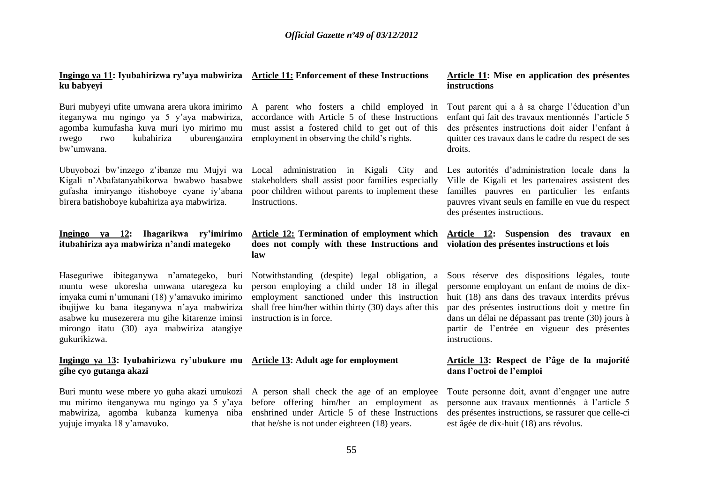# **Ingingo ya 11: Iyubahirizwa ry'aya mabwiriza Article 11: Enforcement of these Instructions ku babyeyi**

Buri mubyeyi ufite umwana arera ukora imirimo iteganywa mu ngingo ya 5 y'aya mabwiriza, agomba kumufasha kuva muri iyo mirimo mu rwego rwo kubahiriza uburenganzira bw'umwana.

Kigali n'Abafatanyabikorwa bwabwo basabwe gufasha imiryango itishoboye cyane iy'abana birera batishoboye kubahiriza aya mabwiriza.

# **Ingingo ya 12: Ihagarikwa ry'imirimo itubahiriza aya mabwiriza n'andi mategeko**

Haseguriwe ibiteganywa n'amategeko, buri muntu wese ukoresha umwana utaregeza ku imyaka cumi n'umunani (18) y'amavuko imirimo ibujijwe ku bana iteganywa n'aya mabwiriza asabwe ku musezerera mu gihe kitarenze iminsi mirongo itatu (30) aya mabwiriza atangiye gukurikizwa.

# **Ingingo ya 13: Iyubahirizwa ry'ubukure mu Article 13: Adult age for employment gihe cyo gutanga akazi**

Buri muntu wese mbere yo guha akazi umukozi A person shall check the age of an employee yujuje imyaka 18 y'amavuko.

A parent who fosters a child employed in accordance with Article 5 of these Instructions must assist a fostered child to get out of this employment in observing the child's rights.

stakeholders shall assist poor families especially poor children without parents to implement these familles pauvres en particulier les enfants **Instructions** 

# **Article 12: Termination of employment which does not comply with these Instructions and law**

Notwithstanding (despite) legal obligation, a person employing a child under 18 in illegal employment sanctioned under this instruction shall free him/her within thirty (30) days after this instruction is in force.

mu mirimo itenganywa mu ngingo ya 5 y'aya before offering him/her an employment as mabwiriza, agomba kubanza kumenya niba enshrined under Article 5 of these Instructions that he/she is not under eighteen (18) years.

#### **Article 11: Mise en application des présentes instructions**

Tout parent qui a à sa charge l'éducation d'un enfant qui fait des travaux mentionnés l'article 5 des présentes instructions doit aider l'enfant à quitter ces travaux dans le cadre du respect de ses droits.

Ubuyobozi bw'inzego z'ibanze mu Mujyi wa Local administration in Kigali City and Les autorités d'administration locale dans la Ville de Kigali et les partenaires assistent des pauvres vivant seuls en famille en vue du respect des présentes instructions.

> **Article 12: Suspension des travaux en violation des présentes instructions et lois**

Sous réserve des dispositions légales, toute personne employant un enfant de moins de dixhuit (18) ans dans des travaux interdits prévus par des présentes instructions doit y mettre fin dans un délai ne dépassant pas trente (30) jours à partir de l'entrée en vigueur des présentes instructions.

# **Article 13: Respect de l'âge de la majorité dans l'octroi de l'emploi**

Toute personne doit, avant d'engager une autre personne aux travaux mentionnés à l'article 5 des présentes instructions, se rassurer que celle-ci est âgée de dix-huit (18) ans révolus.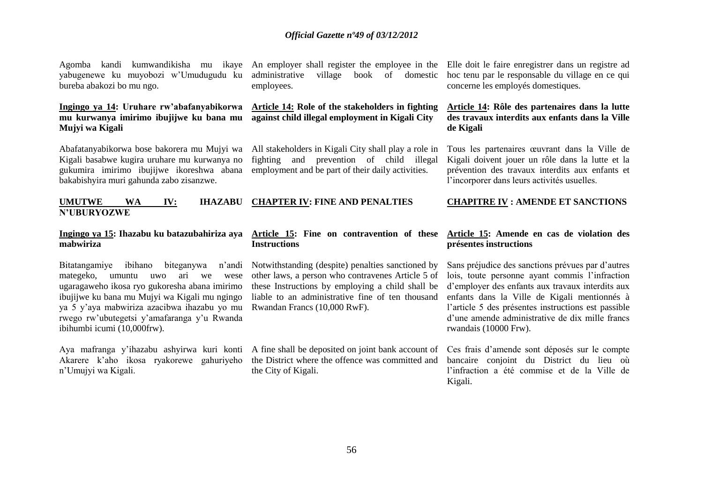yabugenewe ku muyobozi w'Umudugudu ku bureba abakozi bo mu ngo.

# **Ingingo ya 14: Uruhare rw'abafanyabikorwa mu kurwanya imirimo ibujijwe ku bana mu Mujyi wa Kigali**

bakabishyira muri gahunda zabo zisanzwe.

Abafatanyabikorwa bose bakorera mu Mujyi wa Kigali basabwe kugira uruhare mu kurwanya no gukumira imirimo ibujijwe ikoreshwa abana

#### **UMUTWE WA IV: IHAZABU N'UBURYOZWE CHAPTER IV: FINE AND PENALTIES**

# **mabwiriza**

Bitatangamiye ibihano biteganywa n'andi mategeko, umuntu uwo ari we wese ugaragaweho ikosa ryo gukoresha abana imirimo ibujijwe ku bana mu Mujyi wa Kigali mu ngingo ya 5 y'aya mabwiriza azacibwa ihazabu yo mu rwego rw'ubutegetsi y'amafaranga y'u Rwanda ibihumbi icumi (10,000frw).

Akarere k'aho ikosa ryakorewe gahuriyeho n'Umujyi wa Kigali.

administrative village book of domestic employees.

# **Article 14: Role of the stakeholders in fighting against child illegal employment in Kigali City**

All stakeholders in Kigali City shall play a role in fighting and prevention of child illegal employment and be part of their daily activities.

# **Ingingo ya 15: Ihazabu ku batazubahiriza aya Article 15: Fine on contravention of these Instructions**

Notwithstanding (despite) penalties sanctioned by other laws, a person who contravenes Article 5 of these Instructions by employing a child shall be liable to an administrative fine of ten thousand Rwandan Francs (10,000 RwF).

Aya mafranga y'ihazabu ashyirwa kuri konti A fine shall be deposited on joint bank account of the District where the offence was committed and the City of Kigali.

Agomba kandi kumwandikisha mu ikaye An employer shall register the employee in the Elle doit le faire enregistrer dans un registre ad hoc tenu par le responsable du village en ce qui concerne les employés domestiques.

# **Article 14: Rôle des partenaires dans la lutte des travaux interdits aux enfants dans la Ville de Kigali**

Tous les partenaires œuvrant dans la Ville de Kigali doivent jouer un rôle dans la lutte et la prévention des travaux interdits aux enfants et l'incorporer dans leurs activités usuelles.

# **CHAPITRE IV : AMENDE ET SANCTIONS**

# **Article 15: Amende en cas de violation des présentes instructions**

Sans préjudice des sanctions prévues par d'autres lois, toute personne ayant commis l'infraction d'employer des enfants aux travaux interdits aux enfants dans la Ville de Kigali mentionnés à l'article 5 des présentes instructions est passible d'une amende administrative de dix mille francs rwandais (10000 Frw).

Ces frais d'amende sont déposés sur le compte bancaire conjoint du District du lieu où l'infraction a été commise et de la Ville de Kigali.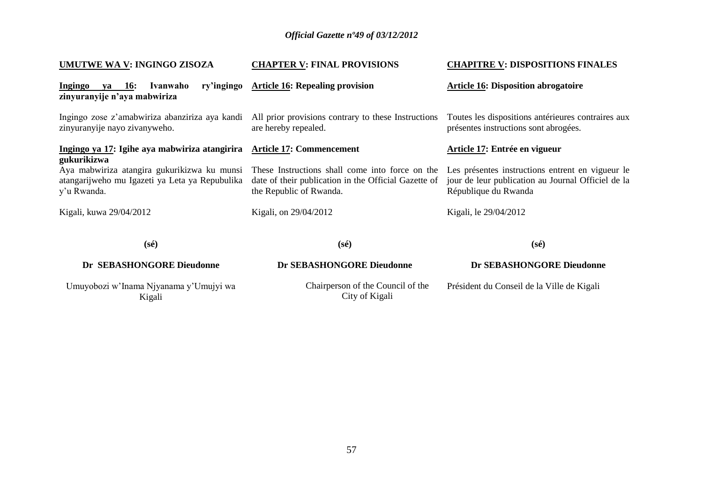| UMUTWE WA V: INGINGO ZISOZA                                                     | <b>CHAPTER V: FINAL PROVISIONS</b>                                                                                                                                             | <b>CHAPITRE V: DISPOSITIONS FINALES</b>                                                                                        |
|---------------------------------------------------------------------------------|--------------------------------------------------------------------------------------------------------------------------------------------------------------------------------|--------------------------------------------------------------------------------------------------------------------------------|
| Ivanwaho<br><b>Ingingo</b><br><b>16:</b><br>va<br>zinyuranyije n'aya mabwiriza  | ry'ingingo Article 16: Repealing provision                                                                                                                                     | <b>Article 16: Disposition abrogatoire</b>                                                                                     |
| Ingingo zose z'amabwiriza abanziriza aya kandi<br>zinyuranyije nayo zivanyweho. | All prior provisions contrary to these Instructions<br>are hereby repealed.                                                                                                    | Toutes les dispositions antérieures contraires aux<br>présentes instructions sont abrogées.                                    |
| Ingingo ya 17: Igihe aya mabwiriza atangirira                                   | <b>Article 17: Commencement</b>                                                                                                                                                | Article 17: Entrée en vigueur                                                                                                  |
| gukurikizwa<br>atangarijweho mu Igazeti ya Leta ya Repubulika<br>y'u Rwanda.    | Aya mabwiriza atangira gukurikizwa ku munsi These Instructions shall come into force on the<br>date of their publication in the Official Gazette of<br>the Republic of Rwanda. | Les présentes instructions entrent en vigueur le<br>jour de leur publication au Journal Officiel de la<br>République du Rwanda |
| Kigali, kuwa 29/04/2012                                                         | Kigali, on 29/04/2012                                                                                                                                                          | Kigali, le 29/04/2012                                                                                                          |
| $(s\acute{e})$                                                                  | $(s\acute{e})$                                                                                                                                                                 | $(s\acute{e})$                                                                                                                 |
| Dr SEBASHONGORE Dieudonne                                                       | Dr SEBASHONGORE Dieudonne                                                                                                                                                      | Dr SEBASHONGORE Dieudonne                                                                                                      |
| Umuyobozi w'Inama Njyanama y'Umujyi wa<br>Kigali                                | Chairperson of the Council of the<br>City of Kigali                                                                                                                            | Président du Conseil de la Ville de Kigali                                                                                     |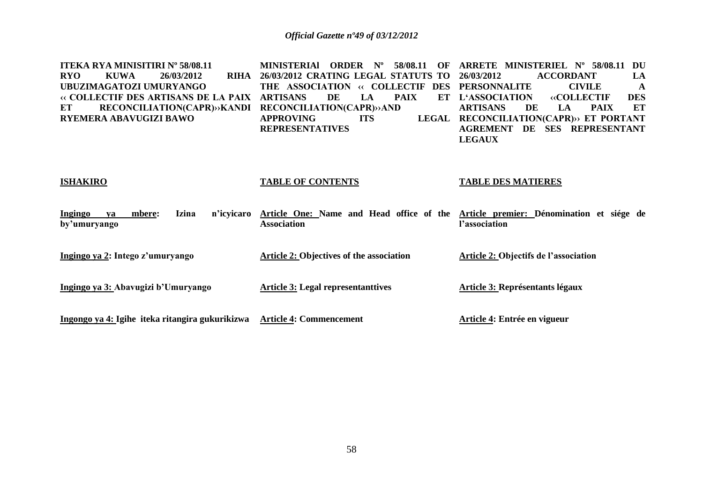| <b>ITEKA RYA MINISITIRI Nº 58/08.11</b><br><b>KUWA</b><br><b>RYO</b><br><b>RIHA</b><br>26/03/2012<br>UBUZIMAGATOZI UMURYANGO<br>« COLLECTIF DES ARTISANS DE LA PAIX<br><b>RECONCILIATION(CAPR)&gt;&gt;KANDI</b><br>ET<br>RYEMERA ABAVUGIZI BAWO | MINISTERIAI<br><b>ORDER</b><br>$N^{o}$<br>58/08.11<br>OF<br>26/03/2012 CRATING LEGAL STATUTS TO<br>THE ASSOCIATION<br><b>EXAMPLE COLLECTIF</b><br><b>DES</b><br>DE<br><b>PAIX</b><br><b>ARTISANS</b><br>LA<br>ET<br><b>RECONCILIATION(CAPR)&gt;&gt;AND</b><br><b>APPROVING</b><br><b>LEGAL</b><br><b>ITS</b><br><b>REPRESENTATIVES</b> | ARRETE MINISTERIEL Nº 58/08.11<br>DU<br>26/03/2012<br><b>ACCORDANT</b><br>LA<br><b>CIVILE</b><br><b>PERSONNALITE</b><br>A<br><b>L'ASSOCIATION</b><br><b>«COLLECTIF</b><br><b>DES</b><br><b>PAIX</b><br>ET<br><b>ARTISANS</b><br>DE<br>LA<br>RECONCILIATION(CAPR)» ET PORTANT<br>DE SES REPRESENTANT<br><b>AGREMENT</b> |
|-------------------------------------------------------------------------------------------------------------------------------------------------------------------------------------------------------------------------------------------------|----------------------------------------------------------------------------------------------------------------------------------------------------------------------------------------------------------------------------------------------------------------------------------------------------------------------------------------|------------------------------------------------------------------------------------------------------------------------------------------------------------------------------------------------------------------------------------------------------------------------------------------------------------------------|
| <b>ISHAKIRO</b>                                                                                                                                                                                                                                 | <b>TABLE OF CONTENTS</b>                                                                                                                                                                                                                                                                                                               | <b>LEGAUX</b><br><b>TABLE DES MATIERES</b>                                                                                                                                                                                                                                                                             |
| <b>Izina</b><br>mbere:<br>n'icyicaro<br>Ingingo<br>va<br>by'umuryango                                                                                                                                                                           | Article One: Name and Head office of the<br><b>Association</b>                                                                                                                                                                                                                                                                         | Article premier: Dénomination et siége de<br>l'association                                                                                                                                                                                                                                                             |
| Ingingo ya 2: Intego z'umuryango                                                                                                                                                                                                                | <b>Article 2: Objectives of the association</b>                                                                                                                                                                                                                                                                                        | Article 2: Objectifs de l'association                                                                                                                                                                                                                                                                                  |
| Ingingo ya 3: Abavugizi b'Umuryango                                                                                                                                                                                                             | <b>Article 3: Legal representanttives</b>                                                                                                                                                                                                                                                                                              | <b>Article 3: Représentants légaux</b>                                                                                                                                                                                                                                                                                 |
| Ingongo ya 4: Igihe iteka ritangira gukurikizwa                                                                                                                                                                                                 | <b>Article 4: Commencement</b>                                                                                                                                                                                                                                                                                                         | Article 4: Entrée en vigueur                                                                                                                                                                                                                                                                                           |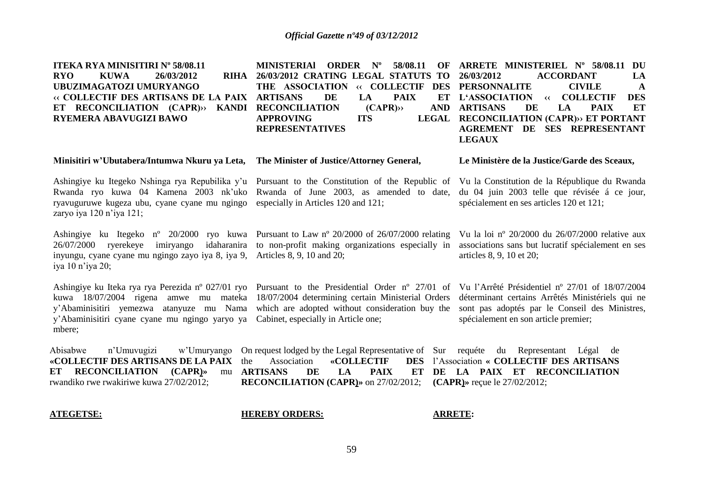| <b>ITEKA RYA MINISITIRI Nº 58/08.11</b><br><b>KUWA</b><br><b>RYO</b><br>26/03/2012<br>RIHA<br>UBUZIMAGATOZI UMURYANGO<br>« COLLECTIF DES ARTISANS DE LA PAIX<br>ET RECONCILIATION (CAPR)>><br>KANDI<br><b>RYEMERA ABAVUGIZI BAWO</b> | <b>MINISTERIAL</b><br><b>ORDER</b><br>$N^{\rm o}$<br>58/08.11<br>OF<br>26/03/2012 CRATING LEGAL STATUTS TO<br>THE ASSOCIATION<br>« COLLECTIF<br><b>DES</b><br><b>ARTISANS</b><br>DE<br>LA<br><b>PAIX</b><br>ET<br>(CAPR)<br><b>RECONCILIATION</b><br><b>AND</b><br><b>LEGAL</b><br><b>APPROVING</b><br><b>ITS</b><br><b>REPRESENTATIVES</b> | ARRETE MINISTERIEL Nº 58/08.11<br>DU<br>26/03/2012<br><b>ACCORDANT</b><br>LA<br><b>PERSONNALITE</b><br><b>CIVILE</b><br>A<br><b>DES</b><br><b>L'ASSOCIATION</b><br><b>COLLECTIF</b><br>$\leftrightarrow$<br>ET<br><b>ARTISANS</b><br>DE<br>LA<br><b>PAIX</b><br><b>RECONCILIATION (CAPR)&gt;&gt; ET PORTANT</b><br><b>AGREMENT DE SES REPRESENTANT</b><br><b>LEGAUX</b> |
|--------------------------------------------------------------------------------------------------------------------------------------------------------------------------------------------------------------------------------------|---------------------------------------------------------------------------------------------------------------------------------------------------------------------------------------------------------------------------------------------------------------------------------------------------------------------------------------------|-------------------------------------------------------------------------------------------------------------------------------------------------------------------------------------------------------------------------------------------------------------------------------------------------------------------------------------------------------------------------|
| Minisitiri w'Ubutabera/Intumwa Nkuru ya Leta,                                                                                                                                                                                        | The Minister of Justice/Attorney General,                                                                                                                                                                                                                                                                                                   | Le Ministère de la Justice/Garde des Sceaux,                                                                                                                                                                                                                                                                                                                            |
| Ashingiye ku Itegeko Nshinga rya Repubilika y'u<br>Rwanda ryo kuwa 04 Kamena 2003 nk'uko<br>ryavuguruwe kugeza ubu, cyane cyane mu ngingo<br>zaryo iya 120 n'iya 121;                                                                | Pursuant to the Constitution of the Republic of<br>Rwanda of June 2003, as amended to date,<br>especially in Articles 120 and 121;                                                                                                                                                                                                          | Vu la Constitution de la République du Rwanda<br>du 04 juin 2003 telle que révisée á ce jour,<br>spécialement en ses articles 120 et 121;                                                                                                                                                                                                                               |
| ryerekeye<br>26/07/2000<br>imiryango<br>inyungu, cyane cyane mu ngingo zayo iya 8, iya 9, Articles 8, 9, 10 and 20;<br>iya 10 n'iya 20;                                                                                              | Ashingiye ku Itegeko n° 20/2000 ryo kuwa Pursuant to Law n° 20/2000 of 26/07/2000 relating<br>idaharanira to non-profit making organizations especially in                                                                                                                                                                                  | Vu la loi nº 20/2000 du $26/07/2000$ relative aux<br>associations sans but lucratif spécialement en ses<br>articles 8, 9, 10 et 20;                                                                                                                                                                                                                                     |
| kuwa 18/07/2004 rigena amwe mu mateka<br>y'Abaminisitiri yemezwa atanyuze mu Nama<br>y'Abaminisitiri cyane cyane mu ngingo yaryo ya<br>mbere;                                                                                        | Ashingiye ku Iteka rya rya Perezida nº 027/01 ryo Pursuant to the Presidential Order nº 27/01 of Vu l'Arrêté Présidentiel nº 27/01 of 18/07/2004<br>18/07/2004 determining certain Ministerial Orders<br>which are adopted without consideration buy the<br>Cabinet, especially in Article one;                                             | déterminant certains Arrêtés Ministériels qui ne<br>sont pas adoptés par le Conseil des Ministres,<br>spécialement en son article premier;                                                                                                                                                                                                                              |
| Abisabwe<br>n'Umuvugizi<br>w'Umuryango<br>«COLLECTIF DES ARTISANS DE LA PAIX<br>the<br>RECONCILIATION (CAPR)»<br>ET<br>mu<br>rwandiko rwe rwakiriwe kuwa 27/02/2012;                                                                 | On request lodged by the Legal Representative of Sur requéte du Representant<br><b>«COLLECTIF</b><br><b>DES</b><br>Association<br><b>ARTISANS</b><br>DE<br>LA<br><b>PAIX</b><br>ET<br><b>RECONCILIATION (CAPR)»</b> on 27/02/2012;                                                                                                          | Légal de<br>l'Association « COLLECTIF DES ARTISANS<br>DE LA PAIX ET RECONCILIATION<br>(CAPR) » reçue le $27/02/2012$ ;                                                                                                                                                                                                                                                  |

# **ATEGETSE:**

**HEREBY ORDERS:**

**ARRETE:**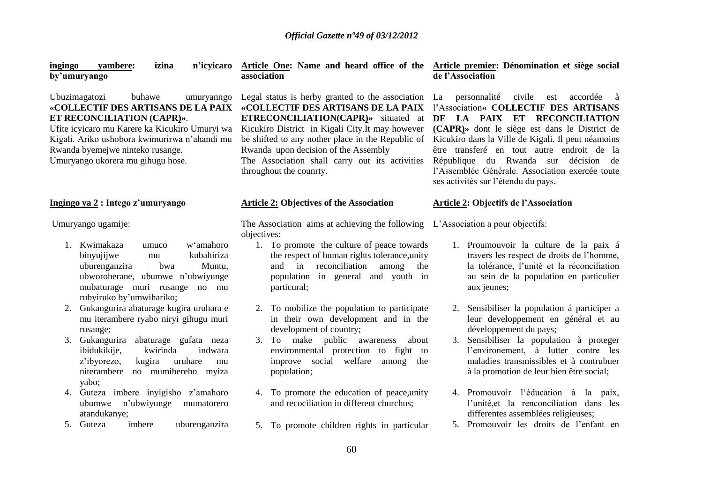| yambere:<br>izina<br>ingingo<br>by'umuryango                                                                                                                                                                                                                                          | n'icyicaro Article One: Name and heard office of the Article premier: Dénomination et siège social<br>association                                                                                                                                                                                                                                                                                                                               | de l'Association                                                                                                                                                                                                                                                                                                       |
|---------------------------------------------------------------------------------------------------------------------------------------------------------------------------------------------------------------------------------------------------------------------------------------|-------------------------------------------------------------------------------------------------------------------------------------------------------------------------------------------------------------------------------------------------------------------------------------------------------------------------------------------------------------------------------------------------------------------------------------------------|------------------------------------------------------------------------------------------------------------------------------------------------------------------------------------------------------------------------------------------------------------------------------------------------------------------------|
| Ubuzimagatozi<br>buhawe<br>umuryanngo<br>«COLLECTIF DES ARTISANS DE LA PAIX<br>ET RECONCILIATION (CAPR)».<br>Ufite icyicaro mu Karere ka Kicukiro Umuryi wa<br>Kigali. Ariko ushobora kwimurirwa n'ahandi mu<br>Rwanda byemejwe ninteko rusange.<br>Umuryango ukorera mu gihugu hose. | Legal status is herby granted to the association La personnalité civile est accordée à<br>«COLLECTIF DES ARTISANS DE LA PAIX l'Association« COLLECTIF DES ARTISANS<br><b>ETRECONCILIATION(CAPR)</b> » situated at<br>Kicukiro District in Kigali City. It may however<br>be shifted to any nother place in the Republic of<br>Rwanda upon decision of the Assembly<br>The Association shall carry out its activities<br>throughout the counrty. | DE LA PAIX ET RECONCILIATION<br>(CAPR)» dont le siège est dans le District de<br>Kicukiro dans la Ville de Kigali. Il peut néamoins<br>être transferé en tout autre endroit de la<br>République du Rwanda sur<br>décision de<br>l'Assemblée Générale. Association exercée toute<br>ses activités sur l'étendu du pays. |
| Ingingo ya 2 : Intego z'umuryango                                                                                                                                                                                                                                                     | <b>Article 2: Objectives of the Association</b>                                                                                                                                                                                                                                                                                                                                                                                                 | <b>Article 2: Objectifs de l'Association</b>                                                                                                                                                                                                                                                                           |
| Umuryango ugamije:                                                                                                                                                                                                                                                                    | The Association aims at achieving the following L'Association a pour objectifs:<br>objectives:                                                                                                                                                                                                                                                                                                                                                  |                                                                                                                                                                                                                                                                                                                        |
| 1. Kwimakaza<br>w'amahoro<br>umuco<br>binyujijwe<br>kubahiriza<br>mu<br>uburenganzira<br>Muntu,<br>bwa<br>ubworoherane, ubumwe n'ubwiyunge<br>mubaturage muri rusange no mu<br>rubyiruko by'umwihariko;                                                                               | 1. To promote the culture of peace towards<br>the respect of human rights tolerance, unity<br>in<br>reconciliation<br>among<br>and<br>the<br>population in general and youth in<br>particural;                                                                                                                                                                                                                                                  | 1. Proumouvoir la culture de la paix á<br>travers les respect de droits de l'homme,<br>la tolérance, l'unité et la réconciliation<br>au sein de la population en particulier<br>aux jeunes;                                                                                                                            |
| Gukangurira abaturage kugira uruhara e<br>2.<br>mu iterambere ryabo niryi gihugu muri<br>rusange;                                                                                                                                                                                     | 2. To mobilize the population to participate<br>in their own development and in the<br>development of country;                                                                                                                                                                                                                                                                                                                                  | Sensibiliser la population á participer a<br>2.<br>leur developpement en général et au<br>développement du pays;                                                                                                                                                                                                       |
| Gukangurira abaturage gufata neza<br>3.<br>ibidukikije,<br>kwirinda<br>indwara<br>kugira<br>z'ibyorezo,<br>uruhare<br>$\rm{mu}$<br>niterambere no mumibereho myiza<br>yabo;                                                                                                           | 3. To make public awareness<br>about<br>environmental protection to fight to<br>improve social welfare among<br>the<br>population;                                                                                                                                                                                                                                                                                                              | Sensibiliser la population à proteger<br>3.<br>l'environement, à lutter contre les<br>maladies transmissibles et à contrubuer<br>à la promotion de leur bien être social;                                                                                                                                              |
| 4. Guteza imbere inyigisho z'amahoro<br>n'ubwiyunge<br>ubumwe<br>mumatorero<br>atandukanye;                                                                                                                                                                                           | 4. To promote the education of peace, unity<br>and recociliation in different churchus;                                                                                                                                                                                                                                                                                                                                                         | 4. Promouvoir l'éducation à la paix,<br>l'unité, et la renconciliation dans les<br>differentes assemblées religieuses;                                                                                                                                                                                                 |
| imbere<br>5. Guteza<br>uburenganzira                                                                                                                                                                                                                                                  | 5. To promote children rights in particular                                                                                                                                                                                                                                                                                                                                                                                                     | 5. Promouvoir les droits de l'enfant en                                                                                                                                                                                                                                                                                |
|                                                                                                                                                                                                                                                                                       | 60.                                                                                                                                                                                                                                                                                                                                                                                                                                             |                                                                                                                                                                                                                                                                                                                        |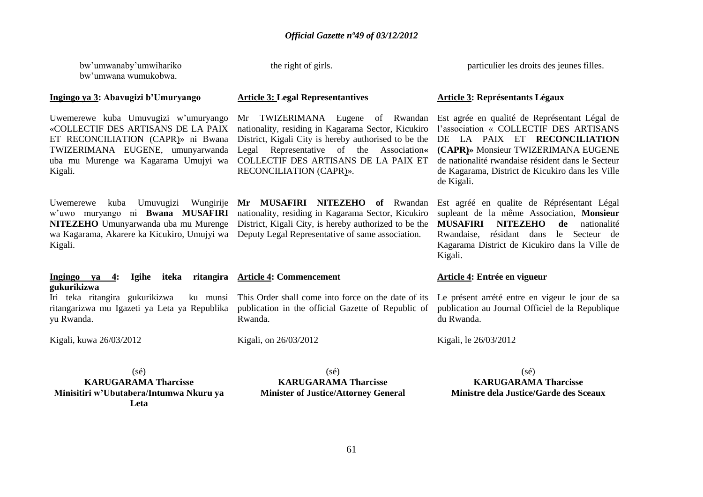bw'umwanaby'umwihariko bw'umwana wumukobwa.

# **Ingingo ya 3: Abavugizi b'Umuryango**

Uwemerewe kuba Umuvugizi w'umuryango «COLLECTIF DES ARTISANS DE LA PAIX TWIZERIMANA EUGENE, umunyarwanda uba mu Murenge wa Kagarama Umujyi wa Kigali.

wa Kagarama, Akarere ka Kicukiro, Umujyi wa Deputy Legal Representative of same association. Kigali.

#### **Ingingo ya 4: Igihe iteka ritangira Article 4: Commencement gukurikizwa**

Iri teka ritangira gukurikizwa ritangarizwa mu Igazeti ya Leta ya Republika yu Rwanda. This Order shall come into force on the date of its

Kigali, kuwa 26/03/2012

the right of girls.

particulier les droits des jeunes filles.

# **Article 3: Legal Representantives**

ET RECONCILIATION (CAPR)» ni Bwana District, Kigali City is hereby authorised to be the DE LA PAIX ET **RECONCILIATION**  nationality, residing in Kagarama Sector, Kicukiro l'association « COLLECTIF DES ARTISANS Legal Representative of the Association**« (CAPR)»** Monsieur TWIZERIMANA EUGENE COLLECTIF DES ARTISANS DE LA PAIX ET RECONCILIATION (CAPR)».

Uwemerewe kuba Umuvugizi Wungirije **Mr MUSAFIRI NITEZEHO of** Rwandan w'uwo muryango ni **Bwana MUSAFIRI**  nationality, residing in Kagarama Sector, Kicukiro **NITEZEHO** Umunyarwanda uba mu Murenge District, Kigali City, is hereby authorized to be the

# **Article 3: Représentants Légaux**

Mr TWIZERIMANA Eugene of Rwandan Est agrée en qualité de Représentant Légal de de nationalité rwandaise résident dans le Secteur de Kagarama, District de Kicukiro dans les Ville de Kigali.

> Est agréé en qualite de Réprésentant Légal supleant de la même Association, **Monsieur MUSAFIRI NITEZEHO de** nationalité Rwandaise, résidant dans le Secteur de Kagarama District de Kicukiro dans la Ville de Kigali.

#### **Article 4: Entrée en vigueur**

Le présent arrété entre en vigeur le jour de sa publication au Journal Officiel de la Republique du Rwanda.

Kigali, le 26/03/2012

 $(sé)$ **KARUGARAMA Tharcisse Minisitiri w'Ubutabera/Intumwa Nkuru ya Leta**

 $(sé)$ **KARUGARAMA Tharcisse Minister of Justice/Attorney General**

publication in the official Gazette of Republic of

Rwanda.

Kigali, on 26/03/2012

(sé) **KARUGARAMA Tharcisse Ministre dela Justice/Garde des Sceaux**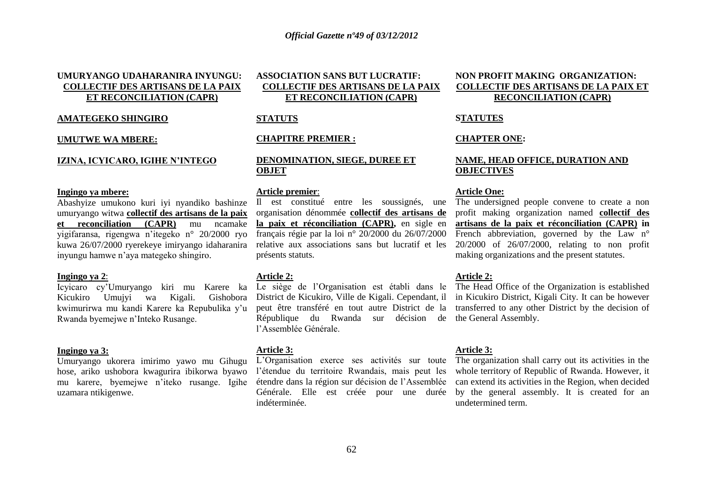# **UMURYANGO UDAHARANIRA INYUNGU: COLLECTIF DES ARTISANS DE LA PAIX ET RECONCILIATION (CAPR)**

### **AMATEGEKO SHINGIRO**

#### **UMUTWE WA MBERE:**

#### **IZINA, ICYICARO, IGIHE N'INTEGO**

#### **Ingingo ya mbere:**

Abashyize umukono kuri iyi nyandiko bashinze umuryango witwa **collectif des artisans de la paix et reconciliation (CAPR)** mu ncamake yigifaransa, rigengwa n'itegeko n° 20/2000 ryo kuwa 26/07/2000 ryerekeye imiryango idaharanira inyungu hamwe n'aya mategeko shingiro.

#### **Ingingo ya 2**:

Icyicaro cy'Umuryango kiri mu Karere ka Kicukiro Umujyi wa Kigali. Gishobora kwimurirwa mu kandi Karere ka Repubulika y'u Rwanda byemejwe n'Inteko Rusange.

#### **Ingingo ya 3:**

Umuryango ukorera imirimo yawo mu Gihugu hose, ariko ushobora kwagurira ibikorwa byawo mu karere, byemejwe n'iteko rusange. Igihe uzamara ntikigenwe.

# **ASSOCIATION SANS BUT LUCRATIF: COLLECTIF DES ARTISANS DE LA PAIX ET RECONCILIATION (CAPR)**

# **STATUTS**

#### **CHAPITRE PREMIER :**

# **DENOMINATION, SIEGE, DUREE ET OBJET**

#### **Article premier**:

Il est constitué entre les soussignés, une organisation dénommée **collectif des artisans de la paix et réconciliation (CAPR),** en sigle en français régie par la loi n° 20/2000 du 26/07/2000 relative aux associations sans but lucratif et les présents statuts.

#### **Article 2:**

République du Rwanda sur décision de the General Assembly. l'Assemblée Générale.

#### **Article 3:**

L'Organisation exerce ses activités sur toute The organization shall carry out its activities in the l'étendue du territoire Rwandais, mais peut les Générale. Elle est créée pour une durée indéterminée.

# **NON PROFIT MAKING ORGANIZATION: COLLECTIF DES ARTISANS DE LA PAIX ET RECONCILIATION (CAPR)**

#### **STATUTES**

#### **CHAPTER ONE:**

# **NAME, HEAD OFFICE, DURATION AND OBJECTIVES**

#### **Article One:**

The undersigned people convene to create a non profit making organization named **collectif des artisans de la paix et réconciliation (CAPR) in** French abbreviation, governed by the Law n° 20/2000 of 26/07/2000, relating to non profit making organizations and the present statutes.

#### **Article 2:**

Le siège de l'Organisation est établi dans le The Head Office of the Organization is established District de Kicukiro, Ville de Kigali. Cependant, il in Kicukiro District, Kigali City. It can be however peut être transféré en tout autre District de la transferred to any other District by the decision of

#### **Article 3:**

étendre dans la région sur décision de l'Assemblée can extend its activities in the Region, when decided whole territory of Republic of Rwanda. However, it by the general assembly. It is created for an undetermined term.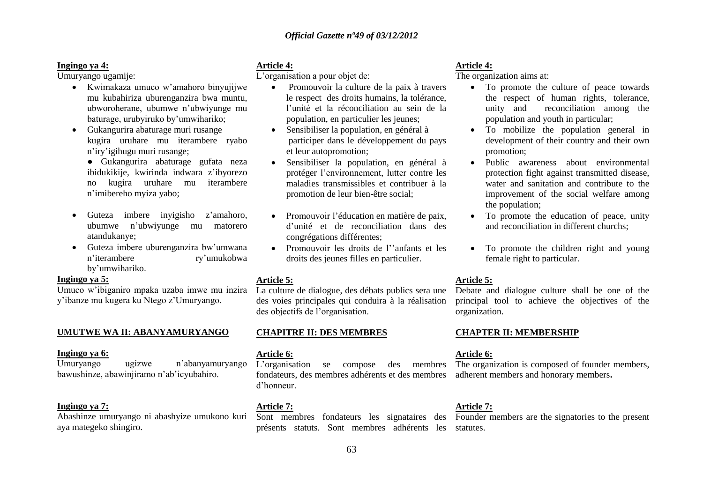#### **Ingingo ya 4:**

Umuryango ugamije:

- Kwimakaza umuco w'amahoro binyujijwe mu kubahiriza uburenganzira bwa muntu, ubworoherane, ubumwe n'ubwiyunge mu baturage, urubyiruko by'umwihariko;
- Gukangurira abaturage muri rusange kugira uruhare mu iterambere ryabo n'iry'igihugu muri rusange;
	- Gukangurira abaturage gufata neza ibidukikije, kwirinda indwara z'ibyorezo no kugira uruhare mu iterambere n'imibereho myiza yabo;
- Guteza imbere inyigisho z'amahoro, ubumwe n'ubwiyunge mu matorero atandukanye;
- Guteza imbere uburenganzira bw'umwana n'iterambere ry'umukobwa by'umwihariko.

#### **Ingingo ya 5:**

Umuco w'ibiganiro mpaka uzaba imwe mu inzira y'ibanze mu kugera ku Ntego z'Umuryango.

### **UMUTWE WA II: ABANYAMURYANGO**

#### **Ingingo ya 6:**

Umuryango ugizwe n'abanyamuryango bawushinze, abawinjiramo n'ab'icyubahiro.

# **Ingingo ya 7:**

Abashinze umuryango ni abashyize umukono kuri aya mategeko shingiro.

# **Article 4:**

L'organisation a pour objet de:

- Promouvoir la culture de la paix à travers le respect des droits humains, la tolérance, l'unité et la réconciliation au sein de la population, en particulier les jeunes;
- Sensibiliser la population, en général à participer dans le développement du pays et leur autopromotion;
- Sensibiliser la population, en général à protéger l'environnement, lutter contre les maladies transmissibles et contribuer à la promotion de leur bien-être social;
- Promouvoir l'éducation en matière de paix, d'unité et de reconciliation dans des congrégations différentes;
- Promouvoir les droits de l''anfants et les droits des jeunes filles en particulier.

# **Article 5:**

La culture de dialogue, des débats publics sera une des voies principales qui conduira à la réalisation des objectifs de l'organisation.

# **CHAPITRE II: DES MEMBRES**

#### **Article 6:**

L'organisation se compose des membres The organization is composed of founder members, fondateurs, des membres adhérents et des membres adherent members and honorary members**.** d'honneur.

# **Article 7:**

présents statuts. Sont membres adhérents les statutes.

# **Article 4:**

The organization aims at:

- To promote the culture of peace towards the respect of human rights, tolerance, unity and reconciliation among the population and youth in particular;
- To mobilize the population general in development of their country and their own promotion;
- Public awareness about environmental protection fight against transmitted disease, water and sanitation and contribute to the improvement of the social welfare among the population;
- To promote the education of peace, unity and reconciliation in different churchs;
- To promote the children right and young female right to particular.

# **Article 5:**

Debate and dialogue culture shall be one of the principal tool to achieve the objectives of the organization.

# **CHAPTER II: MEMBERSHIP**

# **Article 6:**

# **Article 7:**

Sont membres fondateurs les signataires des Founder members are the signatories to the present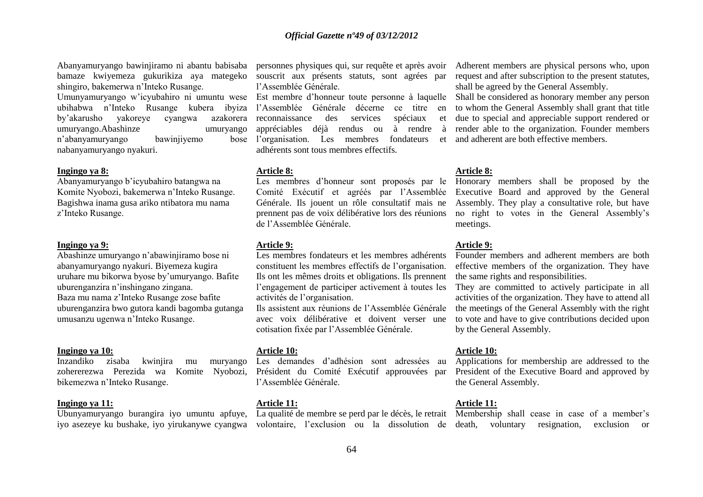Abanyamuryango bawinjiramo ni abantu babisaba personnes physiques qui, sur requête et après avoir bamaze kwiyemeza gukurikiza aya mategeko souscrit aux présents statuts, sont agrées par shingiro, bakemerwa n'Inteko Rusange. Umunyamuryango w'icyubahiro ni umuntu wese Est membre d'honneur toute personne à laquelle Shall be considered as honorary member any person ubihabwa n'Inteko Rusange kubera ibyiza l'Assemblée Générale décerne ce titre en

by'akarusho yakoreye cyangwa umuryango.Abashinze umuryango n'abanyamuryango bawinjiyemo nabanyamuryango nyakuri.

#### **Ingingo ya 8:**

Abanyamuryango b'icyubahiro batangwa na Komite Nyobozi, bakemerwa n'Inteko Rusange. Bagishwa inama gusa ariko ntibatora mu nama z'Inteko Rusange.

#### **Ingingo ya 9:**

Abashinze umuryango n'abawinjiramo bose ni abanyamuryango nyakuri. Biyemeza kugira uruhare mu bikorwa byose by'umuryango. Bafite uburenganzira n'inshingano zingana. Baza mu nama z'Inteko Rusange zose bafite uburenganzira bwo gutora kandi bagomba gutanga umusanzu ugenwa n'Inteko Rusange.

#### **Ingingo ya 10:**

Inzandiko zisaba kwinjira mu muryango zohererezwa Perezida wa Komite Nyobozi, bikemezwa n'Inteko Rusange.

#### **Ingingo ya 11:**

iyo asezeye ku bushake, iyo yirukanywe cyangwa volontaire, l'exclusion ou la dissolution de death, voluntary resignation, exclusion or

l'Assemblée Générale.

azakorera reconnaissance des services spéciaux et appréciables déjà rendus ou à rendre à bose l'organisation. Les membres fondateurs adhérents sont tous membres effectifs.

#### **Article 8:**

Les membres d'honneur sont proposés par le Honorary members shall be proposed by the de l'Assemblée Générale.

#### **Article 9:**

Les membres fondateurs et les membres adhérents constituent les membres effectifs de l'organisation. Ils ont les mêmes droits et obligations. Ils prennent l'engagement de participer activement à toutes les activités de l'organisation.

Ils assistent aux réunions de l'Assemblée Générale avec voix délibérative et doivent verser une cotisation fixée par l'Assemblée Générale.

#### **Article 10:**

Les demandes d'adhésion sont adressées au Président du Comité Exécutif approuvées par l'Assemblée Générale.

### **Article 11:**

Adherent members are physical persons who, upon request and after subscription to the present statutes, shall be agreed by the General Assembly.

to whom the General Assembly shall grant that title due to special and appreciable support rendered or render able to the organization. Founder members and adherent are both effective members.

#### **Article 8:**

Comité Exécutif et agréés par l'Assemblée Executive Board and approved by the General Générale. Ils jouent un rôle consultatif mais ne Assembly. They play a consultative role, but have prennent pas de voix délibérative lors des réunions no right to votes in the General Assembly's meetings.

#### **Article 9:**

Founder members and adherent members are both effective members of the organization. They have the same rights and responsibilities.

They are committed to actively participate in all activities of the organization. They have to attend all the meetings of the General Assembly with the right to vote and have to give contributions decided upon by the General Assembly.

#### **Article 10:**

Applications for membership are addressed to the President of the Executive Board and approved by the General Assembly.

# **Article 11:**

Ubunyamuryango burangira iyo umuntu apfuye, La qualité de membre se perd par le décès, le retrait Membership shall cease in case of a member's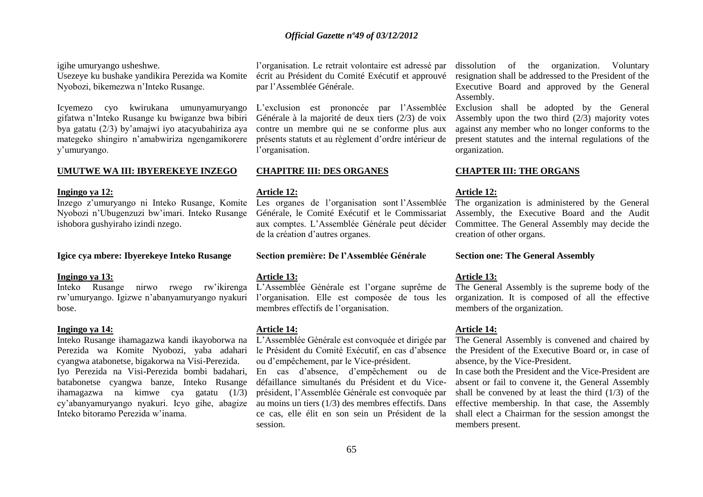igihe umuryango usheshwe.

Usezeye ku bushake yandikira Perezida wa Komite Nyobozi, bikemezwa n'Inteko Rusange.

Icyemezo cyo kwirukana umunyamuryango gifatwa n'Inteko Rusange ku bwiganze bwa bibiri bya gatatu (2/3) by'amajwi iyo atacyubahiriza aya mategeko shingiro n'amabwiriza ngengamikorere y'umuryango.

#### **UMUTWE WA III: IBYEREKEYE INZEGO**

#### **Ingingo ya 12:**

Inzego z'umuryango ni Inteko Rusange, Komite Nyobozi n'Ubugenzuzi bw'imari. Inteko Rusange ishobora gushyiraho izindi nzego.

#### **Igice cya mbere: Ibyerekeye Inteko Rusange**

#### **Ingingo ya 13:**

Inteko Rusange nirwo rwego rw'ikirenga bose.

#### **Ingingo ya 14:**

Inteko Rusange ihamagazwa kandi ikayoborwa na Perezida wa Komite Nyobozi, yaba adahari cyangwa atabonetse, bigakorwa na Visi-Perezida. Iyo Perezida na Visi-Perezida bombi badahari, batabonetse cyangwa banze, Inteko Rusange ihamagazwa na kimwe cya gatatu (1/3) cy'abanyamuryango nyakuri. Icyo gihe, abagize Inteko bitoramo Perezida w'inama.

l'organisation. Le retrait volontaire est adressé par écrit au Président du Comité Exécutif et approuvé par l'Assemblée Générale.

L'exclusion est prononcée par l'Assemblée Générale à la majorité de deux tiers (2/3) de voix contre un membre qui ne se conforme plus aux présents statuts et au règlement d'ordre intérieur de l'organisation.

#### **CHAPITRE III: DES ORGANES**

#### **Article 12:**

Les organes de l'organisation sont l'Assemblée Générale, le Comité Exécutif et le Commissariat aux comptes. L'Assemblée Générale peut décider de la création d'autres organes.

**Section première: De l'Assemblée Générale**

#### **Article 13:**

rw'umuryango. Igizwe n'abanyamuryango nyakuri l'organisation. Elle est composée de tous les L'Assemblée Générale est l'organe suprême de membres effectifs de l'organisation.

#### **Article 14:**

L'Assemblée Générale est convoquée et dirigée par le Président du Comité Exécutif, en cas d'absence ou d'empêchement, par le Vice-président.

En cas d'absence, d'empêchement ou de défaillance simultanés du Président et du Viceprésident, l'Assemblée Générale est convoquée par au moins un tiers (1/3) des membres effectifs. Dans ce cas, elle élit en son sein un Président de la session.

dissolution of the organization. Voluntary resignation shall be addressed to the President of the Executive Board and approved by the General Assembly.

Exclusion shall be adopted by the General Assembly upon the two third (2/3) majority votes against any member who no longer conforms to the present statutes and the internal regulations of the organization.

#### **CHAPTER III: THE ORGANS**

## **Article 12:**

The organization is administered by the General Assembly, the Executive Board and the Audit Committee. The General Assembly may decide the creation of other organs.

#### **Section one: The General Assembly**

#### **Article 13:**

The General Assembly is the supreme body of the organization. It is composed of all the effective members of the organization.

#### **Article 14:**

The General Assembly is convened and chaired by the President of the Executive Board or, in case of absence, by the Vice-President.

In case both the President and the Vice-President are absent or fail to convene it, the General Assembly shall be convened by at least the third  $(1/3)$  of the effective membership. In that case, the Assembly shall elect a Chairman for the session amongst the members present.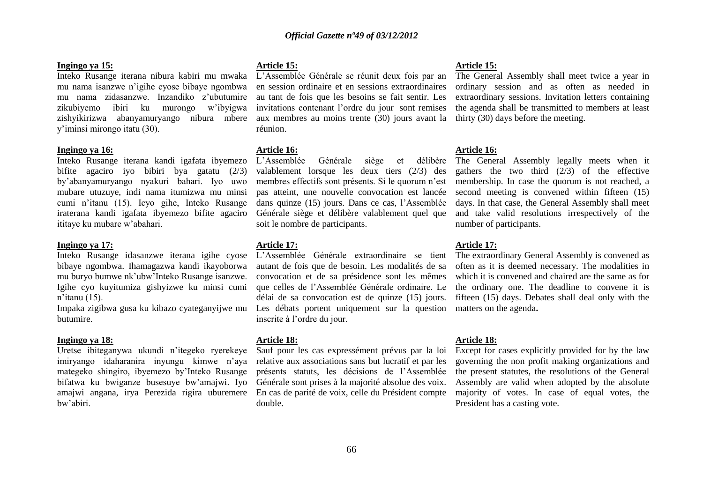#### **Ingingo ya 15:**

Inteko Rusange iterana nibura kabiri mu mwaka L'Assemblée Générale se réunit deux fois par an mu nama isanzwe n'igihe cyose bibaye ngombwa mu nama zidasanzwe. Inzandiko z'ubutumire zikubiyemo ibiri ku murongo w'ibyigwa zishyikirizwa abanyamuryango nibura mbere y'iminsi mirongo itatu (30).

#### **Ingingo ya 16:**

Inteko Rusange iterana kandi igafata ibyemezo bifite agaciro iyo bibiri bya gatatu (2/3) by'abanyamuryango nyakuri bahari. Iyo uwo mubare utuzuye, indi nama itumizwa mu minsi cumi n'itanu (15). Icyo gihe, Inteko Rusange iraterana kandi igafata ibyemezo bifite agaciro ititaye ku mubare w'abahari.

#### **Ingingo ya 17:**

Inteko Rusange idasanzwe iterana igihe cyose bibaye ngombwa. Ihamagazwa kandi ikayoborwa mu buryo bumwe nk'ubw'Inteko Rusange isanzwe. Igihe cyo kuyitumiza gishyizwe ku minsi cumi n'itanu (15).

Impaka zigibwa gusa ku kibazo cyateganyijwe mu butumire.

#### **Ingingo ya 18:**

Uretse ibiteganywa ukundi n'itegeko ryerekeye imiryango idaharanira inyungu kimwe n'aya mategeko shingiro, ibyemezo by'Inteko Rusange bifatwa ku bwiganze busesuye bw'amajwi. Iyo amajwi angana, irya Perezida rigira uburemere bw'abiri.

#### **Article 15:**

en session ordinaire et en sessions extraordinaires au tant de fois que les besoins se fait sentir. Les invitations contenant l'ordre du jour sont remises aux membres au moins trente (30) jours avant la thirty (30) days before the meeting. réunion.

**Article 16:** Générale siège et délibère valablement lorsque les deux tiers (2/3) des membres effectifs sont présents. Si le quorum n'est pas atteint, une nouvelle convocation est lancée dans quinze (15) jours. Dans ce cas, l'Assemblée Générale siège et délibère valablement quel que soit le nombre de participants.

#### **Article 17:**

L'Assemblée Générale extraordinaire se tient autant de fois que de besoin. Les modalités de sa convocation et de sa présidence sont les mêmes que celles de l'Assemblée Générale ordinaire. Le délai de sa convocation est de quinze (15) jours. Les débats portent uniquement sur la question inscrite à l'ordre du jour.

#### **Article 18:**

Sauf pour les cas expressément prévus par la loi relative aux associations sans but lucratif et par les présents statuts, les décisions de l'Assemblée Générale sont prises à la majorité absolue des voix. En cas de parité de voix, celle du Président compte double.

#### **Article 15:**

The General Assembly shall meet twice a year in ordinary session and as often as needed in extraordinary sessions. Invitation letters containing the agenda shall be transmitted to members at least

#### **Article 16:**

The General Assembly legally meets when it gathers the two third (2/3) of the effective membership. In case the quorum is not reached, a second meeting is convened within fifteen (15) days. In that case, the General Assembly shall meet and take valid resolutions irrespectively of the number of participants.

#### **Article 17:**

The extraordinary General Assembly is convened as often as it is deemed necessary. The modalities in which it is convened and chaired are the same as for the ordinary one. The deadline to convene it is fifteen (15) days. Debates shall deal only with the matters on the agenda**.**

#### **Article 18:**

Except for cases explicitly provided for by the law governing the non profit making organizations and the present statutes, the resolutions of the General Assembly are valid when adopted by the absolute majority of votes. In case of equal votes, the President has a casting vote.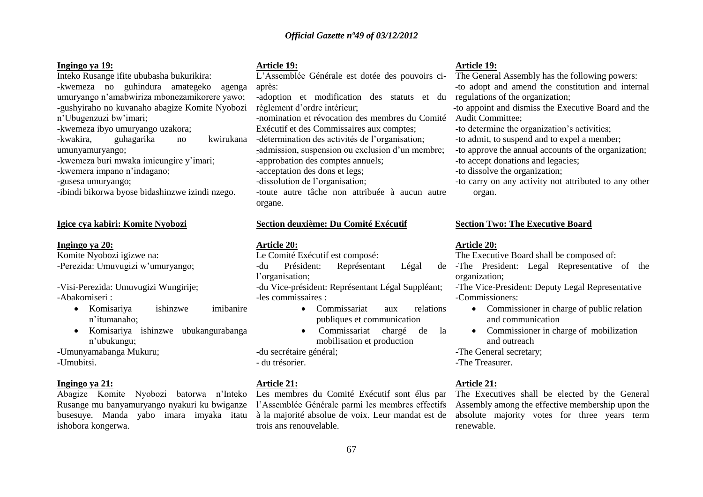### **Ingingo ya 19:**

Inteko Rusange ifite ububasha bukurikira: -kwemeza no guhindura amategeko agenga umuryango n'amabwiriza mbonezamikorere yawo; -gushyiraho no kuvanaho abagize Komite Nyobozi n'Ubugenzuzi bw'imari;

- -kwemeza ibyo umuryango uzakora;
- euhagarika no kwirukana umunyamuryango;
- -kwemeza buri mwaka imicungire y'imari;
- -kwemera impano n'indagano;

-gusesa umuryango;

-ibindi bikorwa byose bidashinzwe izindi nzego.

#### **Igice cya kabiri: Komite Nyobozi**

#### **Ingingo ya 20:**

Komite Nyobozi igizwe na: -Perezida: Umuvugizi w'umuryango;

-Visi-Perezida: Umuvugizi Wungirije; -Abakomiseri :

- Komisariya ishinzwe imibanire n'itumanaho;
- Komisariya ishinzwe ubukangurabanga n'ubukungu;
- -Umunyamabanga Mukuru;
- -Umubitsi.

#### **Ingingo ya 21:**

Rusange mu banyamuryango nyakuri ku bwiganze l'Assemblée Générale parmi les membres effectifs busesuye. Manda yabo imara imyaka itatu ishobora kongerwa.

#### **Article 19:**

L'Assemblée Générale est dotée des pouvoirs ciaprès: -adoption et modification des statuts et du

règlement d'ordre intérieur; -nomination et révocation des membres du Comité

Exécutif et des Commissaires aux comptes;

- -détermination des activités de l'organisation;
- -admission, suspension ou exclusion d'un membre;

-approbation des comptes annuels;

-acceptation des dons et legs;

-dissolution de l'organisation;

-toute autre tâche non attribuée à aucun autre organe.

## **Section deuxième: Du Comité Exécutif**

#### **Article 20:**

Le Comité Exécutif est composé:

-du Président: Représentant Légal l'organisation; -du Vice-président: Représentant Légal Suppléant;

-les commissaires :

- Commissariat aux relations publiques et communication
- Commissariat chargé de la mobilisation et production

-du secrétaire général;

- du trésorier.

#### **Article 21:**

à la majorité absolue de voix. Leur mandat est de trois ans renouvelable.

#### **Article 19:**

The General Assembly has the following powers: -to adopt and amend the constitution and internal regulations of the organization;

to -to appoint and dismiss the Executive Board and the Audit Committee;

-to determine the organization's activities;

-to admit, to suspend and to expel a member;

-to approve the annual accounts of the organization;

-to accept donations and legacies;

-to dissolve the organization;

-to carry on any activity not attributed to any other organ.

#### **Section Two: The Executive Board**

#### **Article 20:**

The Executive Board shall be composed of:

-The President: Legal Representative of the organization;

-The Vice-President: Deputy Legal Representative -Commissioners:

- Commissioner in charge of public relation and communication
- Commissioner in charge of mobilization and outreach

-The General secretary;

-The Treasurer.

# **Article 21:**

Abagize Komite Nyobozi batorwa n'Inteko Les membres du Comité Exécutif sont élus par The Executives shall be elected by the General Assembly among the effective membership upon the absolute majority votes for three years term renewable.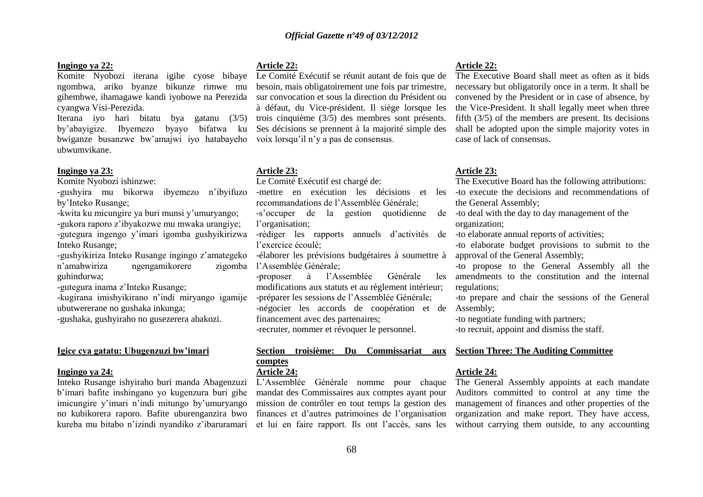#### **Ingingo ya 22:**

ngombwa, ariko byanze bikunze rimwe mu gihembwe, ihamagawe kandi iyobowe na Perezida cyangwa Visi-Perezida.

Iterana iyo hari bitatu bya gatanu (3/5)<br>by'abavigize. Ibvemezo byavo bifatwa ku by'abayigize. Ibyemezo bwiganze busanzwe bw'amajwi iyo hatabayeho voix lorsqu'il n'y a pas de consensus. ubwumvikane.

#### **Ingingo ya 23:**

Komite Nyobozi ishinzwe:

-gushyira mu bikorwa ibyemezo n'ibyifuzo by'Inteko Rusange;

-kwita ku micungire ya buri munsi y'umuryango; -gukora raporo z'ibyakozwe mu mwaka urangiye; -gutegura ingengo y'imari igomba gushyikirizwa Inteko Rusange;

-gushyikiriza Inteko Rusange ingingo z'amategeko n'amabwiriza ngengamikorere guhindurwa;

-gutegura inama z'Inteko Rusange;

-kugirana imishyikirano n'indi miryango igamije ubutwererane no gushaka inkunga;

-gushaka, gushyiraho no gusezerera abakozi.

# **Igice cya gatatu: Ubugenzuzi bw'imari**

#### **Ingingo ya 24:**

Inteko Rusange ishyiraho buri manda Abagenzuzi b'imari bafite inshingano yo kugenzura buri gihe imicungire y'imari n'indi mitungo by'umuryango no kubikorera raporo. Bafite uburenganzira bwo kureba mu bitabo n'izindi nyandiko z'ibaruramari

#### **Article 22:**

Komite Nyobozi iterana igihe cyose bibaye Le Comité Exécutif se réunit autant de fois que de besoin, mais obligatoirement une fois par trimestre, sur convocation et sous la direction du Président ou à défaut, du Vice-président. Il siège lorsque les trois cinquième (3/5) des membres sont présents. Ses décisions se prennent à la majorité simple des

#### **Article 23:**

Le Comité Exécutif est chargé de:

recommandations de l'Assemblée Générale;

-s'occuper de la gestion quotidienne l'organisation;

-rédiger les rapports annuels d'activités de l'exercice écoulé;

-élaborer les prévisions budgétaires à soumettre à zigomba l'Assemblée Générale:

> -proposer à l'Assemblée Générale les modifications aux statuts et au règlement intérieur; -préparer les sessions de l'Assemblée Générale; -négocier les accords de coopération et de Assembly; financement avec des partenaires;

-recruter, nommer et révoquer le personnel.

# **Section troisième: Du Commissariat aux comptes**

# **Article 24:**

L'Assemblée Générale nomme pour chaque mandat des Commissaires aux comptes ayant pour mission de contrôler en tout temps la gestion des finances et d'autres patrimoines de l'organisation et lui en faire rapport. Ils ont l'accès, sans les

#### **Article 22:**

The Executive Board shall meet as often as it bids necessary but obligatorily once in a term. It shall be convened by the President or in case of absence, by the Vice-President. It shall legally meet when three fifth (3/5) of the members are present. Its decisions shall be adopted upon the simple majority votes in case of lack of consensus.

#### **Article 23:**

The Executive Board has the following attributions:

-mettre en exécution les décisions et les -to execute the decisions and recommendations of the General Assembly;

> -to deal with the day to day management of the organization;

-to elaborate annual reports of activities;

-to elaborate budget provisions to submit to the approval of the General Assembly;

-to propose to the General Assembly all the amendments to the constitution and the internal regulations;

-to prepare and chair the sessions of the General

-to negotiate funding with partners;

-to recruit, appoint and dismiss the staff.

#### **Section Three: The Auditing Committee**

# **Article 24:**

The General Assembly appoints at each mandate Auditors committed to control at any time the management of finances and other properties of the organization and make report. They have access, without carrying them outside, to any accounting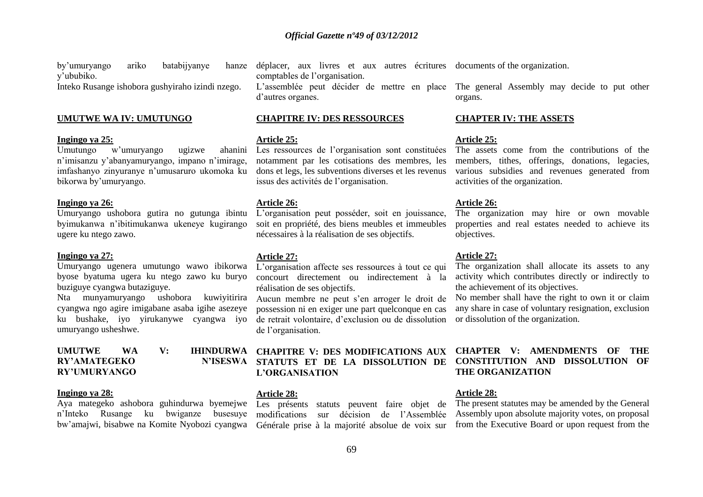by'umuryango ariko batabijyanye hanze y'ububiko. Inteko Rusange ishobora gushyiraho izindi nzego.

# **UMUTWE WA IV: UMUTUNGO**

#### **Ingingo ya 25:**

 $U$ mutungo w'umuryango ugizwe n'imisanzu y'abanyamuryango, impano n'imirage, imfashanyo zinyuranye n'umusaruro ukomoka ku bikorwa by'umuryango.

#### **Ingingo ya 26:**

Umuryango ushobora gutira no gutunga ibintu byimukanwa n'ibitimukanwa ukeneye kugirango ugere ku ntego zawo.

#### **Ingingo ya 27:**

Umuryango ugenera umutungo wawo ibikorwa byose byatuma ugera ku ntego zawo ku buryo buziguye cyangwa butaziguye.

Nta munyamuryango ushobora kuwiyitirira Aucun membre ne peut s'en arroger le droit de cyangwa ngo agire imigabane asaba igihe asezeye ku bushake, iyo yirukanywe cyangwa iyo umuryango usheshwe.

# **RY'AMATEGEKO RY'UMURYANGO**

#### **Ingingo ya 28:**

Aya mategeko ashobora guhindurwa byemejwe n'Inteko Rusange ku bwiganze busesuye

déplacer, aux livres et aux autres écritures documents of the organization. comptables de l'organisation.

d'autres organes.

#### **CHAPITRE IV: DES RESSOURCES**

#### **Article 25:**

Les ressources de l'organisation sont constituées notamment par les cotisations des membres, les dons et legs, les subventions diverses et les revenus issus des activités de l'organisation.

#### **Article 26:**

L'organisation peut posséder, soit en jouissance, soit en propriété, des biens meubles et immeubles nécessaires à la réalisation de ses objectifs.

#### **Article 27:**

L'organisation affecte ses ressources à tout ce qui concourt directement ou indirectement à la réalisation de ses objectifs.

possession ni en exiger une part quelconque en cas de retrait volontaire, d'exclusion ou de dissolution de l'organisation.

# **UMUTWE WA V: IHINDURWA CHAPITRE V: DES MODIFICATIONS AUX STATUTS ET DE LA DISSOLUTION DE L'ORGANISATION**

#### **Article 28:**

Les présents statuts peuvent faire objet de modifications sur décision de l'Assemblée

L'assemblée peut décider de mettre en place The general Assembly may decide to put other organs.

#### **CHAPTER IV: THE ASSETS**

#### **Article 25:**

The assets come from the contributions of the members, tithes, offerings, donations, legacies, various subsidies and revenues generated from activities of the organization.

#### **Article 26:**

The organization may hire or own movable properties and real estates needed to achieve its objectives.

#### **Article 27:**

The organization shall allocate its assets to any activity which contributes directly or indirectly to the achievement of its objectives.

No member shall have the right to own it or claim any share in case of voluntary resignation, exclusion or dissolution of the organization.

# **CHAPTER V: AMENDMENTS OF THE CONSTITUTION AND DISSOLUTION OF THE ORGANIZATION**

#### **Article 28:**

bw'amajwi, bisabwe na Komite Nyobozi cyangwa Générale prise à la majorité absolue de voix sur from the Executive Board or upon request from the The present statutes may be amended by the General Assembly upon absolute majority votes, on proposal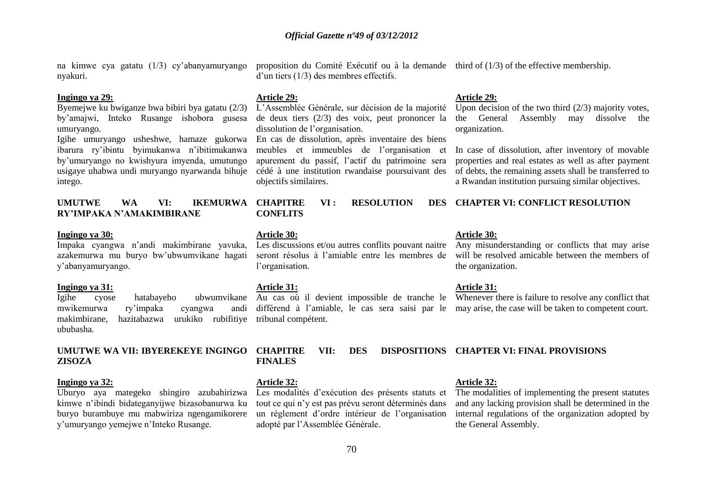na kimwe cya gatatu (1/3) cy'abanyamuryango nyakuri.

#### **Ingingo ya 29:**

Byemejwe ku bwiganze bwa bibiri bya gatatu (2/3) by'amajwi, Inteko Rusange ishobora gusesa umuryango.

Igihe umuryango usheshwe, hamaze gukorwa En cas de dissolution, après inventaire des biens ibarura ry'ibintu byimukanwa n'ibitimukanwa by'umuryango no kwishyura imyenda, umutungo usigaye uhabwa undi muryango nyarwanda bihuje intego.

# **UMUTWE WA VI: IKEMURWA RY'IMPAKA N'AMAKIMBIRANE**

#### **Ingingo ya 30:**

Impaka cyangwa n'andi makimbirane yavuka, azakemurwa mu buryo bw'ubwumvikane hagati y'abanyamuryango.

#### **Ingingo ya 31:**

mwikemurwa ry'impaka cyangwa makimbirane, hazitabazwa urukiko rubifitiye tribunal compétent. ububasha.

# **UMUTWE WA VII: IBYEREKEYE INGINGO ZISOZA**

#### **Ingingo ya 32:**

Uburyo aya mategeko shingiro azubahirizwa kimwe n'ibindi bidateganyijwe bizasobanurwa ku buryo burambuye mu mabwiriza ngengamikorere y'umuryango yemejwe n'Inteko Rusange.

proposition du Comité Exécutif ou à la demande third of (1/3) of the effective membership. d'un tiers (1/3) des membres effectifs.

#### **Article 29:**

L'Assemblée Générale, sur décision de la majorité de deux tiers (2/3) des voix, peut prononcer la dissolution de l'organisation.

meubles et immeubles de l'organisation et apurement du passif, l'actif du patrimoine sera cédé à une institution rwandaise poursuivant des objectifs similaires.

**VI : RESOLUTION CONFLITS**

#### **Article 30:**

seront résolus à l'amiable entre les membres de l'organisation.

#### **Article 31:**

#### **Article 29:**

Upon decision of the two third  $(2/3)$  majority votes, the General Assembly may dissolve the organization.

In case of dissolution, after inventory of movable properties and real estates as well as after payment of debts, the remaining assets shall be transferred to a Rwandan institution pursuing similar objectives.

# **CHAPTER VI: CONFLICT RESOLUTION**

#### **Article 30:**

Les discussions et/ou autres conflits pouvant naitre Any misunderstanding or conflicts that may arise will be resolved amicable between the members of the organization.

#### **Article 31:**

Igihe cyose hatabayeho ubwumvikane Au cas où il devient impossible de tranche le Whenever there is failure to resolve any conflict that différend à l'amiable, le cas sera saisi par le may arise, the case will be taken to competent court.

# **CHAPITRE VII: DES DISPOSITIONS CHAPTER VI: FINAL PROVISIONS FINALES**

#### **Article 32:**

Les modalités d'exécution des présents statuts et tout ce qui n'y est pas prévu seront déterminés dans un règlement d'ordre intérieur de l'organisation adopté par l'Assemblée Générale.

# **Article 32:**

The modalities of implementing the present statutes and any lacking provision shall be determined in the internal regulations of the organization adopted by the General Assembly.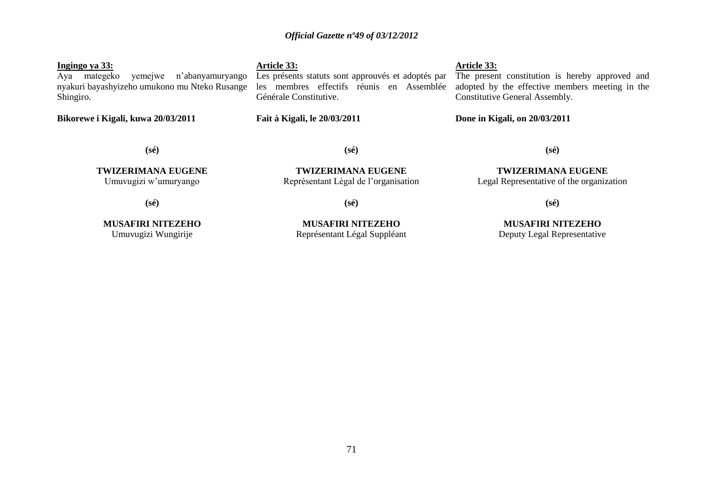#### **Ingingo ya 33:**

Aya mategeko yemejwe n'abanyamuryango nyakuri bayashyizeho umukono mu Nteko Rusange les membres effectifs réunis en Assemblée Shingiro.

**Bikorewe i Kigali, kuwa 20/03/2011**

**Article 33:**

Générale Constitutive.

**Fait à Kigali, le 20/03/2011**

# **Article 33:**

Les présents statuts sont approuvés et adoptés par The present constitution is hereby approved and adopted by the effective members meeting in the Constitutive General Assembly.

**Done in Kigali, on 20/03/2011**

**(sé)**

**TWIZERIMANA EUGENE** Umuvugizi w'umuryango

**(sé)**

**TWIZERIMANA EUGENE**

**(sé)**

Représentant Légal de l'organisation

**TWIZERIMANA EUGENE** Legal Representative of the organization

**(sé)**

**(sé)**

**MUSAFIRI NITEZEHO** Umuvugizi Wungirije

**MUSAFIRI NITEZEHO** Représentant Légal Suppléant

**MUSAFIRI NITEZEHO** Deputy Legal Representative

**(sé)**

71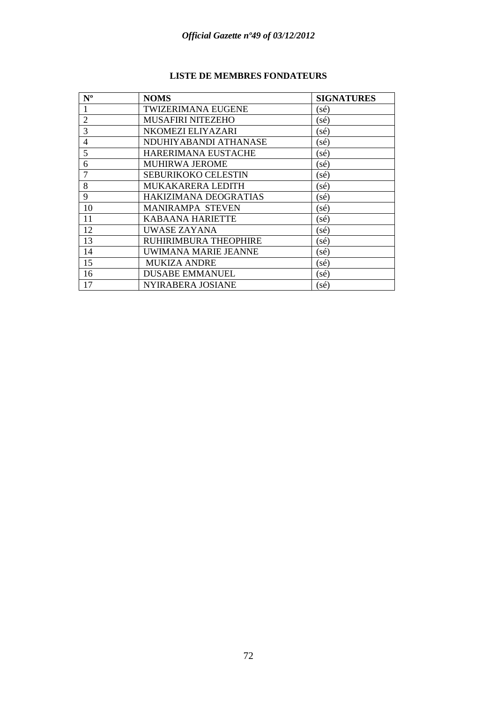| $N^{\rm o}$    | <b>NOMS</b>                | <b>SIGNATURES</b> |
|----------------|----------------------------|-------------------|
|                | <b>TWIZERIMANA EUGENE</b>  | (sé)              |
| $\overline{2}$ | <b>MUSAFIRI NITEZEHO</b>   | (sé)              |
| 3              | NKOMEZI ELIYAZARI          | (sé)              |
| 4              | NDUHIYABANDI ATHANASE      | (sé)              |
| 5              | HARERIMANA EUSTACHE        | (sé)              |
| 6              | <b>MUHIRWA JEROME</b>      | (sé)              |
| 7              | <b>SEBURIKOKO CELESTIN</b> | (sé)              |
| 8              | MUKAKARERA LEDITH          | sé)               |
| 9              | HAKIZIMANA DEOGRATIAS      | (sé)              |
| 10             | <b>MANIRAMPA STEVEN</b>    | (sé)              |
| 11             | <b>KABAANA HARIETTE</b>    | (sé)              |
| 12             | UWASE ZAYANA               | (sé)              |
| 13             | RUHIRIMBURA THEOPHIRE      | sé)               |
| 14             | UWIMANA MARIE JEANNE       | sé)               |
| 15             | <b>MUKIZA ANDRE</b>        | sé)               |
| 16             | <b>DUSABE EMMANUEL</b>     | (sé)              |
| 17             | NYIRABERA JOSIANE          | (sé)              |

# **LISTE DE MEMBRES FONDATEURS**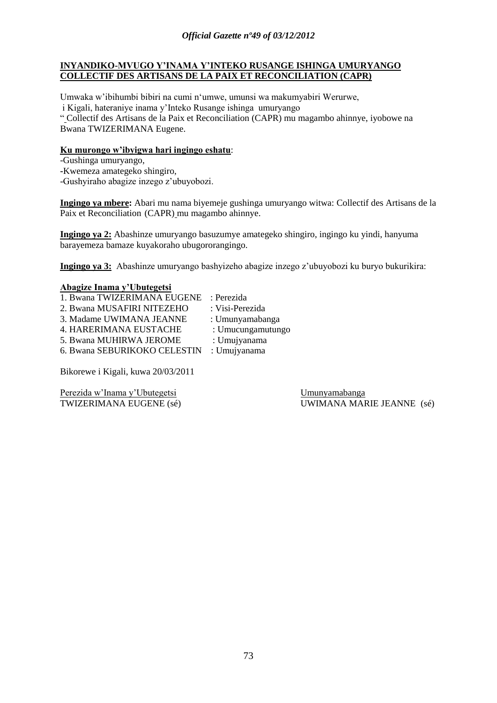## **INYANDIKO-MVUGO Y'INAMA Y'INTEKO RUSANGE ISHINGA UMURYANGO COLLECTIF DES ARTISANS DE LA PAIX ET RECONCILIATION (CAPR)**

Umwaka w'ibihumbi bibiri na cumi n'umwe, umunsi wa makumyabiri Werurwe, i Kigali, hateraniye inama y'Inteko Rusange ishinga umuryango

" Collectif des Artisans de la Paix et Reconciliation (CAPR) mu magambo ahinnye, iyobowe na Bwana TWIZERIMANA Eugene.

## **Ku murongo w'ibyigwa hari ingingo eshatu**:

-Gushinga umuryango,

**-**Kwemeza amategeko shingiro,

-Gushyiraho abagize inzego z'ubuyobozi.

**Ingingo ya mbere:** Abari mu nama biyemeje gushinga umuryango witwa: Collectif des Artisans de la Paix et Reconciliation (CAPR) mu magambo ahinnye.

**Ingingo ya 2:** Abashinze umuryango basuzumye amategeko shingiro, ingingo ku yindi, hanyuma barayemeza bamaze kuyakoraho ubugororangingo.

**Ingingo ya 3:** Abashinze umuryango bashyizeho abagize inzego z'ubuyobozi ku buryo bukurikira:

## **Abagize Inama y'Ubutegetsi**

1. Bwana TWIZERIMANA EUGENE : Perezida 2. Bwana MUSAFIRI NITEZEHO : Visi-Perezida 3. Madame UWIMANA JEANNE : Umunyamabanga 4. HARERIMANA EUSTACHE : Umucungamutungo 5. Bwana MUHIRWA JEROME : Umujyanama 6. Bwana SEBURIKOKO CELESTIN : Umujyanama

Bikorewe i Kigali, kuwa 20/03/2011

Perezida w'Inama y'Ubutegetsi Umunyamabanga

TWIZERIMANA EUGENE (sé) UWIMANA MARIE JEANNE (sé)